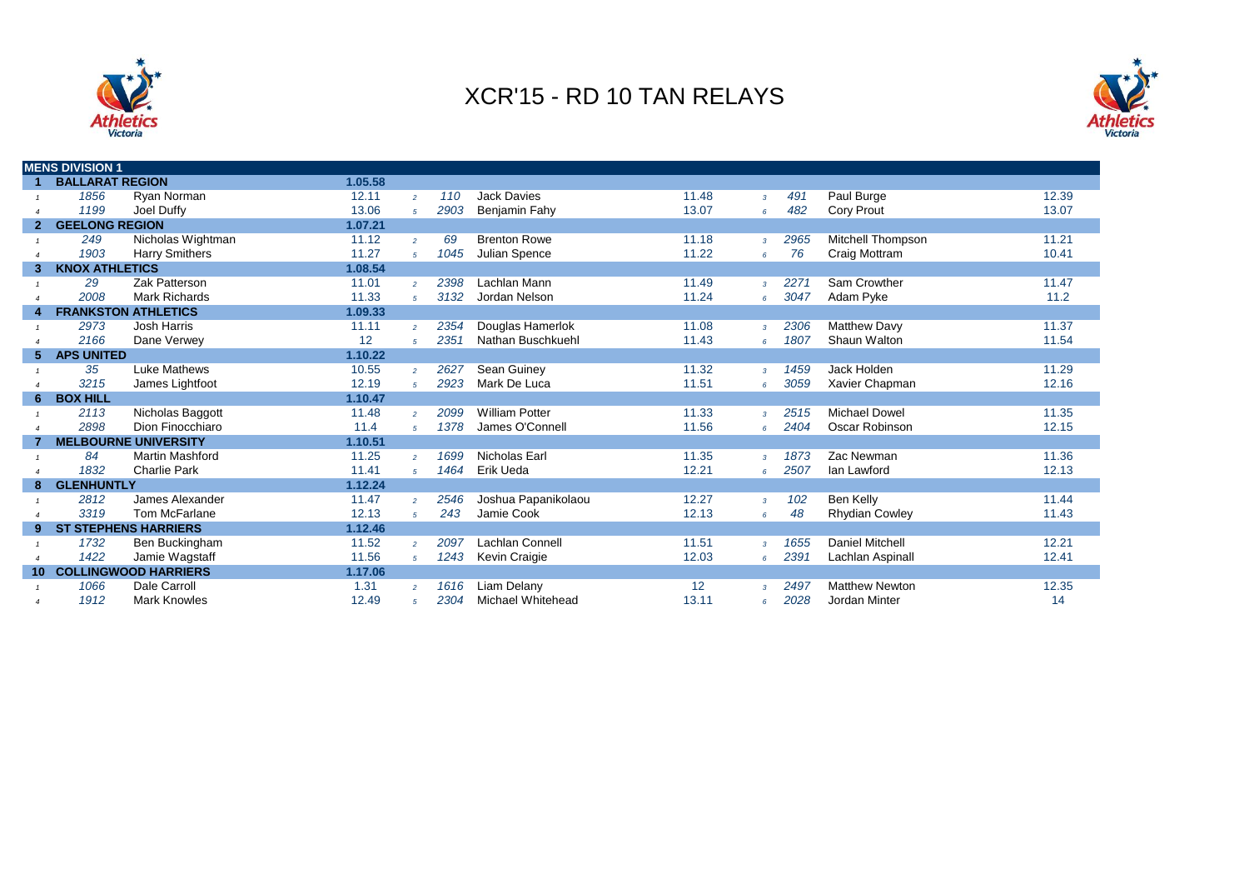



|                 | <b>MENS DIVISION 1</b> |                             |         |                |      |                       |                   |                |      |                          |       |  |
|-----------------|------------------------|-----------------------------|---------|----------------|------|-----------------------|-------------------|----------------|------|--------------------------|-------|--|
|                 | <b>BALLARAT REGION</b> |                             | 1.05.58 |                |      |                       |                   |                |      |                          |       |  |
|                 | 1856                   | Ryan Norman                 | 12.11   | $\overline{2}$ | 110  | <b>Jack Davies</b>    | 11.48             | $\mathbf{3}$   | 491  | Paul Burge               | 12.39 |  |
|                 | 1199                   | Joel Duffy                  | 13.06   | 5 <sup>1</sup> | 2903 | Benjamin Fahy         | 13.07             | 6              | 482  | <b>Cory Prout</b>        | 13.07 |  |
| 2 <sup>1</sup>  | <b>GEELONG REGION</b>  |                             | 1.07.21 |                |      |                       |                   |                |      |                          |       |  |
|                 | 249                    | Nicholas Wightman           | 11.12   | $\overline{2}$ | 69   | <b>Brenton Rowe</b>   | 11.18             | $\overline{3}$ | 2965 | <b>Mitchell Thompson</b> | 11.21 |  |
|                 | 1903                   | <b>Harry Smithers</b>       | 11.27   | $5^{\circ}$    | 1045 | Julian Spence         | 11.22             | 6              | 76   | Craig Mottram            | 10.41 |  |
| 3               | <b>KNOX ATHLETICS</b>  |                             | 1.08.54 |                |      |                       |                   |                |      |                          |       |  |
|                 | 29                     | Zak Patterson               | 11.01   | $\overline{2}$ | 2398 | Lachlan Mann          | 11.49             | $\mathcal{R}$  | 2271 | Sam Crowther             | 11.47 |  |
|                 | 2008                   | <b>Mark Richards</b>        | 11.33   | 5 <sup>1</sup> | 3132 | Jordan Nelson         | 11.24             | 6 <sup>5</sup> | 3047 | Adam Pyke                | 11.2  |  |
| 4               |                        | <b>FRANKSTON ATHLETICS</b>  | 1.09.33 |                |      |                       |                   |                |      |                          |       |  |
|                 | 2973                   | Josh Harris                 | 11.11   | $\overline{2}$ | 2354 | Douglas Hamerlok      | 11.08             | $\overline{3}$ | 2306 | <b>Matthew Davy</b>      | 11.37 |  |
|                 | 2166                   | Dane Verwey                 | 12      | $\sqrt{5}$     | 2351 | Nathan Buschkuehl     | 11.43             | 6 <sup>5</sup> | 1807 | Shaun Walton             | 11.54 |  |
| 5.              | <b>APS UNITED</b>      |                             | 1.10.22 |                |      |                       |                   |                |      |                          |       |  |
|                 | 35                     | Luke Mathews                | 10.55   | $\overline{2}$ | 2627 | Sean Guiney           | 11.32             | $\mathcal{R}$  | 1459 | Jack Holden              | 11.29 |  |
|                 | 3215                   | James Lightfoot             | 12.19   | $\sqrt{5}$     | 2923 | Mark De Luca          | 11.51             | 6              | 3059 | Xavier Chapman           | 12.16 |  |
| 6.              | <b>BOX HILL</b>        |                             | 1.10.47 |                |      |                       |                   |                |      |                          |       |  |
|                 | 2113                   | Nicholas Baggott            | 11.48   | $\overline{2}$ | 2099 | <b>William Potter</b> | 11.33             | $\overline{3}$ | 2515 | <b>Michael Dowel</b>     | 11.35 |  |
|                 | 2898                   | Dion Finocchiaro            | 11.4    | 5 <sup>1</sup> | 1378 | James O'Connell       | 11.56             | 6 <sup>5</sup> | 2404 | Oscar Robinson           | 12.15 |  |
|                 |                        | <b>MELBOURNE UNIVERSITY</b> | 1.10.51 |                |      |                       |                   |                |      |                          |       |  |
|                 | 84                     | <b>Martin Mashford</b>      | 11.25   | $\overline{2}$ | 1699 | Nicholas Earl         | 11.35             | $\overline{3}$ | 1873 | Zac Newman               | 11.36 |  |
|                 | 1832                   | <b>Charlie Park</b>         | 11.41   | $5^{\circ}$    | 1464 | Erik Ueda             | 12.21             | 6              | 2507 | lan Lawford              | 12.13 |  |
| 8               | <b>GLENHUNTLY</b>      |                             | 1.12.24 |                |      |                       |                   |                |      |                          |       |  |
|                 | 2812                   | James Alexander             | 11.47   | $\overline{2}$ | 2546 | Joshua Papanikolaou   | 12.27             | $\overline{3}$ | 102  | Ben Kelly                | 11.44 |  |
|                 | 3319                   | Tom McFarlane               | 12.13   | 5 <sup>1</sup> | 243  | Jamie Cook            | 12.13             | 6              | 48   | <b>Rhydian Cowley</b>    | 11.43 |  |
| 9               |                        | <b>ST STEPHENS HARRIERS</b> | 1.12.46 |                |      |                       |                   |                |      |                          |       |  |
|                 | 1732                   | Ben Buckingham              | 11.52   | $\overline{2}$ | 2097 | Lachlan Connell       | 11.51             | $\overline{3}$ | 1655 | <b>Daniel Mitchell</b>   | 12.21 |  |
|                 | 1422                   | Jamie Wagstaff              | 11.56   | 5 <sup>1</sup> | 1243 | Kevin Craigie         | 12.03             | 6              | 2391 | Lachlan Aspinall         | 12.41 |  |
| 10 <sup>°</sup> |                        | <b>COLLINGWOOD HARRIERS</b> | 1.17.06 |                |      |                       |                   |                |      |                          |       |  |
|                 | 1066                   | Dale Carroll                | 1.31    | $\overline{2}$ | 1616 | Liam Delany           | $12 \overline{ }$ | $\mathcal{R}$  | 2497 | <b>Matthew Newton</b>    | 12.35 |  |
|                 | 1912                   | <b>Mark Knowles</b>         | 12.49   | $\overline{5}$ | 2304 | Michael Whitehead     | 13.11             | $\epsilon$     | 2028 | Jordan Minter            | 14    |  |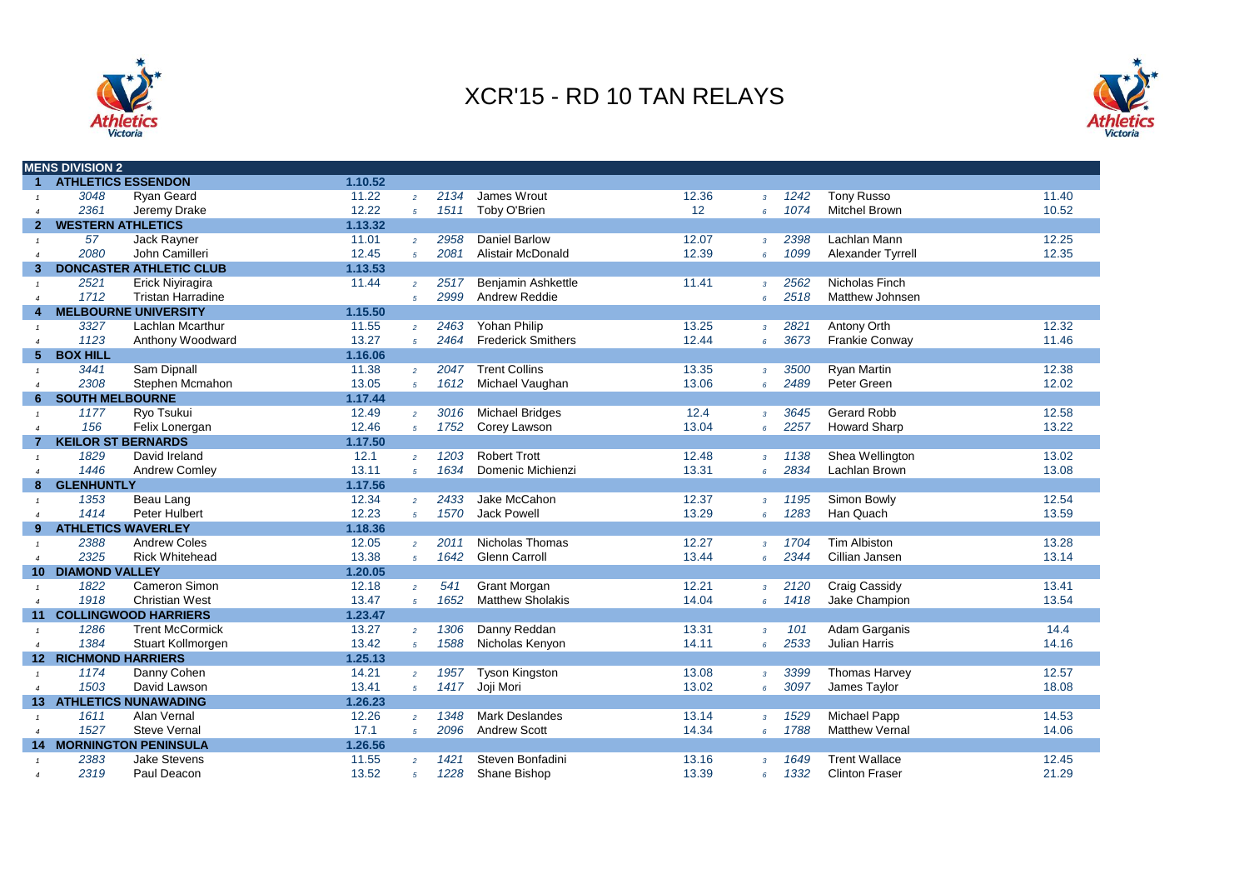



|                        | <b>MENS DIVISION 2</b>      |                                |         |                |      |                           |       |                 |      |                        |       |
|------------------------|-----------------------------|--------------------------------|---------|----------------|------|---------------------------|-------|-----------------|------|------------------------|-------|
| $\mathbf{1}$           | <b>ATHLETICS ESSENDON</b>   |                                | 1.10.52 |                |      |                           |       |                 |      |                        |       |
|                        | 3048                        | <b>Ryan Geard</b>              | 11.22   | $\overline{2}$ | 2134 | James Wrout               | 12.36 | $\mathbf{3}$    | 1242 | <b>Tony Russo</b>      | 11.40 |
|                        | 2361                        | Jeremy Drake                   | 12.22   | $5^{\circ}$    | 1511 | Toby O'Brien              | 12    | 6               | 1074 | <b>Mitchel Brown</b>   | 10.52 |
| 2                      | <b>WESTERN ATHLETICS</b>    |                                | 1.13.32 |                |      |                           |       |                 |      |                        |       |
| $\mathbf{1}$           | 57                          | Jack Rayner                    | 11.01   | $\overline{2}$ | 2958 | <b>Daniel Barlow</b>      | 12.07 | $\overline{3}$  | 2398 | Lachlan Mann           | 12.25 |
| $\overline{4}$         | 2080                        | John Camilleri                 | 12.45   | $5^{\circ}$    | 2081 | Alistair McDonald         | 12.39 | 6               | 1099 | Alexander Tyrrell      | 12.35 |
| 3                      |                             | <b>DONCASTER ATHLETIC CLUB</b> | 1.13.53 |                |      |                           |       |                 |      |                        |       |
|                        | 2521                        | Erick Niyiragira               | 11.44   | $\overline{2}$ | 2517 | <b>Benjamin Ashkettle</b> | 11.41 | $\overline{3}$  | 2562 | Nicholas Finch         |       |
| $\overline{4}$         | 1712                        | <b>Tristan Harradine</b>       |         | $\overline{5}$ | 2999 | <b>Andrew Reddie</b>      |       | 6               | 2518 | <b>Matthew Johnsen</b> |       |
| 4                      |                             | <b>MELBOURNE UNIVERSITY</b>    | 1.15.50 |                |      |                           |       |                 |      |                        |       |
|                        | 3327                        | Lachlan Mcarthur               | 11.55   | $\overline{2}$ | 2463 | Yohan Philip              | 13.25 | $\mathbf{3}$    | 2821 | Antony Orth            | 12.32 |
| $\overline{a}$         | 1123                        | Anthony Woodward               | 13.27   | $\overline{5}$ | 2464 | <b>Frederick Smithers</b> | 12.44 | 6 <sup>1</sup>  | 3673 | <b>Frankie Conway</b>  | 11.46 |
| 5.                     | <b>BOX HILL</b>             |                                | 1.16.06 |                |      |                           |       |                 |      |                        |       |
|                        | 3441                        | Sam Dipnall                    | 11.38   | $\overline{2}$ | 2047 | <b>Trent Collins</b>      | 13.35 | $\overline{3}$  | 3500 | <b>Ryan Martin</b>     | 12.38 |
| $\boldsymbol{\Lambda}$ | 2308                        | Stephen Mcmahon                | 13.05   | $\overline{5}$ | 1612 | Michael Vaughan           | 13.06 | $6\overline{6}$ | 2489 | Peter Green            | 12.02 |
| 6                      | <b>SOUTH MELBOURNE</b>      |                                | 1.17.44 |                |      |                           |       |                 |      |                        |       |
|                        | 1177                        | Ryo Tsukui                     | 12.49   | $\overline{2}$ | 3016 | <b>Michael Bridges</b>    | 12.4  | $\overline{3}$  | 3645 | <b>Gerard Robb</b>     | 12.58 |
| $\overline{4}$         | 156                         | Felix Lonergan                 | 12.46   | $5^{\circ}$    | 1752 | Corey Lawson              | 13.04 | 6               | 2257 | <b>Howard Sharp</b>    | 13.22 |
|                        | <b>KEILOR ST BERNARDS</b>   |                                | 1.17.50 |                |      |                           |       |                 |      |                        |       |
| $\mathbf{1}$           | 1829                        | David Ireland                  | 12.1    | $\overline{2}$ | 1203 | <b>Robert Trott</b>       | 12.48 | $\overline{3}$  | 1138 | Shea Wellington        | 13.02 |
| $\boldsymbol{\Lambda}$ | 1446                        | Andrew Comley                  | 13.11   | $5^{\circ}$    | 1634 | Domenic Michienzi         | 13.31 | 6               | 2834 | Lachlan Brown          | 13.08 |
| 8                      | <b>GLENHUNTLY</b>           |                                | 1.17.56 |                |      |                           |       |                 |      |                        |       |
|                        | 1353                        | Beau Lang                      | 12.34   | $\overline{2}$ | 2433 | Jake McCahon              | 12.37 | $\overline{3}$  | 1195 | Simon Bowly            | 12.54 |
| $\boldsymbol{\Lambda}$ | 1414                        | Peter Hulbert                  | 12.23   | $5^{\circ}$    | 1570 | <b>Jack Powell</b>        | 13.29 | 6               | 1283 | Han Quach              | 13.59 |
| 9                      | <b>ATHLETICS WAVERLEY</b>   |                                | 1.18.36 |                |      |                           |       |                 |      |                        |       |
|                        | 2388                        | <b>Andrew Coles</b>            | 12.05   | $\overline{2}$ | 2011 | Nicholas Thomas           | 12.27 | $\overline{3}$  | 1704 | <b>Tim Albiston</b>    | 13.28 |
| $\overline{4}$         | 2325                        | <b>Rick Whitehead</b>          | 13.38   | $5^{\circ}$    | 1642 | <b>Glenn Carroll</b>      | 13.44 | $6^{\circ}$     | 2344 | Cillian Jansen         | 13.14 |
|                        | <b>10 DIAMOND VALLEY</b>    |                                | 1.20.05 |                |      |                           |       |                 |      |                        |       |
|                        | 1822                        | Cameron Simon                  | 12.18   | $\overline{2}$ | 541  | <b>Grant Morgan</b>       | 12.21 | $\mathbf{3}$    | 2120 | Craig Cassidy          | 13.41 |
| $\overline{a}$         | 1918                        | <b>Christian West</b>          | 13.47   | $\overline{5}$ | 1652 | <b>Matthew Sholakis</b>   | 14.04 | 6               | 1418 | Jake Champion          | 13.54 |
| 11                     |                             | <b>COLLINGWOOD HARRIERS</b>    | 1.23.47 |                |      |                           |       |                 |      |                        |       |
|                        | 1286                        | <b>Trent McCormick</b>         | 13.27   | $\overline{2}$ | 1306 | Danny Reddan              | 13.31 | $\overline{3}$  | 101  | Adam Garganis          | 14.4  |
| $\overline{4}$         | 1384                        | Stuart Kollmorgen              | 13.42   | 5 <sup>5</sup> | 1588 | Nicholas Kenyon           | 14.11 | 6               | 2533 | Julian Harris          | 14.16 |
|                        | <b>12 RICHMOND HARRIERS</b> |                                | 1.25.13 |                |      |                           |       |                 |      |                        |       |
| $\mathbf{1}$           | 1174                        | Danny Cohen                    | 14.21   | $\overline{2}$ | 1957 | <b>Tyson Kingston</b>     | 13.08 | $\overline{3}$  | 3399 | <b>Thomas Harvey</b>   | 12.57 |
| $\overline{4}$         | 1503                        | David Lawson                   | 13.41   | $5^{\circ}$    | 1417 | Joji Mori                 | 13.02 | $6^{\circ}$     | 3097 | James Taylor           | 18.08 |
| 13 <sup>°</sup>        |                             | <b>ATHLETICS NUNAWADING</b>    | 1.26.23 |                |      |                           |       |                 |      |                        |       |
|                        | 1611                        | Alan Vernal                    | 12.26   | $\overline{2}$ | 1348 | <b>Mark Deslandes</b>     | 13.14 | $\overline{3}$  | 1529 | <b>Michael Papp</b>    | 14.53 |
| $\boldsymbol{\Lambda}$ | 1527                        | <b>Steve Vernal</b>            | 17.1    | $5^{\circ}$    | 2096 | <b>Andrew Scott</b>       | 14.34 | $6^{\circ}$     | 1788 | <b>Matthew Vernal</b>  | 14.06 |
| 14                     |                             | <b>MORNINGTON PENINSULA</b>    | 1.26.56 |                |      |                           |       |                 |      |                        |       |
|                        | 2383                        | <b>Jake Stevens</b>            | 11.55   | $\overline{2}$ | 1421 | Steven Bonfadini          | 13.16 | $\overline{3}$  | 1649 | <b>Trent Wallace</b>   | 12.45 |
|                        | 2319                        | Paul Deacon                    | 13.52   | $\overline{5}$ | 1228 | Shane Bishop              | 13.39 | 6               | 1332 | <b>Clinton Fraser</b>  | 21.29 |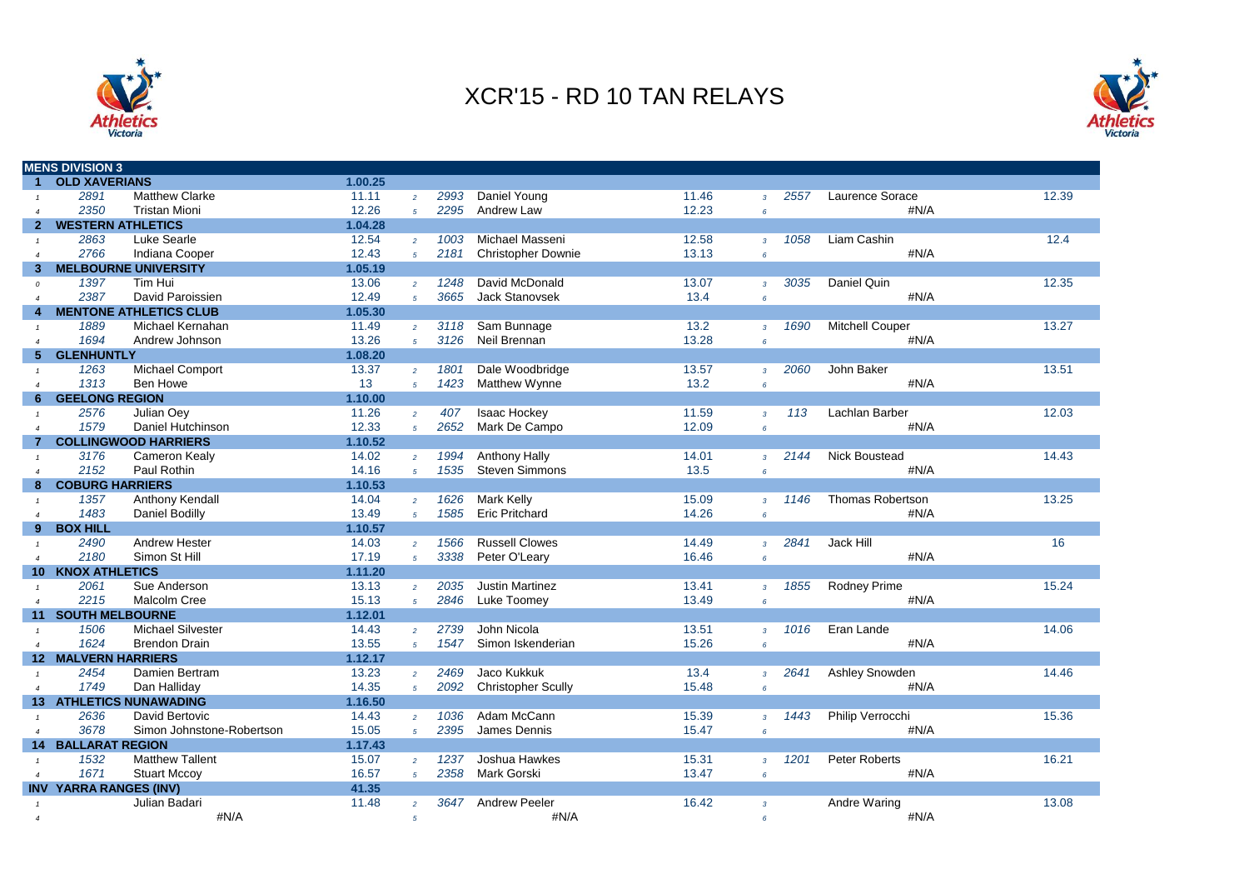



|                        | <b>MENS DIVISION 3</b>     |                               |         |                 |      |                           |       |                 |      |                         |       |
|------------------------|----------------------------|-------------------------------|---------|-----------------|------|---------------------------|-------|-----------------|------|-------------------------|-------|
| 1                      | <b>OLD XAVERIANS</b>       |                               | 1.00.25 |                 |      |                           |       |                 |      |                         |       |
|                        | 2891                       | <b>Matthew Clarke</b>         | 11.11   | $\overline{2}$  | 2993 | Daniel Young              | 11.46 | $\overline{3}$  | 2557 | Laurence Sorace         | 12.39 |
|                        | 2350                       | <b>Tristan Mioni</b>          | 12.26   | $\overline{5}$  | 2295 | Andrew Law                | 12.23 | $\epsilon$      |      | #N/A                    |       |
| 2                      | <b>WESTERN ATHLETICS</b>   |                               | 1.04.28 |                 |      |                           |       |                 |      |                         |       |
| $\mathcal{I}$          | 2863                       | Luke Searle                   | 12.54   | $\overline{2}$  | 1003 | Michael Masseni           | 12.58 | $\overline{3}$  | 1058 | Liam Cashin             | 12.4  |
| $\boldsymbol{\Lambda}$ | 2766                       | Indiana Cooper                | 12.43   | $\overline{5}$  | 2181 | <b>Christopher Downie</b> | 13.13 | $\epsilon$      |      | #N/A                    |       |
| з                      |                            | <b>MELBOURNE UNIVERSITY</b>   | 1.05.19 |                 |      |                           |       |                 |      |                         |       |
| $\Omega$               | 1397                       | Tim Hui                       | 13.06   | $\overline{2}$  | 1248 | David McDonald            | 13.07 | $\overline{3}$  | 3035 | Daniel Quin             | 12.35 |
| $\overline{4}$         | 2387                       | David Paroissien              | 12.49   | $\overline{5}$  | 3665 | <b>Jack Stanovsek</b>     | 13.4  | $\epsilon$      |      | #N/A                    |       |
| 4                      |                            | <b>MENTONE ATHLETICS CLUB</b> | 1.05.30 |                 |      |                           |       |                 |      |                         |       |
| $\mathbf{1}$           | 1889                       | Michael Kernahan              | 11.49   | $\overline{2}$  | 3118 | Sam Bunnage               | 13.2  | $\overline{3}$  | 1690 | <b>Mitchell Couper</b>  | 13.27 |
|                        | 1694                       | Andrew Johnson                | 13.26   | $\overline{5}$  | 3126 | Neil Brennan              | 13.28 | $6\overline{6}$ |      | #N/A                    |       |
| 5                      | <b>GLENHUNTLY</b>          |                               | 1.08.20 |                 |      |                           |       |                 |      |                         |       |
|                        | 1263                       | Michael Comport               | 13.37   | $\overline{2}$  | 1801 | Dale Woodbridge           | 13.57 | $\overline{3}$  | 2060 | John Baker              | 13.51 |
| $\boldsymbol{\Lambda}$ | 1313                       | <b>Ben Howe</b>               | 13      | $5^{\circ}$     | 1423 | Matthew Wynne             | 13.2  | $\epsilon$      |      | #N/A                    |       |
| 6                      | <b>GEELONG REGION</b>      |                               | 1.10.00 |                 |      |                           |       |                 |      |                         |       |
|                        | 2576                       | Julian Oev                    | 11.26   | $\overline{2}$  | 407  | <b>Isaac Hockey</b>       | 11.59 | $\overline{3}$  | 113  | Lachlan Barber          | 12.03 |
| $\boldsymbol{\Lambda}$ | 1579                       | Daniel Hutchinson             | 12.33   | $\overline{5}$  | 2652 | Mark De Campo             | 12.09 | $6\overline{6}$ |      | #N/A                    |       |
|                        |                            | <b>COLLINGWOOD HARRIERS</b>   | 1.10.52 |                 |      |                           |       |                 |      |                         |       |
|                        | 3176                       | Cameron Kealy                 | 14.02   | $\overline{2}$  | 1994 | <b>Anthony Hally</b>      | 14.01 | $\overline{3}$  | 2144 | <b>Nick Boustead</b>    | 14.43 |
|                        | 2152                       | Paul Rothin                   | 14.16   | $\overline{5}$  | 1535 | <b>Steven Simmons</b>     | 13.5  | $6\overline{6}$ |      | #N/A                    |       |
| 8                      | <b>COBURG HARRIERS</b>     |                               | 1.10.53 |                 |      |                           |       |                 |      |                         |       |
| $\mathbf{1}$           | 1357                       | Anthony Kendall               | 14.04   | $\overline{2}$  | 1626 | <b>Mark Kelly</b>         | 15.09 | $\mathbf{3}$    | 1146 | <b>Thomas Robertson</b> | 13.25 |
|                        | 1483                       | Daniel Bodilly                | 13.49   | $5\overline{5}$ | 1585 | <b>Eric Pritchard</b>     | 14.26 | $\epsilon$      |      | #N/A                    |       |
| 9                      | <b>BOX HILL</b>            |                               | 1.10.57 |                 |      |                           |       |                 |      |                         |       |
|                        | 2490                       | Andrew Hester                 | 14.03   | $\overline{2}$  | 1566 | <b>Russell Clowes</b>     | 14.49 | $\overline{3}$  | 2841 | Jack Hill               | 16    |
| $\boldsymbol{\Lambda}$ | 2180                       | Simon St Hill                 | 17.19   | $5^{\circ}$     | 3338 | Peter O'Leary             | 16.46 | 6               |      | #N/A                    |       |
|                        | <b>10 KNOX ATHLETICS</b>   |                               | 1.11.20 |                 |      |                           |       |                 |      |                         |       |
| $\mathbf{1}$           | 2061                       | Sue Anderson                  | 13.13   | $\overline{2}$  | 2035 | <b>Justin Martinez</b>    | 13.41 | $\overline{3}$  | 1855 | <b>Rodney Prime</b>     | 15.24 |
| $\boldsymbol{\Lambda}$ | 2215                       | <b>Malcolm Cree</b>           | 15.13   | $\overline{5}$  | 2846 | Luke Toomey               | 13.49 | $\epsilon$      |      | #N/A                    |       |
| 11                     | <b>SOUTH MELBOURNE</b>     |                               | 1.12.01 |                 |      |                           |       |                 |      |                         |       |
| $\mathbf{1}$           | 1506                       | <b>Michael Silvester</b>      | 14.43   | $\overline{2}$  | 2739 | John Nicola               | 13.51 | $\overline{3}$  | 1016 | Eran Lande              | 14.06 |
| $\overline{4}$         | 1624                       | <b>Brendon Drain</b>          | 13.55   | $5^{\circ}$     | 1547 | Simon Iskenderian         | 15.26 | $6\overline{6}$ |      | #N/A                    |       |
|                        | <b>12 MALVERN HARRIERS</b> |                               | 1.12.17 |                 |      |                           |       |                 |      |                         |       |
|                        | 2454                       | Damien Bertram                | 13.23   | $\overline{2}$  | 2469 | Jaco Kukkuk               | 13.4  | $\overline{3}$  | 2641 | Ashley Snowden          | 14.46 |
| $\boldsymbol{\Lambda}$ | 1749                       | Dan Halliday                  | 14.35   | $\overline{5}$  | 2092 | <b>Christopher Scully</b> | 15.48 | $\epsilon$      |      | #N/A                    |       |
| 13 <sup>°</sup>        |                            | <b>ATHLETICS NUNAWADING</b>   | 1.16.50 |                 |      |                           |       |                 |      |                         |       |
| $\mathcal{I}$          | 2636                       | David Bertovic                | 14.43   | $\overline{2}$  | 1036 | Adam McCann               | 15.39 | $\overline{3}$  | 1443 | Philip Verrocchi        | 15.36 |
| $\overline{4}$         | 3678                       | Simon Johnstone-Robertson     | 15.05   | $\overline{5}$  | 2395 | James Dennis              | 15.47 | $\epsilon$      |      | #N/A                    |       |
| 14 <sup>1</sup>        | <b>BALLARAT REGION</b>     |                               | 1.17.43 |                 |      |                           |       |                 |      |                         |       |
| $\mathbf{1}$           | 1532                       | <b>Matthew Tallent</b>        | 15.07   | $\overline{2}$  | 1237 | Joshua Hawkes             | 15.31 | $\overline{3}$  | 1201 | Peter Roberts           | 16.21 |
| $\boldsymbol{\Lambda}$ | 1671                       | <b>Stuart Mccov</b>           | 16.57   | $\overline{5}$  | 2358 | <b>Mark Gorski</b>        | 13.47 | $6\overline{6}$ |      | #N/A                    |       |
| <b>INV</b>             | YARRA RANGES (INV)         |                               | 41.35   |                 |      |                           |       |                 |      |                         |       |
|                        |                            | Julian Badari                 | 11.48   | $\overline{2}$  | 3647 | <b>Andrew Peeler</b>      | 16.42 | $\overline{3}$  |      | <b>Andre Waring</b>     | 13.08 |
| $\boldsymbol{\Lambda}$ |                            | #N/A                          |         | $\overline{5}$  |      | #N/A                      |       | $\epsilon$      |      | #N/A                    |       |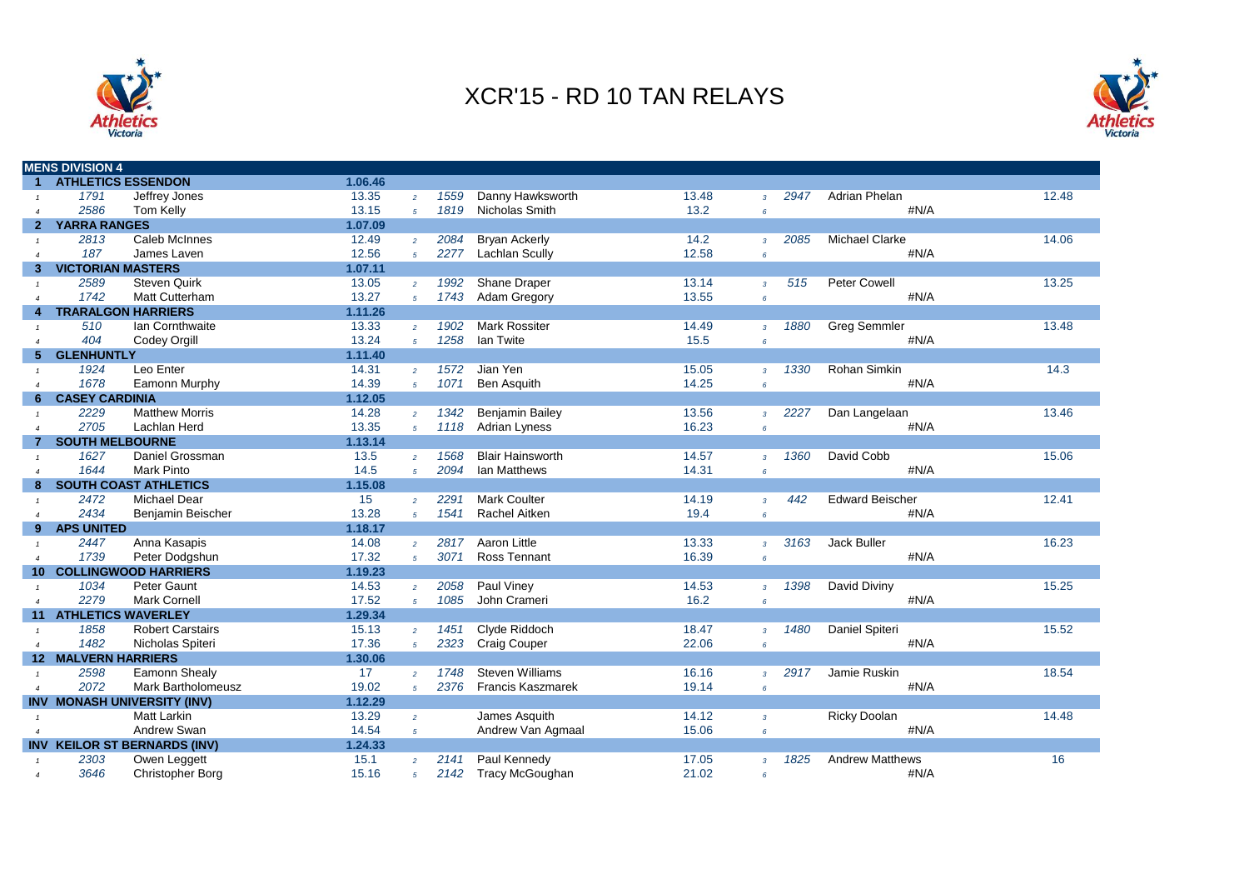



|                        | <b>MENS DIVISION 4</b>     |                                     |         |                |      |                          |       |                 |      |                        |       |
|------------------------|----------------------------|-------------------------------------|---------|----------------|------|--------------------------|-------|-----------------|------|------------------------|-------|
| 1                      | <b>ATHLETICS ESSENDON</b>  |                                     | 1.06.46 |                |      |                          |       |                 |      |                        |       |
|                        | 1791                       | Jeffrey Jones                       | 13.35   | $\overline{a}$ | 1559 | Danny Hawksworth         | 13.48 | $\overline{3}$  | 2947 | Adrian Phelan          | 12.48 |
| $\boldsymbol{\Lambda}$ | 2586                       | <b>Tom Kelly</b>                    | 13.15   | $\overline{5}$ | 1819 | Nicholas Smith           | 13.2  | $6\overline{6}$ |      | #N/A                   |       |
| $\mathbf{2}$           | <b>YARRA RANGES</b>        |                                     | 1.07.09 |                |      |                          |       |                 |      |                        |       |
|                        | 2813                       | Caleb McInnes                       | 12.49   | $\overline{2}$ | 2084 | <b>Bryan Ackerly</b>     | 14.2  | $\mathcal{R}$   | 2085 | <b>Michael Clarke</b>  | 14.06 |
|                        | 187                        | James Laven                         | 12.56   | 5 <sup>1</sup> | 2277 | <b>Lachlan Scully</b>    | 12.58 | $\epsilon$      |      | #N/A                   |       |
| 3                      | <b>VICTORIAN MASTERS</b>   |                                     | 1.07.11 |                |      |                          |       |                 |      |                        |       |
|                        | 2589                       | <b>Steven Quirk</b>                 | 13.05   | $\overline{2}$ | 1992 | Shane Draper             | 13.14 | $\overline{3}$  | 515  | <b>Peter Cowell</b>    | 13.25 |
| $\overline{4}$         | 1742                       | <b>Matt Cutterham</b>               | 13.27   | $\overline{5}$ | 1743 | Adam Gregory             | 13.55 | $6\overline{6}$ |      | #N/A                   |       |
|                        |                            | <b>TRARALGON HARRIERS</b>           | 1.11.26 |                |      |                          |       |                 |      |                        |       |
|                        | 510                        | Ian Cornthwaite                     | 13.33   | $\overline{2}$ | 1902 | <b>Mark Rossiter</b>     | 14.49 | $\overline{3}$  | 1880 | <b>Greg Semmler</b>    | 13.48 |
| $\boldsymbol{\Delta}$  | 404                        | Codey Orgill                        | 13.24   | $\overline{5}$ | 1258 | <b>Ian Twite</b>         | 15.5  | $\epsilon$      |      | #N/A                   |       |
| 5                      | <b>GLENHUNTLY</b>          |                                     | 1.11.40 |                |      |                          |       |                 |      |                        |       |
|                        | 1924                       | Leo Enter                           | 14.31   | $\overline{2}$ | 1572 | Jian Yen                 | 15.05 | $\mathcal{R}$   | 1330 | Rohan Simkin           | 14.3  |
| $\boldsymbol{\Delta}$  | 1678                       | Eamonn Murphy                       | 14.39   | $\overline{5}$ | 1071 | <b>Ben Asquith</b>       | 14.25 | $6\overline{6}$ |      | #N/A                   |       |
| 6                      | <b>CASEY CARDINIA</b>      |                                     | 1.12.05 |                |      |                          |       |                 |      |                        |       |
|                        | 2229                       | <b>Matthew Morris</b>               | 14.28   | $\overline{2}$ | 1342 | <b>Benjamin Bailey</b>   | 13.56 | $\overline{3}$  | 2227 | Dan Langelaan          | 13.46 |
|                        | 2705                       | Lachlan Herd                        | 13.35   | $\overline{5}$ | 1118 | <b>Adrian Lyness</b>     | 16.23 | $6\overline{6}$ |      | #N/A                   |       |
|                        | <b>SOUTH MELBOURNE</b>     |                                     | 1.13.14 |                |      |                          |       |                 |      |                        |       |
|                        | 1627                       | Daniel Grossman                     | 13.5    | $\overline{2}$ | 1568 | <b>Blair Hainsworth</b>  | 14.57 | $\overline{3}$  | 1360 | David Cobb             | 15.06 |
|                        | 1644                       | <b>Mark Pinto</b>                   | 14.5    | $5^{\circ}$    | 2094 | <b>Ian Matthews</b>      | 14.31 | $\epsilon$      |      | #N/A                   |       |
| 8                      |                            | <b>SOUTH COAST ATHLETICS</b>        | 1.15.08 |                |      |                          |       |                 |      |                        |       |
|                        | 2472                       | <b>Michael Dear</b>                 | 15      | $\overline{2}$ | 2291 | <b>Mark Coulter</b>      | 14.19 | $\overline{3}$  | 442  | <b>Edward Beischer</b> | 12.41 |
| $\boldsymbol{\Delta}$  | 2434                       | Benjamin Beischer                   | 13.28   | $5^{\circ}$    | 1541 | <b>Rachel Aitken</b>     | 19.4  | $6\overline{6}$ |      | #N/A                   |       |
| 9                      | <b>APS UNITED</b>          |                                     | 1.18.17 |                |      |                          |       |                 |      |                        |       |
|                        | 2447                       | Anna Kasapis                        | 14.08   | $\overline{2}$ | 2817 | Aaron Little             | 13.33 | $\overline{3}$  | 3163 | Jack Buller            | 16.23 |
| $\overline{a}$         | 1739                       | Peter Dodgshun                      | 17.32   | 5 <sup>1</sup> | 3071 | <b>Ross Tennant</b>      | 16.39 | $6\overline{6}$ |      | #N/A                   |       |
| 10                     |                            | <b>COLLINGWOOD HARRIERS</b>         | 1.19.23 |                |      |                          |       |                 |      |                        |       |
| $\overline{1}$         | 1034                       | Peter Gaunt                         | 14.53   | $\overline{2}$ | 2058 | Paul Viney               | 14.53 | $\overline{3}$  | 1398 | David Diviny           | 15.25 |
| $\overline{4}$         | 2279                       | <b>Mark Cornell</b>                 | 17.52   | $5^{\circ}$    | 1085 | John Crameri             | 16.2  | $6\overline{6}$ |      | #N/A                   |       |
| 11                     | <b>ATHLETICS WAVERLEY</b>  |                                     | 1.29.34 |                |      |                          |       |                 |      |                        |       |
|                        | 1858                       | <b>Robert Carstairs</b>             | 15.13   | $\overline{2}$ | 1451 | Clyde Riddoch            | 18.47 | $\mathbf{3}$    | 1480 | Daniel Spiteri         | 15.52 |
| $\boldsymbol{\Lambda}$ | 1482                       | Nicholas Spiteri                    | 17.36   | $\overline{5}$ | 2323 | <b>Craig Couper</b>      | 22.06 | $6\overline{6}$ |      | #N/A                   |       |
|                        | <b>12 MALVERN HARRIERS</b> |                                     | 1.30.06 |                |      |                          |       |                 |      |                        |       |
|                        | 2598                       | Eamonn Shealy                       | 17      | $\overline{2}$ | 1748 | <b>Steven Williams</b>   | 16.16 | $\mathcal{R}$   | 2917 | Jamie Ruskin           | 18.54 |
|                        | 2072                       | <b>Mark Bartholomeusz</b>           | 19.02   | 5 <sup>1</sup> | 2376 | <b>Francis Kaszmarek</b> | 19.14 | $\epsilon$      |      | #N/A                   |       |
|                        |                            | INV MONASH UNIVERSITY (INV)         | 1.12.29 |                |      |                          |       |                 |      |                        |       |
|                        |                            | <b>Matt Larkin</b>                  | 13.29   | $\overline{2}$ |      | James Asquith            | 14.12 | $\overline{3}$  |      | <b>Ricky Doolan</b>    | 14.48 |
| $\overline{4}$         |                            | Andrew Swan                         | 14.54   | $5^{\circ}$    |      | Andrew Van Agmaal        | 15.06 | $6\overline{6}$ |      | #N/A                   |       |
|                        |                            | <b>INV KEILOR ST BERNARDS (INV)</b> | 1.24.33 |                |      |                          |       |                 |      |                        |       |
|                        | 2303                       | Owen Leggett                        | 15.1    | $\overline{2}$ | 2141 | Paul Kennedy             | 17.05 | $\overline{3}$  | 1825 | <b>Andrew Matthews</b> | 16    |
| $\overline{4}$         | 3646                       | Christopher Borg                    | 15.16   | $\overline{5}$ | 2142 | <b>Tracy McGoughan</b>   | 21.02 | $\epsilon$      |      | #N/A                   |       |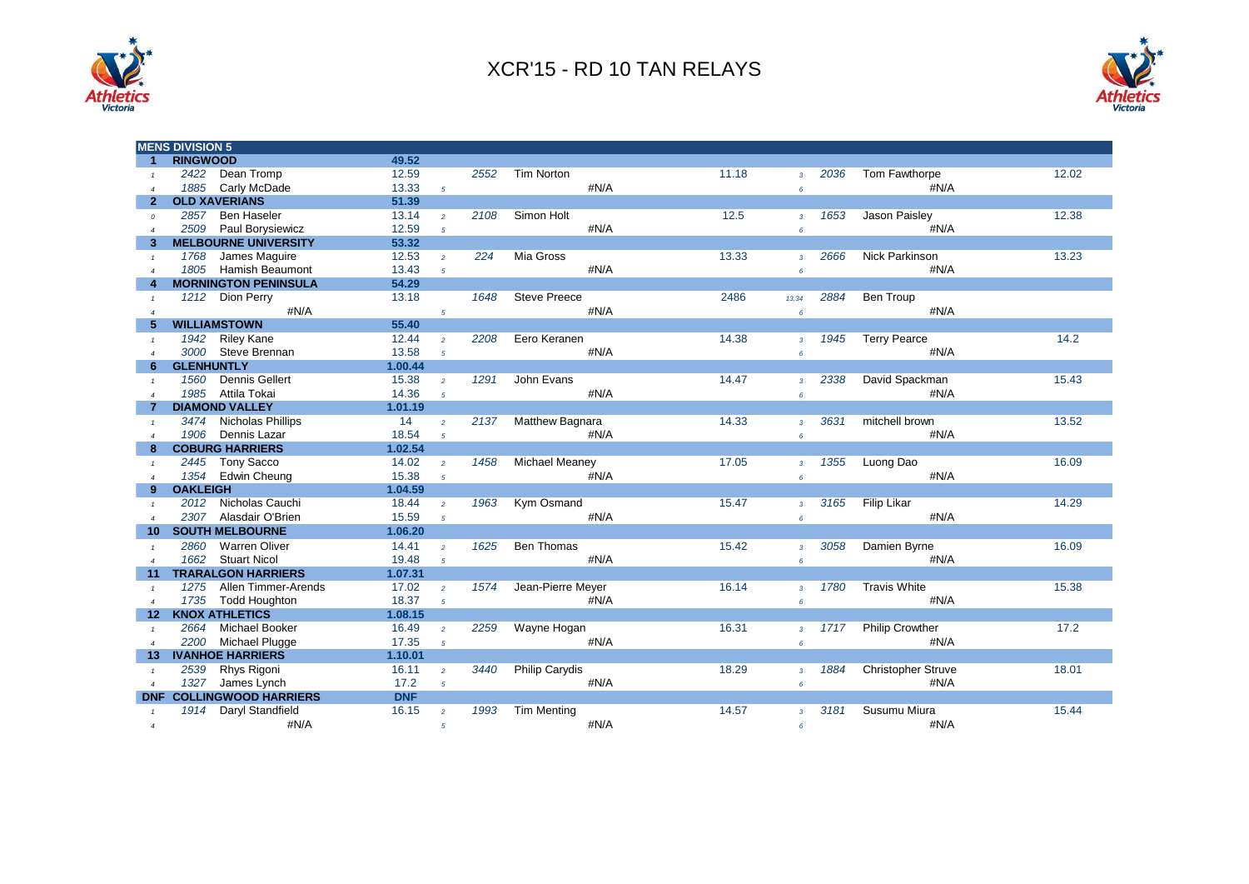



|                        | <b>MENS DIVISION 5</b>         |            |                |      |                       |       |                        |                        |       |
|------------------------|--------------------------------|------------|----------------|------|-----------------------|-------|------------------------|------------------------|-------|
| 1                      | <b>RINGWOOD</b>                | 49.52      |                |      |                       |       |                        |                        |       |
| $\mathbf{1}$           | 2422<br>Dean Tromp             | 12.59      |                | 2552 | Tim Norton            | 11.18 | 2036<br>$\mathbf{3}$   | Tom Fawthorpe          | 12.02 |
| $\boldsymbol{\Delta}$  | 1885<br>Carly McDade           | 13.33      | $5^{\circ}$    |      | #N/A                  |       | 6                      | #N/A                   |       |
| $\mathbf{2}$           | <b>OLD XAVERIANS</b>           | 51.39      |                |      |                       |       |                        |                        |       |
| $\mathfrak{o}$         | 2857<br><b>Ben Haseler</b>     | 13.14      | $\overline{2}$ | 2108 | Simon Holt            | 12.5  | 1653<br>$\overline{3}$ | Jason Paisley          | 12.38 |
| $\boldsymbol{\Delta}$  | 2509<br>Paul Borysiewicz       | 12.59      | 5              |      | #N/A                  |       | 6                      | #N/A                   |       |
| 3                      | <b>MELBOURNE UNIVERSITY</b>    | 53.32      |                |      |                       |       |                        |                        |       |
| $\mathbf{1}$           | 1768<br>James Maguire          | 12.53      | $\overline{2}$ | 224  | Mia Gross             | 13.33 | 2666<br>$\mathcal{R}$  | Nick Parkinson         | 13.23 |
|                        | <b>Hamish Beaumont</b><br>1805 | 13.43      | $\overline{5}$ |      | #N/A                  |       | $\epsilon$             | #N/A                   |       |
|                        | <b>MORNINGTON PENINSULA</b>    | 54.29      |                |      |                       |       |                        |                        |       |
| $\mathbf{1}$           | 1212 Dion Perry                | 13.18      |                | 1648 | <b>Steve Preece</b>   | 2486  | 2884<br>13.34          | Ben Troup              |       |
| $\overline{4}$         | #N/A                           |            | $\sqrt{5}$     |      | #N/A                  |       | 6                      | #N/A                   |       |
|                        | <b>WILLIAMSTOWN</b>            | 55.40      |                |      |                       |       |                        |                        |       |
|                        | <b>Riley Kane</b><br>1942      | 12.44      | $\overline{2}$ | 2208 | Eero Keranen          | 14.38 | 1945<br>$\overline{3}$ | <b>Terry Pearce</b>    | 14.2  |
| $\boldsymbol{\Delta}$  | 3000<br>Steve Brennan          | 13.58      | $5^{\circ}$    |      | #N/A                  |       | 6                      | #N/A                   |       |
| 6                      | <b>GLENHUNTLY</b>              | 1.00.44    |                |      |                       |       |                        |                        |       |
| $\mathcal{I}$          | <b>Dennis Gellert</b><br>1560  | 15.38      | $\overline{2}$ | 1291 | John Evans            | 14.47 | 2338<br>3 <sup>7</sup> | David Spackman         | 15.43 |
| $\overline{a}$         | 1985<br>Attila Tokai           | 14.36      | $\overline{5}$ |      | #N/A                  |       | 6                      | #N/A                   |       |
|                        | <b>DIAMOND VALLEY</b>          | 1.01.19    |                |      |                       |       |                        |                        |       |
| $\mathcal I$           | 3474<br>Nicholas Phillips      | 14         | $\overline{2}$ | 2137 | Matthew Bagnara       | 14.33 | 3631<br>$\overline{3}$ | mitchell brown         | 13.52 |
| $\boldsymbol{\Lambda}$ | 1906<br>Dennis Lazar           | 18.54      | $\overline{5}$ |      | #N/A                  |       | 6                      | #N/A                   |       |
| 8                      | <b>COBURG HARRIERS</b>         | 1.02.54    |                |      |                       |       |                        |                        |       |
| $\mathcal I$           | 2445<br><b>Tony Sacco</b>      | 14.02      | $\overline{2}$ | 1458 | <b>Michael Meaney</b> | 17.05 | 1355<br>$\mathbf{3}$   | Luong Dao              | 16.09 |
| $\overline{4}$         | 1354<br><b>Edwin Cheung</b>    | 15.38      | $\overline{5}$ |      | #N/A                  |       | 6                      | #N/A                   |       |
| 9                      | <b>OAKLEIGH</b>                | 1.04.59    |                |      |                       |       |                        |                        |       |
| $\overline{1}$         | Nicholas Cauchi<br>2012        | 18.44      | $\overline{2}$ | 1963 | Kym Osmand            | 15.47 | 3165<br>$\overline{3}$ | <b>Filip Likar</b>     | 14.29 |
| $\overline{a}$         | 2307 Alasdair O'Brien          | 15.59      | $\overline{5}$ |      | #N/A                  |       | 6                      | #N/A                   |       |
| 10                     | <b>SOUTH MELBOURNE</b>         | 1.06.20    |                |      |                       |       |                        |                        |       |
| $\mathbf{1}$           | Warren Oliver<br>2860          | 14.41      | $\overline{2}$ | 1625 | <b>Ben Thomas</b>     | 15.42 | 3058<br>$\overline{3}$ | Damien Byrne           | 16.09 |
| $\overline{a}$         | <b>Stuart Nicol</b><br>1662    | 19.48      | 5 <sup>1</sup> |      | #N/A                  |       | 6                      | #N/A                   |       |
| 11 <sup>1</sup>        | <b>TRARALGON HARRIERS</b>      | 1.07.31    |                |      |                       |       |                        |                        |       |
| $\mathbf{1}$           | 1275<br>Allen Timmer-Arends    | 17.02      | $\overline{2}$ | 1574 | Jean-Pierre Meyer     | 16.14 | 1780<br>$\overline{3}$ | <b>Travis White</b>    | 15.38 |
| $\overline{4}$         | 1735<br><b>Todd Houghton</b>   | 18.37      | $\overline{5}$ |      | #N/A                  |       | $6^{\circ}$            | #N/A                   |       |
| 12 <sup>2</sup>        | <b>KNOX ATHLETICS</b>          | 1.08.15    |                |      |                       |       |                        |                        |       |
| $\mathbf{1}$           | <b>Michael Booker</b><br>2664  | 16.49      | $\overline{2}$ | 2259 | Wayne Hogan           | 16.31 | 1717<br>3 <sup>7</sup> | <b>Philip Crowther</b> | 17.2  |
| $\overline{4}$         | 2200<br>Michael Plugge         | 17.35      | $\overline{5}$ |      | #N/A                  |       | 6                      | #N/A                   |       |
| 13.                    | <b>IVANHOE HARRIERS</b>        | 1.10.01    |                |      |                       |       |                        |                        |       |
| $\mathbf{1}$           | Rhys Rigoni<br>2539            | 16.11      | $\overline{a}$ | 3440 | Philip Carydis        | 18.29 | 1884<br>$\overline{3}$ | Christopher Struve     | 18.01 |
| $\overline{4}$         | 1327<br>James Lynch            | 17.2       | $5^{\circ}$    |      | #N/A                  |       | 6                      | #N/A                   |       |
| <b>DNF</b>             | <b>COLLINGWOOD HARRIERS</b>    | <b>DNF</b> |                |      |                       |       |                        |                        |       |
| $\mathbf{1}$           | 1914<br>Daryl Standfield       | 16.15      | $\overline{2}$ | 1993 | <b>Tim Menting</b>    | 14.57 | 3181<br>$\mathcal{R}$  | Susumu Miura           | 15.44 |
| $\overline{4}$         | #N/A                           |            | $\overline{5}$ |      | #N/A                  |       | 6                      | #N/A                   |       |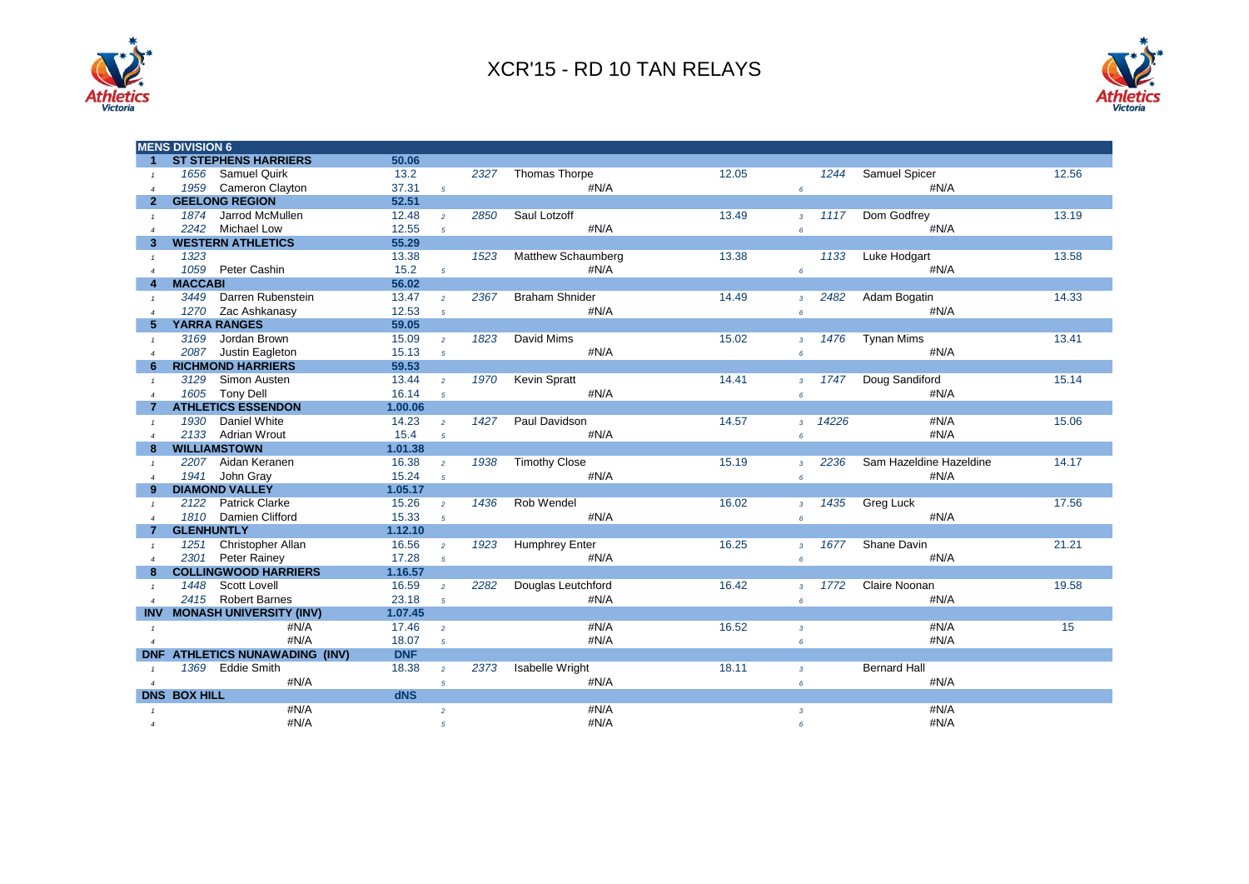



|                       | <b>MENS DIVISION 6</b>                |            |                |      |                        |       |                 |       |                         |       |
|-----------------------|---------------------------------------|------------|----------------|------|------------------------|-------|-----------------|-------|-------------------------|-------|
| $\blacktriangleleft$  | <b>ST STEPHENS HARRIERS</b>           | 50.06      |                |      |                        |       |                 |       |                         |       |
| $\mathbf{1}$          | <b>Samuel Quirk</b><br>1656           | 13.2       |                | 2327 | Thomas Thorpe          | 12.05 |                 | 1244  | Samuel Spicer           | 12.56 |
|                       | 1959<br>Cameron Clayton               | 37.31      | $5^{\circ}$    |      | #N/A                   |       | 6               |       | #N/A                    |       |
| $\mathbf{2}^-$        | <b>GEELONG REGION</b>                 | 52.51      |                |      |                        |       |                 |       |                         |       |
| $\mathcal{I}$         | 1874<br>Jarrod McMullen               | 12.48      | $\overline{2}$ | 2850 | Saul Lotzoff           | 13.49 | $\overline{3}$  | 1117  | Dom Godfrey             | 13.19 |
|                       | Michael Low<br>2242                   | 12.55      | 5 <sup>5</sup> |      | #N/A                   |       | $\pmb{6}$       |       | #N/A                    |       |
| 3                     | <b>WESTERN ATHLETICS</b>              | 55.29      |                |      |                        |       |                 |       |                         |       |
| $\mathbf{1}$          | 1323                                  | 13.38      |                | 1523 | Matthew Schaumberg     | 13.38 |                 | 1133  | Luke Hodgart            | 13.58 |
| $\overline{4}$        | 1059<br>Peter Cashin                  | 15.2       | $5^{\circ}$    |      | #N/A                   |       | $6^{\circ}$     |       | #N/A                    |       |
|                       | <b>MACCABI</b>                        | 56.02      |                |      |                        |       |                 |       |                         |       |
|                       | Darren Rubenstein<br>3449             | 13.47      | $\overline{2}$ | 2367 | <b>Braham Shnider</b>  | 14.49 | $\overline{3}$  | 2482  | Adam Bogatin            | 14.33 |
| $\boldsymbol{\Delta}$ | Zac Ashkanasy<br>1270                 | 12.53      | $\overline{5}$ |      | #N/A                   |       | 6               |       | #N/A                    |       |
| 5                     | <b>YARRA RANGES</b>                   | 59.05      |                |      |                        |       |                 |       |                         |       |
| $\mathcal{I}$         | Jordan Brown<br>3169                  | 15.09      | $\overline{2}$ | 1823 | David Mims             | 15.02 | $\mathbf{3}$    | 1476  | <b>Tynan Mims</b>       | 13.41 |
| $\boldsymbol{\Delta}$ | 2087 Justin Eagleton                  | 15.13      | $\overline{5}$ |      | #N/A                   |       | $\pmb{6}$       |       | #N/A                    |       |
| 6                     | <b>RICHMOND HARRIERS</b>              | 59.53      |                |      |                        |       |                 |       |                         |       |
|                       | 3129<br>Simon Austen                  | 13.44      |                | 1970 | <b>Kevin Spratt</b>    | 14.41 |                 | 1747  | Doug Sandiford          | 15.14 |
| $\mathbf{1}$          | 1605<br><b>Tony Dell</b>              | 16.14      | $\overline{2}$ |      | #N/A                   |       | $\overline{3}$  |       | #N/A                    |       |
|                       | <b>ATHLETICS ESSENDON</b>             |            | 5 <sup>5</sup> |      |                        |       | $\pmb{6}$       |       |                         |       |
|                       |                                       | 1.00.06    |                |      |                        |       |                 |       |                         |       |
| $\mathcal{I}$         | 1930<br>Daniel White                  | 14.23      | $\overline{2}$ | 1427 | Paul Davidson          | 14.57 | 3 <sup>7</sup>  | 14226 | #N/A                    | 15.06 |
|                       | 2133 Adrian Wrout                     | 15.4       | 5 <sup>5</sup> |      | #N/A                   |       | $6\overline{6}$ |       | #N/A                    |       |
|                       | <b>WILLIAMSTOWN</b>                   | 1.01.38    |                |      |                        |       |                 |       |                         |       |
| $\mathbf{1}$          | Aidan Keranen<br>2207                 | 16.38      | $\overline{2}$ | 1938 | <b>Timothy Close</b>   | 15.19 | $\overline{3}$  | 2236  | Sam Hazeldine Hazeldine | 14.17 |
| $\overline{4}$        | 1941<br>John Gray                     | 15.24      | $5^{\circ}$    |      | #N/A                   |       | $6\overline{6}$ |       | #N/A                    |       |
|                       | <b>DIAMOND VALLEY</b>                 | 1.05.17    |                |      |                        |       |                 |       |                         |       |
|                       | <b>Patrick Clarke</b><br>2122         | 15.26      | $\overline{2}$ | 1436 | Rob Wendel             | 16.02 | $\overline{3}$  | 1435  | Greg Luck               | 17.56 |
| $\overline{a}$        | 1810 Damien Clifford                  | 15.33      | $5^{\circ}$    |      | #N/A                   |       | 6               |       | #N/A                    |       |
|                       | <b>GLENHUNTLY</b>                     | 1.12.10    |                |      |                        |       |                 |       |                         |       |
| $\mathcal{I}$         | 1251<br>Christopher Allan             | 16.56      | $\overline{2}$ | 1923 | Humphrey Enter         | 16.25 | $\overline{3}$  | 1677  | Shane Davin             | 21.21 |
| $\boldsymbol{\Delta}$ | 2301<br>Peter Rainey                  | 17.28      | $5^{\circ}$    |      | #N/A                   |       | $6\overline{6}$ |       | #N/A                    |       |
| 8                     | <b>COLLINGWOOD HARRIERS</b>           | 1.16.57    |                |      |                        |       |                 |       |                         |       |
|                       | <b>Scott Lovell</b><br>1448           | 16.59      | $\overline{2}$ | 2282 | Douglas Leutchford     | 16.42 | $\overline{3}$  | 1772  | Claire Noonan           | 19.58 |
|                       | 2415<br><b>Robert Barnes</b>          | 23.18      | $\overline{5}$ |      | #N/A                   |       | $6\overline{6}$ |       | #N/A                    |       |
|                       | INV MONASH UNIVERSITY (INV)           | 1.07.45    |                |      |                        |       |                 |       |                         |       |
| $\mathbf{1}$          | #N/A                                  | 17.46      | $\overline{2}$ |      | #N/A                   | 16.52 | $\mathbf{3}$    |       | #N/A                    | 15    |
| $\overline{a}$        | #N/A                                  | 18.07      | 5 <sup>5</sup> |      | #N/A                   |       | $6\overline{6}$ |       | #N/A                    |       |
|                       | <b>DNF ATHLETICS NUNAWADING (INV)</b> | <b>DNF</b> |                |      |                        |       |                 |       |                         |       |
|                       | 1369 Eddie Smith                      | 18.38      | $\overline{a}$ | 2373 | <b>Isabelle Wright</b> | 18.11 | $\overline{3}$  |       | <b>Bernard Hall</b>     |       |
| $\overline{4}$        | #N/A                                  |            | 5 <sup>5</sup> |      | #N/A                   |       | 6               |       | #N/A                    |       |
|                       | <b>DNS BOX HILL</b>                   | dNS        |                |      |                        |       |                 |       |                         |       |
|                       | #N/A                                  |            | $\overline{a}$ |      | #N/A                   |       | $\overline{3}$  |       | #N/A                    |       |
| $\boldsymbol{\Delta}$ | #N/A                                  |            | 5              |      | #N/A                   |       | 6               |       | #N/A                    |       |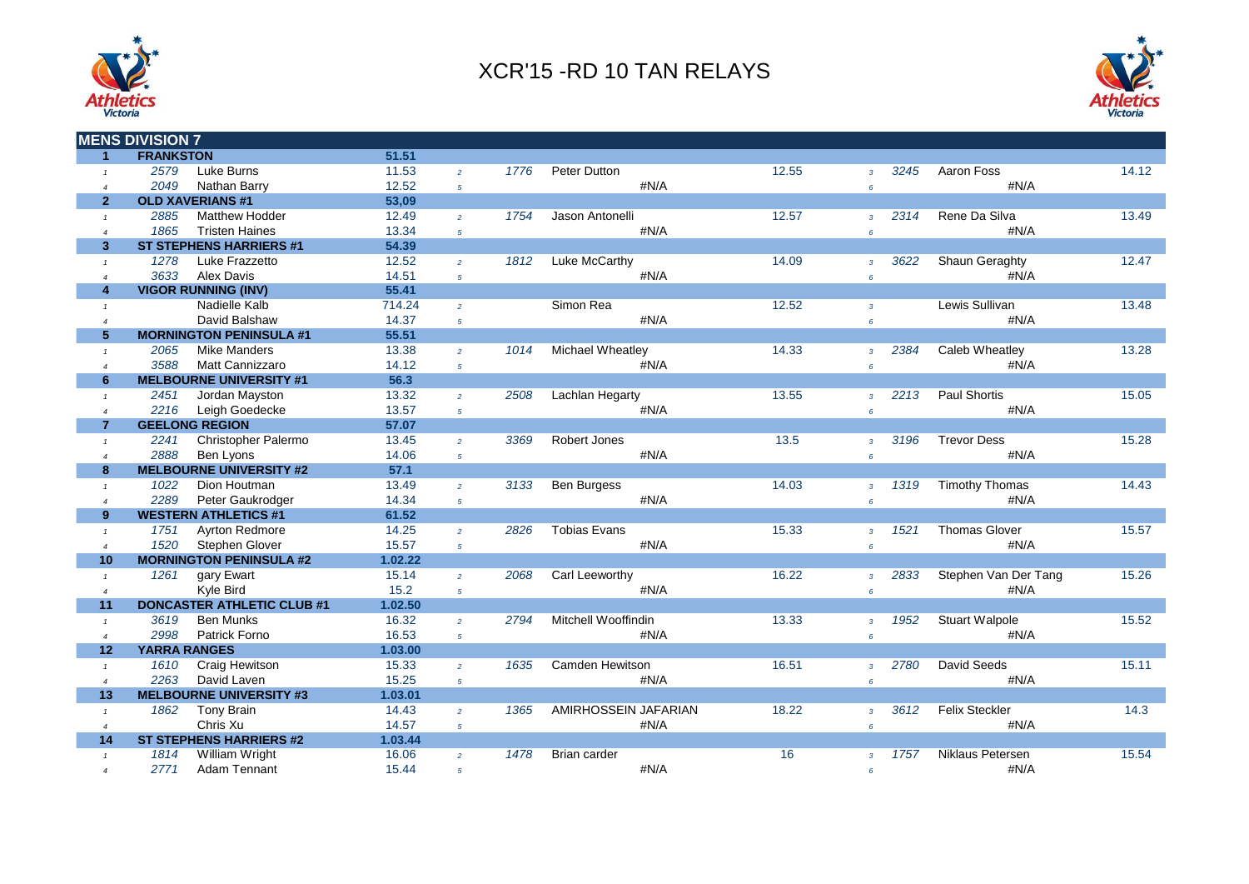



|                      | <b>MENS DIVISION 7</b>            |         |                |      |                        |       |                        |                       |       |
|----------------------|-----------------------------------|---------|----------------|------|------------------------|-------|------------------------|-----------------------|-------|
| $\blacktriangleleft$ | <b>FRANKSTON</b>                  | 51.51   |                |      |                        |       |                        |                       |       |
| $\mathbf{1}$         | 2579<br>Luke Burns                | 11.53   | $\overline{a}$ | 1776 | Peter Dutton           | 12.55 | 3245<br>$\overline{3}$ | Aaron Foss            | 14.12 |
| $\overline{4}$       | 2049<br>Nathan Barry              | 12.52   | $\mathfrak{s}$ |      | #N/A                   |       | $6\overline{6}$        | #N/A                  |       |
| $\overline{2}$       | <b>OLD XAVERIANS #1</b>           | 53,09   |                |      |                        |       |                        |                       |       |
| $\mathbf{1}$         | 2885<br><b>Matthew Hodder</b>     | 12.49   | $\overline{2}$ | 1754 | Jason Antonelli        | 12.57 | 2314<br>$\overline{3}$ | Rene Da Silva         | 13.49 |
| $\overline{4}$       | 1865<br><b>Tristen Haines</b>     | 13.34   | $\overline{5}$ |      | #N/A                   |       | $6\overline{6}$        | #N/A                  |       |
| 3 <sup>2</sup>       | <b>ST STEPHENS HARRIERS #1</b>    | 54.39   |                |      |                        |       |                        |                       |       |
| $\mathbf{1}$         | 1278<br>Luke Frazzetto            | 12.52   | $\overline{2}$ | 1812 | <b>Luke McCarthy</b>   | 14.09 | 3622<br>$\mathbf{3}$   | <b>Shaun Geraghty</b> | 12.47 |
| $\overline{4}$       | <b>Alex Davis</b><br>3633         | 14.51   | $\mathfrak{s}$ |      | #N/A                   |       | $6\overline{6}$        | #N/A                  |       |
| $\overline{4}$       | <b>VIGOR RUNNING (INV)</b>        | 55.41   |                |      |                        |       |                        |                       |       |
| $\mathbf{1}$         | Nadielle Kalb                     | 714.24  | $\overline{2}$ |      | Simon Rea              | 12.52 | $\overline{3}$         | Lewis Sullivan        | 13.48 |
| $\overline{4}$       | David Balshaw                     | 14.37   | $\mathfrak{s}$ |      | #N/A                   |       | $6\overline{6}$        | #N/A                  |       |
| 5 <sup>5</sup>       | <b>MORNINGTON PENINSULA #1</b>    | 55.51   |                |      |                        |       |                        |                       |       |
| $\mathbf{1}$         | <b>Mike Manders</b><br>2065       | 13.38   | $\overline{2}$ | 1014 | Michael Wheatley       | 14.33 | 2384<br>$\overline{3}$ | Caleb Wheatley        | 13.28 |
| $\overline{4}$       | 3588<br><b>Matt Cannizzaro</b>    | 14.12   | $\overline{5}$ |      | #N/A                   |       | $\epsilon$             | #N/A                  |       |
| 6                    | <b>MELBOURNE UNIVERSITY #1</b>    | 56.3    |                |      |                        |       |                        |                       |       |
| $\mathbf{1}$         | 2451<br>Jordan Mayston            | 13.32   | $\overline{2}$ | 2508 | Lachlan Hegarty        | 13.55 | 2213<br>$\overline{3}$ | <b>Paul Shortis</b>   | 15.05 |
| $\overline{4}$       | 2216<br>Leigh Goedecke            | 13.57   | $5^{\circ}$    |      | #N/A                   |       | 6                      | #N/A                  |       |
| $\overline{7}$       | <b>GEELONG REGION</b>             | 57.07   |                |      |                        |       |                        |                       |       |
| $\mathbf{1}$         | 2241<br>Christopher Palermo       | 13.45   | $\overline{2}$ | 3369 | Robert Jones           | 13.5  | 3196<br>$\mathbf{3}$   | <b>Trevor Dess</b>    | 15.28 |
| $\overline{4}$       | 2888<br>Ben Lyons                 | 14.06   | $5^{\circ}$    |      | #N/A                   |       | $6\overline{6}$        | #N/A                  |       |
| 8                    | <b>MELBOURNE UNIVERSITY #2</b>    | 57.1    |                |      |                        |       |                        |                       |       |
| $\mathbf{1}$         | Dion Houtman<br>1022              | 13.49   | $\overline{2}$ | 3133 | <b>Ben Burgess</b>     | 14.03 | 1319<br>$\overline{3}$ | <b>Timothy Thomas</b> | 14.43 |
| $\overline{4}$       | 2289<br>Peter Gaukrodger          | 14.34   | $\overline{5}$ |      | #N/A                   |       | 6                      | #N/A                  |       |
| 9                    | <b>WESTERN ATHLETICS #1</b>       | 61.52   |                |      |                        |       |                        |                       |       |
| $\mathbf{1}$         | <b>Ayrton Redmore</b><br>1751     | 14.25   | $\overline{2}$ | 2826 | <b>Tobias Evans</b>    | 15.33 | 1521<br>$\mathbf{3}$   | <b>Thomas Glover</b>  | 15.57 |
| $\overline{4}$       | 1520<br>Stephen Glover            | 15.57   | $\overline{5}$ |      | #N/A                   |       | 6                      | #N/A                  |       |
| 10                   | <b>MORNINGTON PENINSULA #2</b>    | 1.02.22 |                |      |                        |       |                        |                       |       |
| $\mathbf{1}$         | 1261<br>gary Ewart                | 15.14   | $\overline{2}$ | 2068 | Carl Leeworthy         | 16.22 | 2833<br>$\overline{3}$ | Stephen Van Der Tang  | 15.26 |
| $\overline{4}$       | Kyle Bird                         | 15.2    | $\overline{5}$ |      | #N/A                   |       | $6^{\circ}$            | #N/A                  |       |
| 11                   | <b>DONCASTER ATHLETIC CLUB #1</b> | 1.02.50 |                |      |                        |       |                        |                       |       |
| $\mathbf{1}$         | 3619<br><b>Ben Munks</b>          | 16.32   | $\overline{2}$ | 2794 | Mitchell Wooffindin    | 13.33 | 1952<br>$\overline{3}$ | <b>Stuart Walpole</b> | 15.52 |
| $\overline{4}$       | 2998<br>Patrick Forno             | 16.53   | $5^{\circ}$    |      | #N/A                   |       | 6                      | #N/A                  |       |
| 12                   | <b>YARRA RANGES</b>               | 1.03.00 |                |      |                        |       |                        |                       |       |
| $\mathbf{1}$         | 1610<br>Craig Hewitson            | 15.33   | $\overline{2}$ | 1635 | <b>Camden Hewitson</b> | 16.51 | 2780<br>$\overline{3}$ | <b>David Seeds</b>    | 15.11 |
| $\overline{4}$       | 2263<br>David Laven               | 15.25   | $5^{\circ}$    |      | #N/A                   |       | $6^{\circ}$            | #N/A                  |       |
| 13                   | <b>MELBOURNE UNIVERSITY #3</b>    | 1.03.01 |                |      |                        |       |                        |                       |       |
| $\mathbf{1}$         | 1862<br><b>Tony Brain</b>         | 14.43   | $\overline{2}$ | 1365 | AMIRHOSSEIN JAFARIAN   | 18.22 | 3612<br>$\mathbf{3}$   | <b>Felix Steckler</b> | 14.3  |
| $\overline{4}$       | Chris Xu                          | 14.57   | 5 <sup>5</sup> |      | #N/A                   |       | $6\overline{6}$        | #N/A                  |       |
| 14                   | <b>ST STEPHENS HARRIERS #2</b>    | 1.03.44 |                |      |                        |       |                        |                       |       |
| $\mathbf{1}$         | 1814<br>William Wright            | 16.06   | $\overline{2}$ | 1478 | Brian carder           | 16    | 1757<br>$\overline{3}$ | Niklaus Petersen      | 15.54 |
| $\overline{a}$       | 2771<br>Adam Tennant              | 15.44   | $\overline{5}$ |      | #N/A                   |       | 6                      | #N/A                  |       |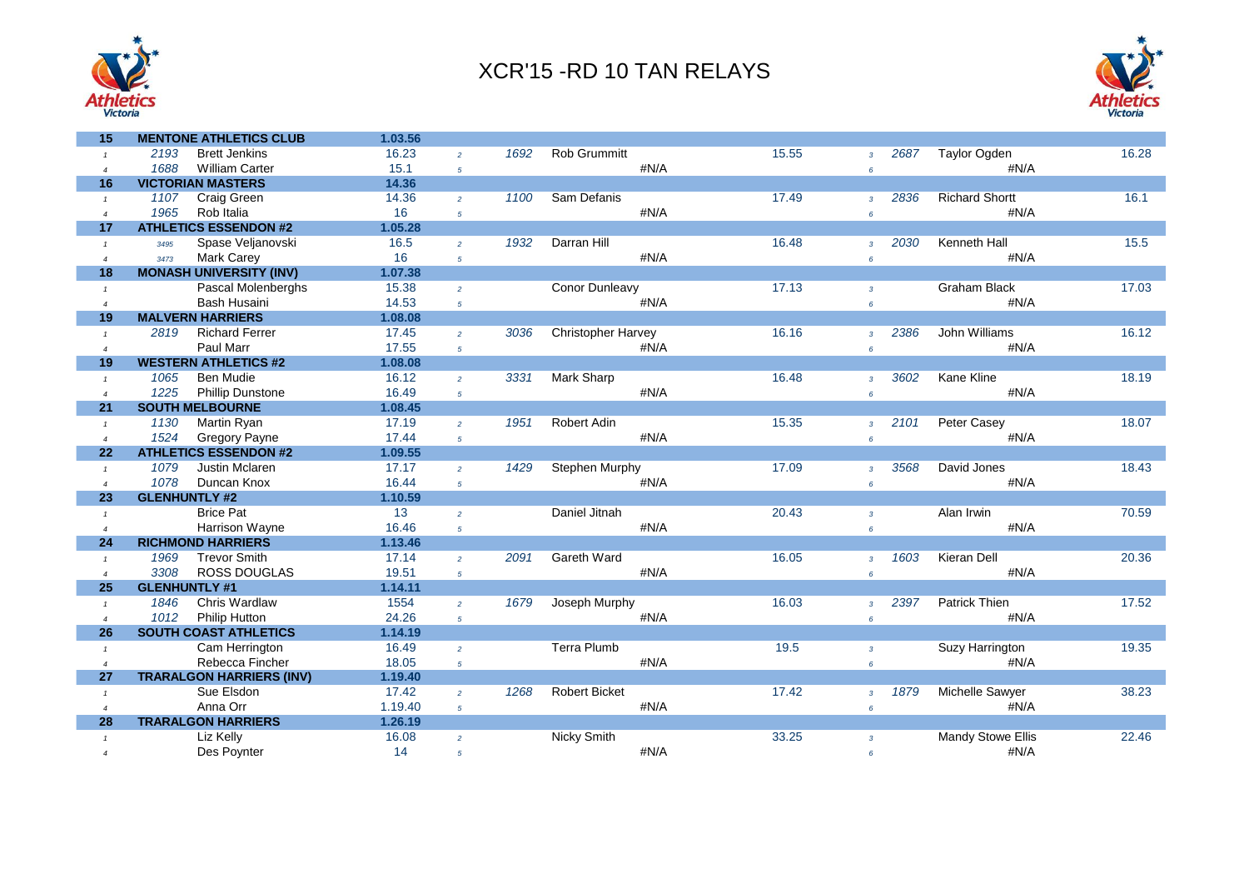



| 15             | <b>MENTONE ATHLETICS CLUB</b>   | 1.03.56 |                |      |                           |       |                        |                          |       |
|----------------|---------------------------------|---------|----------------|------|---------------------------|-------|------------------------|--------------------------|-------|
| $\mathbf{1}$   | 2193<br><b>Brett Jenkins</b>    | 16.23   | $\overline{2}$ | 1692 | Rob Grummitt              | 15.55 | 2687<br>$\overline{3}$ | <b>Taylor Ogden</b>      | 16.28 |
| $\overline{4}$ | 1688<br><b>William Carter</b>   | 15.1    | $5^{\circ}$    |      | #N/A                      |       | 6                      | #N/A                     |       |
| 16             | <b>VICTORIAN MASTERS</b>        | 14.36   |                |      |                           |       |                        |                          |       |
| $\mathbf{1}$   | Craig Green<br>1107             | 14.36   | $\overline{2}$ | 1100 | Sam Defanis               | 17.49 | 2836<br>$\overline{3}$ | <b>Richard Shortt</b>    | 16.1  |
| $\overline{4}$ | 1965<br>Rob Italia              | 16      | $\overline{5}$ |      | #N/A                      |       | $6\overline{6}$        | #N/A                     |       |
| 17             | <b>ATHLETICS ESSENDON #2</b>    | 1.05.28 |                |      |                           |       |                        |                          |       |
| $\mathbf{1}$   | Spase Veljanovski<br>3495       | 16.5    | $\overline{2}$ | 1932 | Darran Hill               | 16.48 | 2030<br>$\overline{3}$ | <b>Kenneth Hall</b>      | 15.5  |
| $\overline{4}$ | Mark Carey<br>3473              | 16      | $\sqrt{5}$     |      | #N/A                      |       | $6\overline{6}$        | #N/A                     |       |
| 18             | <b>MONASH UNIVERSITY (INV)</b>  | 1.07.38 |                |      |                           |       |                        |                          |       |
| $\mathbf{1}$   | Pascal Molenberghs              | 15.38   | $\overline{2}$ |      | Conor Dunleavy            | 17.13 | $\overline{3}$         | <b>Graham Black</b>      | 17.03 |
| $\overline{4}$ | <b>Bash Husaini</b>             | 14.53   | $\mathfrak{s}$ |      | #N/A                      |       | $\epsilon$             | #N/A                     |       |
| 19             | <b>MALVERN HARRIERS</b>         | 1.08.08 |                |      |                           |       |                        |                          |       |
| $\mathbf{1}$   | 2819<br><b>Richard Ferrer</b>   | 17.45   | $\overline{2}$ | 3036 | <b>Christopher Harvey</b> | 16.16 | 2386<br>$\overline{3}$ | John Williams            | 16.12 |
| $\overline{4}$ | Paul Marr                       | 17.55   | $\sqrt{5}$     |      | #N/A                      |       | $\epsilon$             | #N/A                     |       |
| 19             | <b>WESTERN ATHLETICS #2</b>     | 1.08.08 |                |      |                           |       |                        |                          |       |
| $\mathbf{1}$   | 1065<br><b>Ben Mudie</b>        | 16.12   | $\overline{2}$ | 3331 | Mark Sharp                | 16.48 | 3602<br>$\overline{3}$ | Kane Kline               | 18.19 |
| $\overline{4}$ | 1225<br><b>Phillip Dunstone</b> | 16.49   | $\sqrt{5}$     |      | #N/A                      |       | $6\overline{6}$        | #N/A                     |       |
| 21             | <b>SOUTH MELBOURNE</b>          | 1.08.45 |                |      |                           |       |                        |                          |       |
| $\mathbf{1}$   | 1130<br>Martin Ryan             | 17.19   | $\overline{2}$ | 1951 | Robert Adin               | 15.35 | 2101<br>$\overline{3}$ | Peter Casey              | 18.07 |
| $\overline{4}$ | 1524<br><b>Gregory Payne</b>    | 17.44   | $5^{\circ}$    |      | #N/A                      |       | $\epsilon$             | #N/A                     |       |
| 22             | <b>ATHLETICS ESSENDON #2</b>    | 1.09.55 |                |      |                           |       |                        |                          |       |
| $\mathbf{1}$   | 1079<br>Justin Mclaren          | 17.17   | $\overline{2}$ | 1429 | Stephen Murphy            | 17.09 | 3568<br>$\overline{3}$ | David Jones              | 18.43 |
| $\overline{4}$ | 1078<br>Duncan Knox             | 16.44   | $\overline{5}$ |      | #N/A                      |       | $\epsilon$             | #N/A                     |       |
| 23             | <b>GLENHUNTLY #2</b>            | 1.10.59 |                |      |                           |       |                        |                          |       |
| $\mathbf{1}$   | <b>Brice Pat</b>                | 13      | $\overline{2}$ |      | Daniel Jitnah             | 20.43 | $\overline{3}$         | Alan Irwin               | 70.59 |
| $\overline{4}$ | Harrison Wayne                  | 16.46   | $\sqrt{5}$     |      | #N/A                      |       | $6\overline{6}$        | #N/A                     |       |
| 24             | <b>RICHMOND HARRIERS</b>        | 1.13.46 |                |      |                           |       |                        |                          |       |
| $\mathbf{1}$   | <b>Trevor Smith</b><br>1969     | 17.14   | $\overline{2}$ | 2091 | <b>Gareth Ward</b>        | 16.05 | 1603<br>$\overline{3}$ | Kieran Dell              | 20.36 |
| $\overline{4}$ | 3308<br><b>ROSS DOUGLAS</b>     | 19.51   | $5^{\circ}$    |      | #N/A                      |       | $6\overline{6}$        | #N/A                     |       |
| 25             | <b>GLENHUNTLY #1</b>            | 1.14.11 |                |      |                           |       |                        |                          |       |
| $\mathbf{1}$   | Chris Wardlaw<br>1846           | 1554    | $\overline{2}$ | 1679 | Joseph Murphy             | 16.03 | 2397<br>$\overline{z}$ | <b>Patrick Thien</b>     | 17.52 |
| $\overline{4}$ | 1012<br><b>Philip Hutton</b>    | 24.26   | $\sqrt{5}$     |      | #N/A                      |       | 6                      | #N/A                     |       |
| 26             | <b>SOUTH COAST ATHLETICS</b>    | 1.14.19 |                |      |                           |       |                        |                          |       |
| $\mathbf{1}$   | Cam Herrington                  | 16.49   | $\overline{2}$ |      | Terra Plumb               | 19.5  | $\mathbf{3}$           | Suzy Harrington          | 19.35 |
| $\overline{4}$ | Rebecca Fincher                 | 18.05   | $\sqrt{5}$     |      | #N/A                      |       | $6\overline{6}$        | #N/A                     |       |
| 27             | <b>TRARALGON HARRIERS (INV)</b> | 1.19.40 |                |      |                           |       |                        |                          |       |
| $\mathbf{1}$   | Sue Elsdon                      | 17.42   | $\overline{2}$ | 1268 | <b>Robert Bicket</b>      | 17.42 | 1879<br>$\overline{3}$ | <b>Michelle Sawyer</b>   | 38.23 |
| $\overline{4}$ | Anna Orr                        | 1.19.40 | $\overline{5}$ |      | #N/A                      |       | $6\overline{6}$        | #N/A                     |       |
| 28             | <b>TRARALGON HARRIERS</b>       | 1.26.19 |                |      |                           |       |                        |                          |       |
| $\mathbf{1}$   | Liz Kelly                       | 16.08   | $\overline{2}$ |      | Nicky Smith               | 33.25 | $\overline{3}$         | <b>Mandy Stowe Ellis</b> | 22.46 |
| $\overline{4}$ | Des Poynter                     | 14      | $\sqrt{5}$     |      | #N/A                      |       | $6\overline{6}$        | #N/A                     |       |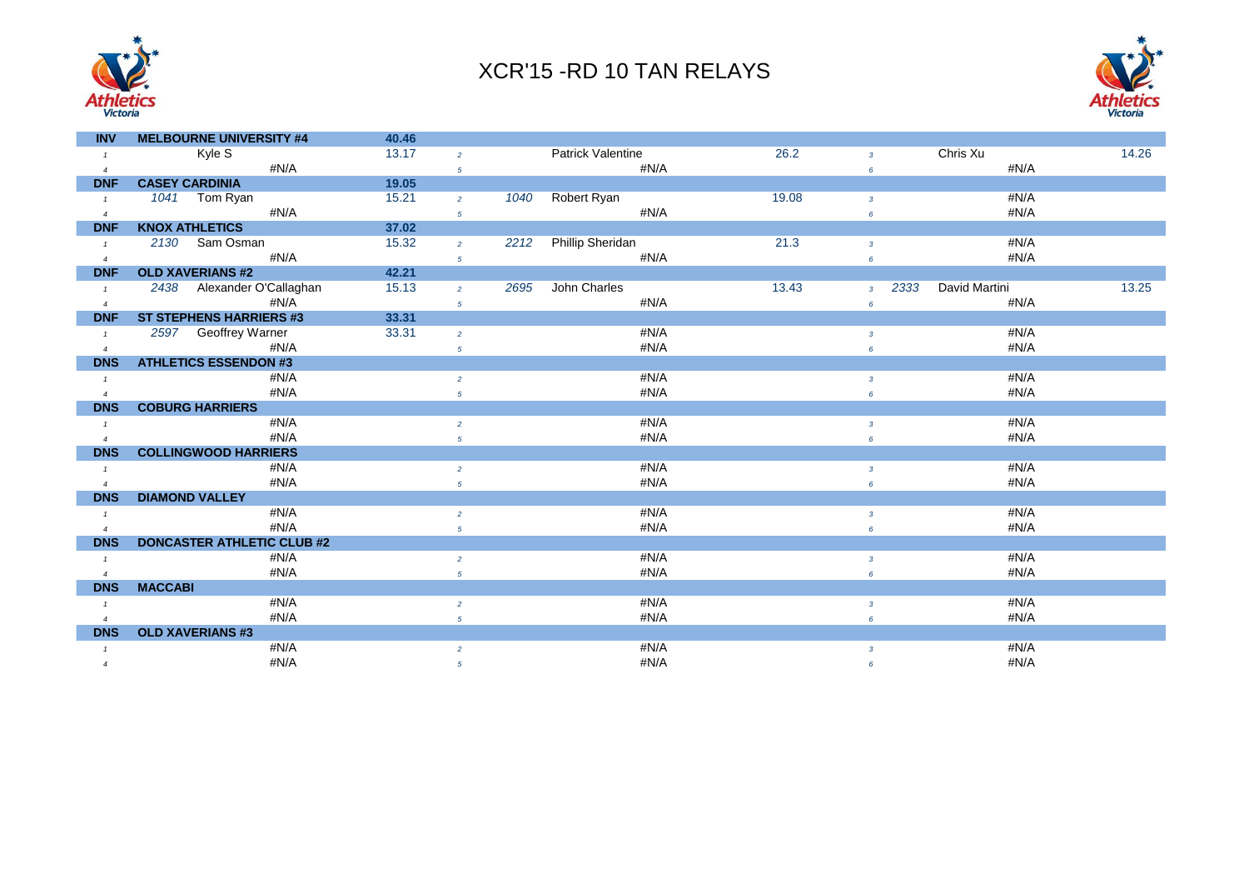



| <b>INV</b>     | <b>MELBOURNE UNIVERSITY #4</b>    | 40.46 |                 |                                 |      |       |                        |               |       |
|----------------|-----------------------------------|-------|-----------------|---------------------------------|------|-------|------------------------|---------------|-------|
|                | Kyle S                            | 13.17 | $\overline{2}$  | Patrick Valentine               |      | 26.2  | $\overline{3}$         | Chris Xu      | 14.26 |
| $\overline{4}$ | $\#N/A$                           |       | $\sqrt{5}$      |                                 | #N/A |       | $6\overline{6}$        | #N/A          |       |
| <b>DNF</b>     | <b>CASEY CARDINIA</b>             | 19.05 |                 |                                 |      |       |                        |               |       |
| $\mathbf{1}$   | 1041 Tom Ryan                     | 15.21 | $\overline{2}$  | Robert Ryan<br>1040             |      | 19.08 | $\mathbf{3}$           | #N/A          |       |
| $\overline{4}$ | #N/A                              |       | 5               |                                 | #N/A |       | $6\overline{6}$        | #N/A          |       |
| <b>DNF</b>     | <b>KNOX ATHLETICS</b>             | 37.02 |                 |                                 |      |       |                        |               |       |
| $\mathbf{1}$   | 2130 Sam Osman                    | 15.32 | $\overline{2}$  | <b>Phillip Sheridan</b><br>2212 |      | 21.3  | $\mathbf{3}$           | #N/A          |       |
| $\overline{4}$ | #N/A                              |       | $5\phantom{.0}$ |                                 | #N/A |       | $6\overline{6}$        | #N/A          |       |
| <b>DNF</b>     | <b>OLD XAVERIANS #2</b>           | 42.21 |                 |                                 |      |       |                        |               |       |
| $\mathbf{1}$   | 2438 Alexander O'Callaghan        | 15.13 | $\overline{2}$  | John Charles<br>2695            |      | 13.43 | 2333<br>$\overline{3}$ | David Martini | 13.25 |
| $\overline{4}$ | #N/A                              |       | $\sqrt{5}$      |                                 | #N/A |       | 6                      | #N/A          |       |
| <b>DNF</b>     | <b>ST STEPHENS HARRIERS #3</b>    | 33.31 |                 |                                 |      |       |                        |               |       |
| $\mathcal{I}$  | 2597 Geoffrey Warner              | 33.31 | $\overline{2}$  |                                 | #N/A |       | $\overline{3}$         | #N/A          |       |
| $\overline{4}$ | #N/A                              |       | $\sqrt{5}$      |                                 | #N/A |       | $6\overline{6}$        | #N/A          |       |
| <b>DNS</b>     | <b>ATHLETICS ESSENDON #3</b>      |       |                 |                                 |      |       |                        |               |       |
| $\mathbf{1}$   | #N/A                              |       | $\overline{2}$  |                                 | #N/A |       | $\mathbf{3}$           | #N/A          |       |
| $\overline{4}$ | #N/A                              |       | $\sqrt{5}$      |                                 | #N/A |       | 6                      | #N/A          |       |
| <b>DNS</b>     | <b>COBURG HARRIERS</b>            |       |                 |                                 |      |       |                        |               |       |
| $\mathbf{1}$   | #N/A                              |       | $\overline{2}$  |                                 | #N/A |       | $\overline{3}$         | #N/A          |       |
| $\overline{4}$ | #N/A                              |       | $\overline{5}$  |                                 | #N/A |       | 6                      | #N/A          |       |
| <b>DNS</b>     | <b>COLLINGWOOD HARRIERS</b>       |       |                 |                                 |      |       |                        |               |       |
| $\mathbf{1}$   | #N/A                              |       | $\overline{c}$  |                                 | #N/A |       | $\mathbf{3}$           | #N/A          |       |
| $\overline{4}$ | #N/A                              |       | $\sqrt{5}$      |                                 | #N/A |       | $6\overline{6}$        | #N/A          |       |
| <b>DNS</b>     | <b>DIAMOND VALLEY</b>             |       |                 |                                 |      |       |                        |               |       |
| $\mathbf{1}$   | #N/A                              |       | $\overline{2}$  |                                 | #N/A |       | $\overline{3}$         | #N/A          |       |
| $\overline{4}$ | #N/A                              |       | 5               |                                 | #N/A |       | 6                      | #N/A          |       |
| <b>DNS</b>     | <b>DONCASTER ATHLETIC CLUB #2</b> |       |                 |                                 |      |       |                        |               |       |
| $\mathbf{1}$   | #N/A                              |       | $\overline{c}$  |                                 | #N/A |       | $\mathbf{3}$           | #N/A          |       |
| $\overline{4}$ | #N/A                              |       | 5               |                                 | #N/A |       | 6                      | #N/A          |       |
| <b>DNS</b>     | <b>MACCABI</b>                    |       |                 |                                 |      |       |                        |               |       |
| $\mathbf{1}$   | #N/A                              |       | $\overline{a}$  |                                 | #N/A |       | $\overline{3}$         | #N/A          |       |
|                | #N/A                              |       | $\sqrt{5}$      |                                 | #N/A |       | 6                      | #N/A          |       |
| <b>DNS</b>     | <b>OLD XAVERIANS #3</b>           |       |                 |                                 |      |       |                        |               |       |
| $\mathbf{1}$   | #N/A                              |       | $\overline{2}$  |                                 | #N/A |       | $\overline{3}$         | #N/A          |       |
| $\overline{4}$ | #N/A                              |       | $\sqrt{5}$      |                                 | #N/A |       | 6                      | #N/A          |       |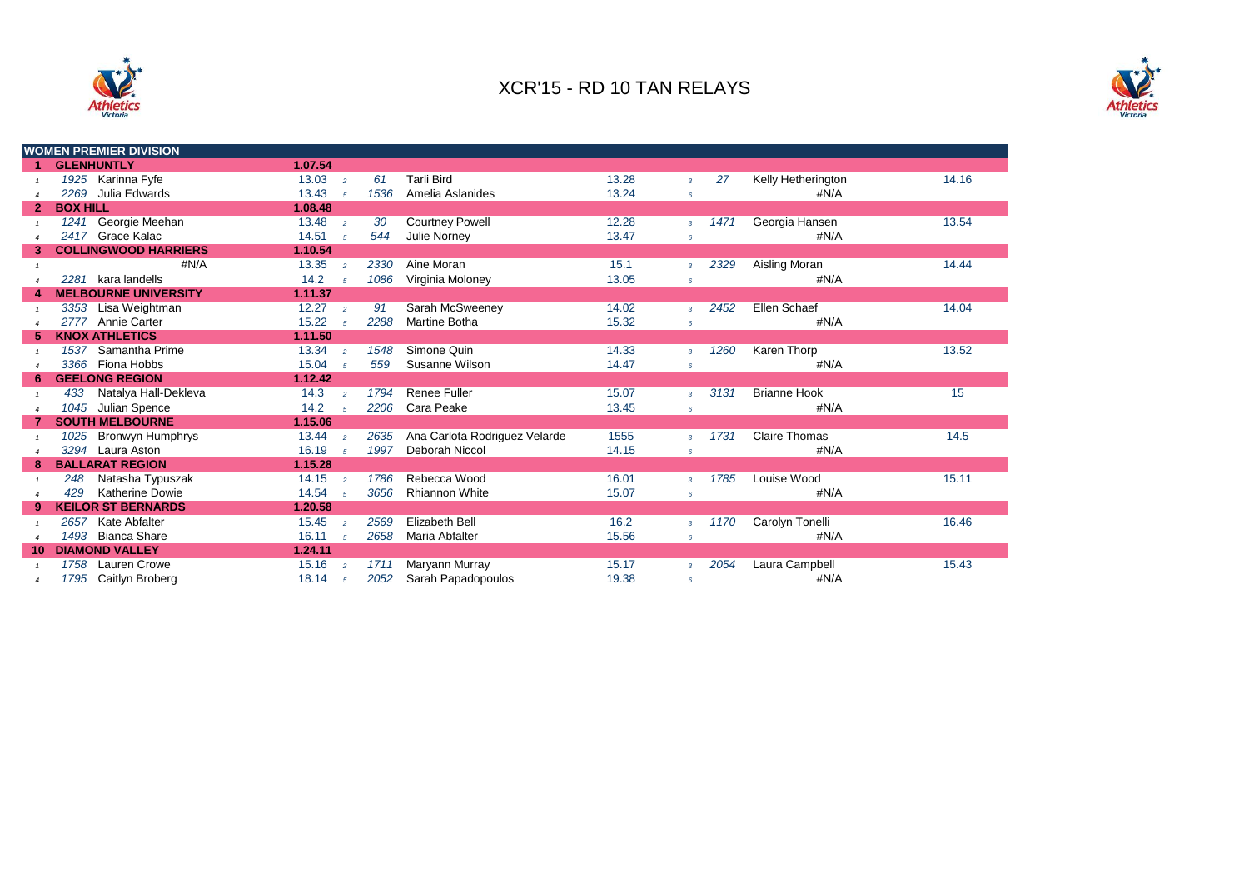



|                | <b>WOMEN PREMIER DIVISION</b>   |                         |                     |                               |       |                |      |                      |       |
|----------------|---------------------------------|-------------------------|---------------------|-------------------------------|-------|----------------|------|----------------------|-------|
| 1              | <b>GLENHUNTLY</b>               | 1.07.54                 |                     |                               |       |                |      |                      |       |
|                | 1925 Karinna Fyfe               | 13.03<br>$\overline{2}$ | 61                  | <b>Tarli Bird</b>             | 13.28 | $\overline{3}$ | 27   | Kelly Hetherington   | 14.16 |
|                | Julia Edwards<br>2269           | 13.43<br>5              | 1536                | Amelia Aslanides              | 13.24 | $\epsilon$     |      | #N/A                 |       |
| $\overline{2}$ | <b>BOX HILL</b>                 | 1.08.48                 |                     |                               |       |                |      |                      |       |
|                | 1241 Georgie Meehan             | 13.48<br>$\overline{2}$ | 30                  | <b>Courtney Powell</b>        | 12.28 | $\mathcal{R}$  | 1471 | Georgia Hansen       | 13.54 |
|                | 2417 Grace Kalac                | 14.51<br>5              | 544                 | Julie Norney                  | 13.47 | 6              |      | #N/A                 |       |
| 3              | <b>COLLINGWOOD HARRIERS</b>     | 1.10.54                 |                     |                               |       |                |      |                      |       |
|                | #N/A                            | 13.35<br>$\overline{2}$ | 2330                | Aine Moran                    | 15.1  | $\overline{3}$ | 2329 | Aisling Moran        | 14.44 |
|                | kara landells<br>2281           | 14.2<br>5               | 1086                | Virginia Moloney              | 13.05 | 6              |      | #N/A                 |       |
|                | <b>MELBOURNE UNIVERSITY</b>     | 1.11.37                 |                     |                               |       |                |      |                      |       |
|                | 3353 Lisa Weightman             | 12.27<br>$\overline{2}$ | 91                  | Sarah McSweeney               | 14.02 | $\overline{3}$ | 2452 | Ellen Schaef         | 14.04 |
|                | Annie Carter<br>2777            | 15.22<br>5              | 2288                | Martine Botha                 | 15.32 | 6              |      | #N/A                 |       |
| 5.             | <b>KNOX ATHLETICS</b>           | 1.11.50                 |                     |                               |       |                |      |                      |       |
|                | 1537 Samantha Prime             | 13.34<br>$\overline{2}$ | 1548                | Simone Quin                   | 14.33 | $\overline{3}$ | 1260 | Karen Thorp          | 13.52 |
|                | 3366 Fiona Hobbs                | 15.04<br>5              | 559                 | Susanne Wilson                | 14.47 | 6              |      | #N/A                 |       |
| 6              | <b>GEELONG REGION</b>           | 1.12.42                 |                     |                               |       |                |      |                      |       |
|                | Natalya Hall-Dekleva<br>433     | 14.3<br>$\overline{2}$  | 1794                | <b>Renee Fuller</b>           | 15.07 | $\overline{3}$ | 3131 | <b>Brianne Hook</b>  | 15    |
| $\overline{4}$ | 1045<br>Julian Spence           | 14.2                    | 2206<br>$5^{\circ}$ | Cara Peake                    | 13.45 | 6              |      | #N/A                 |       |
|                | <b>SOUTH MELBOURNE</b>          | 1.15.06                 |                     |                               |       |                |      |                      |       |
|                | <b>Bronwyn Humphrys</b><br>1025 | 13.44<br>$\overline{2}$ | 2635                | Ana Carlota Rodriguez Velarde | 1555  | $\overline{3}$ | 1731 | <b>Claire Thomas</b> | 14.5  |
|                | 3294 Laura Aston                | 16.19<br>5              | 1997                | Deborah Niccol                | 14.15 | 6              |      | #N/A                 |       |
| 8              | <b>BALLARAT REGION</b>          | 1.15.28                 |                     |                               |       |                |      |                      |       |
|                | Natasha Typuszak<br>248         | 14.15<br>$\overline{2}$ | 1786                | Rebecca Wood                  | 16.01 | $\overline{3}$ | 1785 | Louise Wood          | 15.11 |
| $\overline{4}$ | <b>Katherine Dowie</b><br>429   | 14.54<br>5              | 3656                | <b>Rhiannon White</b>         | 15.07 | 6              |      | #N/A                 |       |
| 9              | <b>KEILOR ST BERNARDS</b>       | 1.20.58                 |                     |                               |       |                |      |                      |       |
|                | 2657<br>Kate Abfalter           | 15.45<br>$\overline{2}$ | 2569                | Elizabeth Bell                | 16.2  | $\overline{3}$ | 1170 | Carolyn Tonelli      | 16.46 |
|                | 1493 Bianca Share               | 16.11<br>5              | 2658                | Maria Abfalter                | 15.56 | 6              |      | #N/A                 |       |
| 10             | <b>DIAMOND VALLEY</b>           | 1.24.11                 |                     |                               |       |                |      |                      |       |
|                | Lauren Crowe<br>1758            | 15.16<br>$\overline{2}$ | 1711                | Maryann Murray                | 15.17 | $\mathbf{3}$   | 2054 | Laura Campbell       | 15.43 |
|                | 1795 Caitlyn Broberg            | 18.14<br>5              | 2052                | Sarah Papadopoulos            | 19.38 | 6              |      | #N/A                 |       |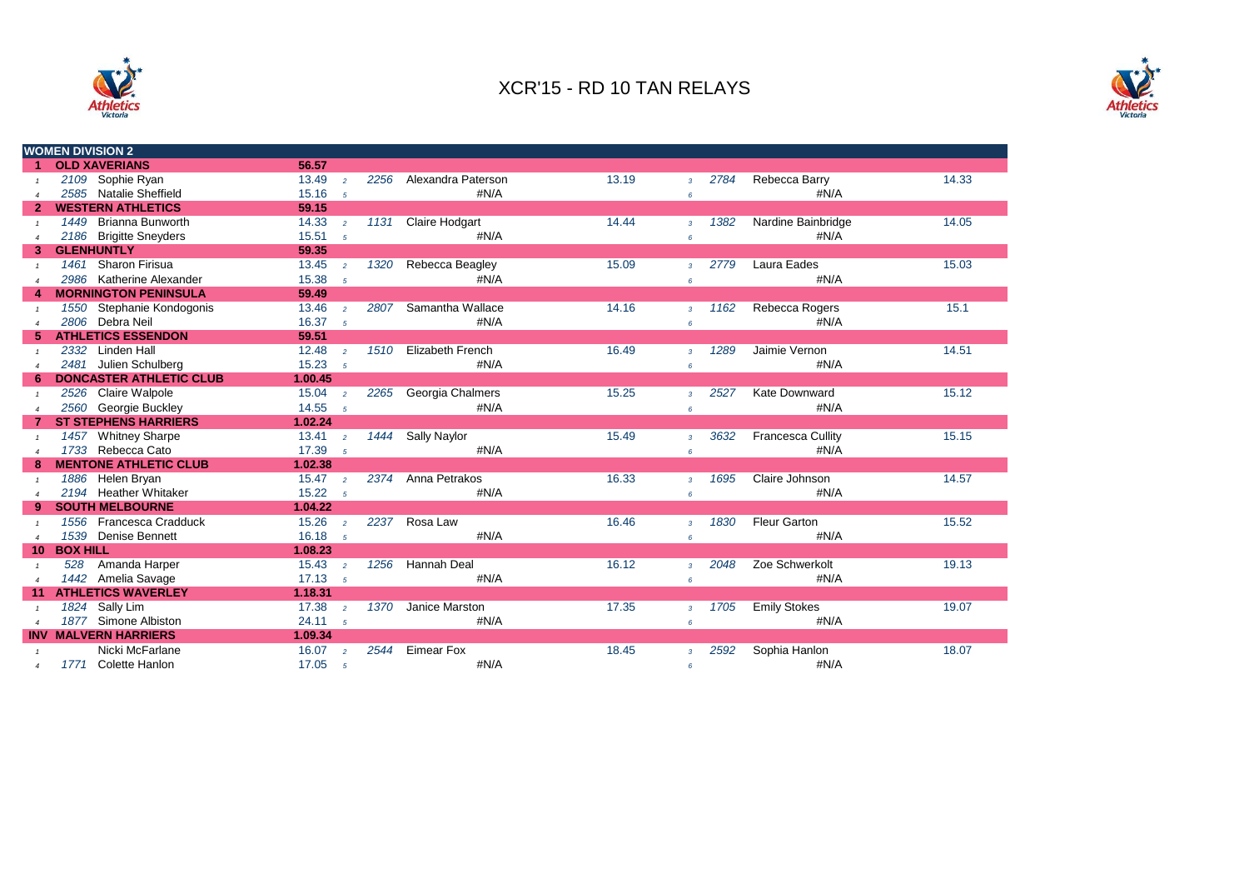



|                |                 | <b>WOMEN DIVISION 2</b>        |                    |                |      |                         |       |                          |      |                          |       |
|----------------|-----------------|--------------------------------|--------------------|----------------|------|-------------------------|-------|--------------------------|------|--------------------------|-------|
|                |                 | <b>OLD XAVERIANS</b>           | 56.57              |                |      |                         |       |                          |      |                          |       |
|                |                 | 2109 Sophie Ryan               | 13.49              | $\overline{2}$ | 2256 | Alexandra Paterson      | 13.19 | $\overline{3}$           | 2784 | Rebecca Barry            | 14.33 |
|                |                 | 2585 Natalie Sheffield         | 15.16              | $5^{\circ}$    |      | #N/A                    |       | 6                        |      | #N/A                     |       |
| $\mathbf{2}$   |                 | <b>WESTERN ATHLETICS</b>       | 59.15              |                |      |                         |       |                          |      |                          |       |
|                |                 | 1449 Brianna Bunworth          | 14.33              | $\overline{2}$ | 1131 | <b>Claire Hodgart</b>   | 14.44 | $\overline{3}$           | 1382 | Nardine Bainbridge       | 14.05 |
|                |                 | 2186 Brigitte Sneyders         | 15.51              | $5^{\circ}$    |      | #N/A                    |       | 6                        |      | #N/A                     |       |
| 3              |                 | <b>GLENHUNTLY</b>              | 59.35              |                |      |                         |       |                          |      |                          |       |
| $\mathbf{1}$   |                 | 1461 Sharon Firisua            | 13.45              | $\overline{2}$ | 1320 | Rebecca Beagley         | 15.09 | $\overline{3}$           | 2779 | Laura Eades              | 15.03 |
|                |                 | 2986 Katherine Alexander       | 15.38              | 5              |      | #N/A                    |       | 6                        |      | #N/A                     |       |
|                |                 | <b>MORNINGTON PENINSULA</b>    | 59.49              |                |      |                         |       |                          |      |                          |       |
|                |                 | 1550 Stephanie Kondogonis      | 13.46              | $\overline{2}$ | 2807 | Samantha Wallace        | 14.16 | $\overline{3}$           | 1162 | Rebecca Rogers           | 15.1  |
|                |                 | 2806 Debra Neil                | 16.37              | 5              |      | #N/A                    |       | 6                        |      | #N/A                     |       |
|                |                 | <b>ATHLETICS ESSENDON</b>      | 59.51              |                |      |                         |       |                          |      |                          |       |
|                |                 | 2332 Linden Hall               | 12.48              | $\overline{2}$ | 1510 | <b>Elizabeth French</b> | 16.49 | $\overline{3}$           | 1289 | Jaimie Vernon            | 14.51 |
| $\overline{4}$ |                 | 2481 Julien Schulberg          | 15.23              | 5              |      | #N/A                    |       | 6                        |      | #N/A                     |       |
|                |                 | <b>DONCASTER ATHLETIC CLUB</b> | 1.00.45            |                |      |                         |       |                          |      |                          |       |
|                |                 | 2526 Claire Walpole            | $15.04 \t z$       |                | 2265 | Georgia Chalmers        | 15.25 | $\overline{3}$           | 2527 | Kate Downward            | 15.12 |
|                |                 | 2560 Georgie Buckley           | 14.55              | $5^{\circ}$    |      | #N/A                    |       | 6                        |      | #N/A                     |       |
|                |                 | <b>ST STEPHENS HARRIERS</b>    | 1.02.24            |                |      |                         |       |                          |      |                          |       |
|                | 1457            | <b>Whitney Sharpe</b>          | $13.41 \t2$        |                | 1444 | Sally Naylor            | 15.49 | $\overline{3}$           | 3632 | <b>Francesca Cullity</b> | 15.15 |
|                |                 | 1733 Rebecca Cato              | 17.39              | $5^{\circ}$    |      | #N/A                    |       | 6                        |      | #N/A                     |       |
|                |                 | <b>MENTONE ATHLETIC CLUB</b>   | 1.02.38            |                |      |                         |       |                          |      |                          |       |
|                |                 | 1886 Helen Bryan               | $15.47 \t2$        |                | 2374 | Anna Petrakos           | 16.33 | $\overline{\mathcal{R}}$ | 1695 | Claire Johnson           | 14.57 |
|                |                 | 2194 Heather Whitaker          | 15.22 <sub>5</sub> |                |      | #N/A                    |       | 6                        |      | #N/A                     |       |
| 9              |                 | <b>SOUTH MELBOURNE</b>         | 1.04.22            |                |      |                         |       |                          |      |                          |       |
|                |                 | 1556 Francesca Cradduck        | 15.26              | $\overline{2}$ | 2237 | Rosa Law                | 16.46 | $\overline{3}$           | 1830 | <b>Fleur Garton</b>      | 15.52 |
| $\overline{4}$ |                 | 1539 Denise Bennett            | 16.18              | $5^{\circ}$    |      | #N/A                    |       | 6                        |      | #N/A                     |       |
| 10             | <b>BOX HILL</b> |                                | 1.08.23            |                |      |                         |       |                          |      |                          |       |
|                | 528             | Amanda Harper                  | 15.43              | $\overline{2}$ | 1256 | Hannah Deal             | 16.12 | $\overline{3}$           | 2048 | Zoe Schwerkolt           | 19.13 |
| $\overline{4}$ |                 | 1442 Amelia Savage             | 17.13              | $5^{\circ}$    |      | #N/A                    |       | 6                        |      | #N/A                     |       |
| 11             |                 | <b>ATHLETICS WAVERLEY</b>      | 1.18.31            |                |      |                         |       |                          |      |                          |       |
|                |                 | 1824 Sally Lim                 | 17.38              | $\overline{2}$ | 1370 | Janice Marston          | 17.35 | $\overline{3}$           | 1705 | <b>Emily Stokes</b>      | 19.07 |
|                |                 | 1877 Simone Albiston           | 24.11              | $5^{\circ}$    |      | #N/A                    |       | 6                        |      | #N/A                     |       |
|                |                 | <b>INV MALVERN HARRIERS</b>    | 1.09.34            |                |      |                         |       |                          |      |                          |       |
|                |                 | Nicki McFarlane                | 16.07              | $\overline{2}$ | 2544 | <b>Eimear Fox</b>       | 18.45 | 3                        | 2592 | Sophia Hanlon            | 18.07 |
| $\overline{4}$ |                 | 1771 Colette Hanlon            | 17.05              | 5              |      | #N/A                    |       | 6                        |      | #N/A                     |       |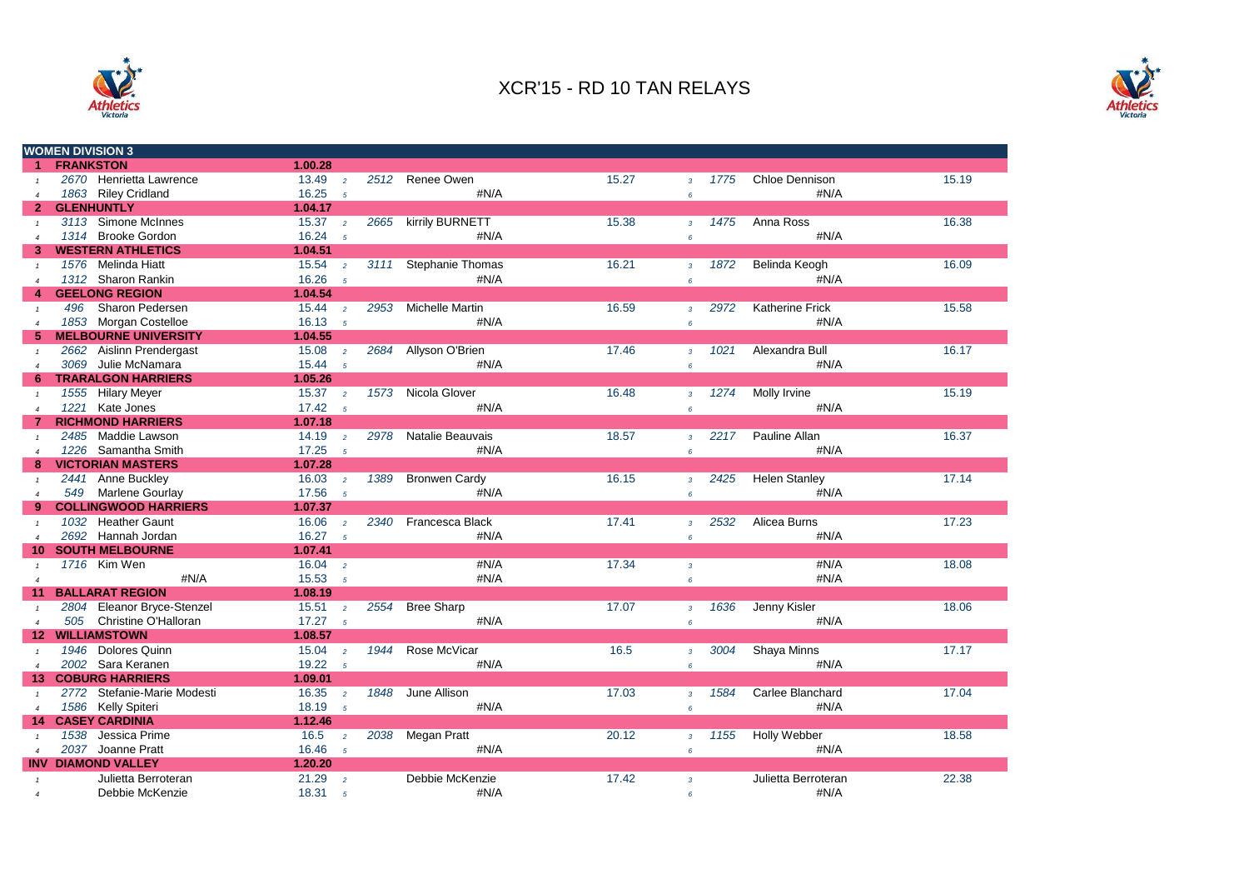



|                       |                  | <b>WOMEN DIVISION 3</b>     |                    |                 |      |                         |       |                |      |                        |       |
|-----------------------|------------------|-----------------------------|--------------------|-----------------|------|-------------------------|-------|----------------|------|------------------------|-------|
| $\mathbf{1}$          | <b>FRANKSTON</b> |                             | 1.00.28            |                 |      |                         |       |                |      |                        |       |
| $\mathbf{1}$          |                  | 2670 Henrietta Lawrence     | 13.49              | $\overline{2}$  |      | 2512 Renee Owen         | 15.27 | $\overline{3}$ | 1775 | <b>Chloe Dennison</b>  | 15.19 |
| $\overline{4}$        |                  | 1863 Riley Cridland         | 16.25              | 5               |      | #N/A                    |       | 6              |      | #N/A                   |       |
| $\overline{2}$        |                  | <b>GLENHUNTLY</b>           | 1.04.17            |                 |      |                         |       |                |      |                        |       |
| $\mathbf{1}$          |                  | 3113 Simone McInnes         | 15.37              | $\overline{2}$  | 2665 | kirrily BURNETT         | 15.38 | $\overline{3}$ | 1475 | Anna Ross              | 16.38 |
| $\overline{4}$        |                  | 1314 Brooke Gordon          | 16.24              | $\overline{5}$  |      | #N/A                    |       | 6              |      | #N/A                   |       |
| 3                     |                  | <b>WESTERN ATHLETICS</b>    | 1.04.51            |                 |      |                         |       |                |      |                        |       |
|                       |                  | 1576 Melinda Hiatt          | 15.54              | $\overline{2}$  | 3111 | <b>Stephanie Thomas</b> | 16.21 | $\overline{3}$ | 1872 | Belinda Keogh          | 16.09 |
| $\boldsymbol{\Delta}$ |                  | 1312 Sharon Rankin          | 16.26              | $\overline{5}$  |      | #N/A                    |       | 6              |      | #N/A                   |       |
| 4                     |                  | <b>GEELONG REGION</b>       | 1.04.54            |                 |      |                         |       |                |      |                        |       |
| $\mathbf{1}$          | 496              | Sharon Pedersen             | 15.44              | $\overline{2}$  | 2953 | <b>Michelle Martin</b>  | 16.59 | $\overline{3}$ | 2972 | <b>Katherine Frick</b> | 15.58 |
| $\overline{4}$        |                  | 1853 Morgan Costelloe       | 16.13              | $\overline{5}$  |      | #N/A                    |       | 6              |      | #N/A                   |       |
| 5                     |                  | <b>MELBOURNE UNIVERSITY</b> | 1.04.55            |                 |      |                         |       |                |      |                        |       |
|                       |                  | 2662 Aislinn Prendergast    | 15.08              | $\overline{2}$  | 2684 | Allyson O'Brien         | 17.46 | $\overline{3}$ | 1021 | Alexandra Bull         | 16.17 |
| $\overline{4}$        |                  | 3069 Julie McNamara         | 15.44 <sub>5</sub> |                 |      | #N/A                    |       | $\epsilon$     |      | #N/A                   |       |
| 6.                    |                  | <b>TRARALGON HARRIERS</b>   | 1.05.26            |                 |      |                         |       |                |      |                        |       |
| $\mathbf{1}$          |                  | 1555 Hilary Meyer           | 15.37              | $\overline{2}$  |      | 1573 Nicola Glover      | 16.48 | $\overline{3}$ | 1274 | Molly Irvine           | 15.19 |
| $\overline{4}$        |                  | 1221 Kate Jones             | 17.42              | $-5$            |      | #N/A                    |       | $\epsilon$     |      | #N/A                   |       |
| 7                     |                  | <b>RICHMOND HARRIERS</b>    | 1.07.18            |                 |      |                         |       |                |      |                        |       |
|                       |                  | 2485 Maddie Lawson          | 14.19              | $\overline{2}$  | 2978 | Natalie Beauvais        | 18.57 | 3 <sup>7</sup> | 2217 | Pauline Allan          | 16.37 |
| $\overline{4}$        |                  | 1226 Samantha Smith         | 17.25              | $\overline{5}$  |      | #N/A                    |       | $\epsilon$     |      | #N/A                   |       |
| 8                     |                  | <b>VICTORIAN MASTERS</b>    | 1.07.28            |                 |      |                         |       |                |      |                        |       |
| $\mathbf{1}$          |                  | 2441 Anne Buckley           | 16.03              | $\overline{2}$  | 1389 | <b>Bronwen Cardy</b>    | 16.15 | $\overline{3}$ | 2425 | <b>Helen Stanley</b>   | 17.14 |
| $\overline{4}$        | 549              | Marlene Gourlay             | 17.56              | $5\overline{5}$ |      | #N/A                    |       | $\epsilon$     |      | #N/A                   |       |
|                       |                  | <b>COLLINGWOOD HARRIERS</b> | 1.07.37            |                 |      |                         |       |                |      |                        |       |
|                       |                  | 1032 Heather Gaunt          | 16.06              | $\overline{2}$  | 2340 | Francesca Black         | 17.41 | $\overline{3}$ | 2532 | Alicea Burns           | 17.23 |
| $\overline{4}$        |                  | 2692 Hannah Jordan          | 16.27              | $\overline{5}$  |      | #N/A                    |       | 6              |      | #N/A                   |       |
| 10                    |                  | <b>SOUTH MELBOURNE</b>      | 1.07.41            |                 |      |                         |       |                |      |                        |       |
| $\mathbf{1}$          |                  | 1716 Kim Wen                | 16.04              | $\overline{2}$  |      | #N/A                    | 17.34 | $\overline{3}$ |      | #N/A                   | 18.08 |
| $\overline{4}$        |                  | #N/A                        | 15.53              | $\overline{5}$  |      | #N/A                    |       | 6              |      | #N/A                   |       |
| 11                    |                  | <b>BALLARAT REGION</b>      | 1.08.19            |                 |      |                         |       |                |      |                        |       |
| $\mathbf{1}$          |                  | 2804 Eleanor Bryce-Stenzel  | 15.51              | $\overline{2}$  | 2554 | <b>Bree Sharp</b>       | 17.07 | $\overline{3}$ | 1636 | Jenny Kisler           | 18.06 |
| $\overline{4}$        |                  | 505 Christine O'Halloran    | 17.27              | $5\overline{5}$ |      | #N/A                    |       | 6              |      | #N/A                   |       |
| 12.                   |                  | <b>WILLIAMSTOWN</b>         | 1.08.57            |                 |      |                         |       |                |      |                        |       |
|                       |                  | 1946 Dolores Quinn          | 15.04              | $\overline{2}$  | 1944 | Rose McVicar            | 16.5  | $\overline{3}$ | 3004 | Shaya Minns            | 17.17 |
| $\overline{4}$        |                  | 2002 Sara Keranen           | 19.22              | $5^{\circ}$     |      | #N/A                    |       | $\epsilon$     |      | #N/A                   |       |
| 13                    |                  | <b>COBURG HARRIERS</b>      | 1.09.01            |                 |      |                         |       |                |      |                        |       |
| $\mathbf{1}$          |                  | 2772 Stefanie-Marie Modesti | 16.35              | $\overline{2}$  | 1848 | June Allison            | 17.03 | $\overline{3}$ | 1584 | Carlee Blanchard       | 17.04 |
| $\overline{4}$        |                  | 1586 Kelly Spiteri          | 18.19              | $\overline{5}$  |      | #N/A                    |       | $\epsilon$     |      | #N/A                   |       |
| 14                    |                  | <b>CASEY CARDINIA</b>       | 1.12.46            |                 |      |                         |       |                |      |                        |       |
|                       | 1538             | Jessica Prime               | 16.5               | $\overline{2}$  | 2038 | Megan Pratt             | 20.12 | $\overline{3}$ | 1155 | Holly Webber           | 18.58 |
| $\overline{4}$        |                  | 2037 Joanne Pratt           | 16.46              | $5^{\circ}$     |      | #N/A                    |       | 6              |      | #N/A                   |       |
| <b>INV</b>            |                  | <b>DIAMOND VALLEY</b>       | 1.20.20            |                 |      |                         |       |                |      |                        |       |
|                       |                  | Julietta Berroteran         | 21.29              | $\overline{2}$  |      | Debbie McKenzie         | 17.42 | $\overline{3}$ |      | Julietta Berroteran    | 22.38 |
| $\overline{4}$        |                  | Debbie McKenzie             | 18.31              | $\sqrt{5}$      |      | #N/A                    |       | 6              |      | #N/A                   |       |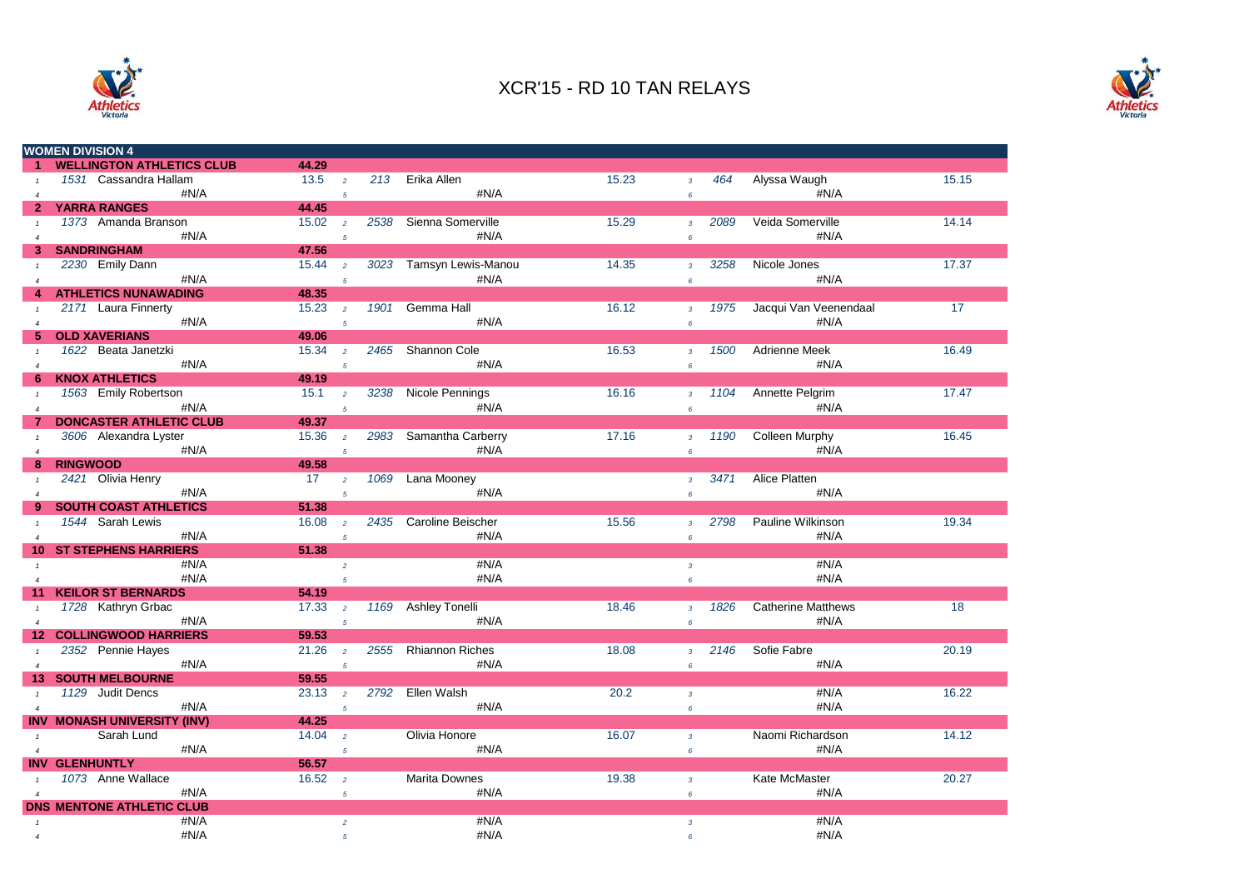



|                        |                 | <b>WOMEN DIVISION 4</b>            |       |                |      |                         |       |                 |      |                           |       |
|------------------------|-----------------|------------------------------------|-------|----------------|------|-------------------------|-------|-----------------|------|---------------------------|-------|
|                        |                 | <b>WELLINGTON ATHLETICS CLUB</b>   | 44.29 |                |      |                         |       |                 |      |                           |       |
|                        |                 | 1531 Cassandra Hallam              | 13.5  | $\overline{2}$ |      | 213 Erika Allen         | 15.23 | $\overline{3}$  | 464  | Alyssa Waugh              | 15.15 |
| $\overline{4}$         |                 | #N/A                               |       | $\overline{5}$ |      | #N/A                    |       | $6\overline{6}$ |      | #N/A                      |       |
| $\mathbf{2}$           |                 | <b>YARRA RANGES</b>                | 44.45 |                |      |                         |       |                 |      |                           |       |
|                        |                 | 1373 Amanda Branson                | 15.02 | $\overline{2}$ |      | 2538 Sienna Somerville  | 15.29 | $\overline{3}$  | 2089 | Veida Somerville          | 14.14 |
| $\boldsymbol{\Lambda}$ |                 | #N/A                               |       | $\overline{5}$ |      | #N/A                    |       | 6               |      | #N/A                      |       |
| 3                      |                 | <b>SANDRINGHAM</b>                 | 47.56 |                |      |                         |       |                 |      |                           |       |
|                        |                 | 2230 Emily Dann                    | 15.44 | $\overline{2}$ |      | 3023 Tamsyn Lewis-Manou | 14.35 | $\overline{3}$  | 3258 | Nicole Jones              | 17.37 |
| $\boldsymbol{\Delta}$  |                 | #N/A                               |       | $\overline{5}$ |      | #N/A                    |       | 6               |      | #N/A                      |       |
|                        |                 | <b>ATHLETICS NUNAWADING</b>        | 48.35 |                |      |                         |       |                 |      |                           |       |
| $\mathbf{1}$           |                 | 2171 Laura Finnerty                | 15.23 | $\overline{2}$ | 1901 | Gemma Hall              | 16.12 | 3 <sup>7</sup>  | 1975 | Jacqui Van Veenendaal     | 17    |
|                        |                 | #N/A                               |       | $\overline{5}$ |      | #N/A                    |       |                 |      | #N/A                      |       |
| $\overline{4}$<br>5.   |                 | <b>OLD XAVERIANS</b>               | 49.06 |                |      |                         |       | 6               |      |                           |       |
|                        |                 | 1622 Beata Janetzki                | 15.34 | $\overline{2}$ |      | 2465 Shannon Cole       | 16.53 |                 | 1500 | Adrienne Meek             | 16.49 |
|                        |                 | #N/A                               |       |                |      | #N/A                    |       | 3 <sup>7</sup>  |      | #N/A                      |       |
| $\overline{4}$         |                 |                                    | 49.19 | $\overline{5}$ |      |                         |       | $\epsilon$      |      |                           |       |
| 6                      |                 | <b>KNOX ATHLETICS</b>              |       |                |      |                         |       |                 |      |                           |       |
|                        |                 | 1563 Emily Robertson               | 15.1  | $\overline{2}$ |      | 3238 Nicole Pennings    | 16.16 | $\overline{3}$  | 1104 | Annette Pelgrim           | 17.47 |
| $\overline{4}$         |                 | #N/A                               |       | 5              |      | #N/A                    |       | 6               |      | #N/A                      |       |
|                        |                 | <b>DONCASTER ATHLETIC CLUB</b>     | 49.37 |                |      |                         |       |                 |      |                           |       |
| $\mathbf{1}$           |                 | 3606 Alexandra Lyster              | 15.36 | $\overline{2}$ |      | 2983 Samantha Carberry  | 17.16 | $\overline{3}$  | 1190 | <b>Colleen Murphy</b>     | 16.45 |
| $\overline{4}$         |                 | #N/A                               |       | $\overline{5}$ |      | #N/A                    |       | $\epsilon$      |      | #N/A                      |       |
| 8                      | <b>RINGWOOD</b> |                                    | 49.58 |                |      |                         |       |                 |      |                           |       |
|                        |                 | 2421 Olivia Henry                  | 17    | $\overline{2}$ | 1069 | Lana Mooney             |       | $\overline{3}$  | 3471 | <b>Alice Platten</b>      |       |
| $\boldsymbol{\Lambda}$ |                 | #N/A                               |       | $\overline{5}$ |      | #N/A                    |       | 6               |      | #N/A                      |       |
| 9                      |                 | <b>SOUTH COAST ATHLETICS</b>       | 51.38 |                |      |                         |       |                 |      |                           |       |
|                        |                 | 1544 Sarah Lewis                   | 16.08 | $\overline{2}$ |      | 2435 Caroline Beischer  | 15.56 | $\overline{3}$  | 2798 | Pauline Wilkinson         | 19.34 |
| $\overline{4}$         |                 | #N/A                               |       | 5              |      | #N/A                    |       | $\epsilon$      |      | #N/A                      |       |
| 10                     |                 | <b>ST STEPHENS HARRIERS</b>        | 51.38 |                |      |                         |       |                 |      |                           |       |
| $\mathbf{1}$           |                 | #N/A                               |       | $\overline{2}$ |      | #N/A                    |       | $\overline{3}$  |      | #N/A                      |       |
| $\overline{4}$         |                 | #N/A                               |       | 5 <sup>1</sup> |      | #N/A                    |       | 6               |      | #N/A                      |       |
|                        |                 | <b>KEILOR ST BERNARDS</b>          | 54.19 |                |      |                         |       |                 |      |                           |       |
| $\mathbf{1}$           |                 | 1728 Kathryn Grbac                 | 17.33 | $\overline{2}$ |      | 1169 Ashley Tonelli     | 18.46 | $\overline{3}$  | 1826 | <b>Catherine Matthews</b> | 18    |
| $\overline{4}$         |                 | #N/A                               |       | $\overline{5}$ |      | #N/A                    |       | 6               |      | #N/A                      |       |
| 12.                    |                 | <b>COLLINGWOOD HARRIERS</b>        | 59.53 |                |      |                         |       |                 |      |                           |       |
| $\mathbf{1}$           |                 | 2352 Pennie Hayes                  | 21.26 | $\overline{2}$ | 2555 | <b>Rhiannon Riches</b>  | 18.08 | $\mathbf{3}$    | 2146 | Sofie Fabre               | 20.19 |
| $\overline{4}$         |                 | #N/A                               |       | $\overline{5}$ |      | #N/A                    |       | 6               |      | #N/A                      |       |
| 13                     |                 | <b>SOUTH MELBOURNE</b>             | 59.55 |                |      |                         |       |                 |      |                           |       |
| $\mathbf{1}$           |                 | 1129 Judit Dencs                   | 23.13 | $\overline{2}$ |      | 2792 Ellen Walsh        | 20.2  | $\overline{3}$  |      | #N/A                      | 16.22 |
| $\overline{4}$         |                 | #N/A                               |       | $\overline{5}$ |      | #N/A                    |       | 6               |      | #N/A                      |       |
|                        |                 | <b>INV MONASH UNIVERSITY (INV)</b> | 44.25 |                |      |                         |       |                 |      |                           |       |
| $\mathbf{1}$           |                 | Sarah Lund                         | 14.04 | $\overline{2}$ |      | Olivia Honore           | 16.07 | $\overline{3}$  |      | Naomi Richardson          | 14.12 |
| $\overline{4}$         |                 | #N/A                               |       | $\overline{5}$ |      | #N/A                    |       | 6               |      | #N/A                      |       |
|                        |                 | <b>INV GLENHUNTLY</b>              | 56.57 |                |      |                         |       |                 |      |                           |       |
|                        |                 | 1073 Anne Wallace                  | 16.52 |                |      | <b>Marita Downes</b>    | 19.38 |                 |      | Kate McMaster             | 20.27 |
|                        |                 | #N/A                               |       | $\overline{2}$ |      | #N/A                    |       | $\overline{3}$  |      | #N/A                      |       |
| $\overline{a}$         |                 |                                    |       | 5              |      |                         |       | $6^{\circ}$     |      |                           |       |
|                        |                 | <b>DNS MENTONE ATHLETIC CLUB</b>   |       |                |      |                         |       |                 |      |                           |       |
|                        |                 | #N/A                               |       | $\overline{a}$ |      | #N/A                    |       | $\mathbf{3}$    |      | #N/A                      |       |
| $\overline{4}$         |                 | #N/A                               |       | 5              |      | #N/A                    |       | 6               |      | #N/A                      |       |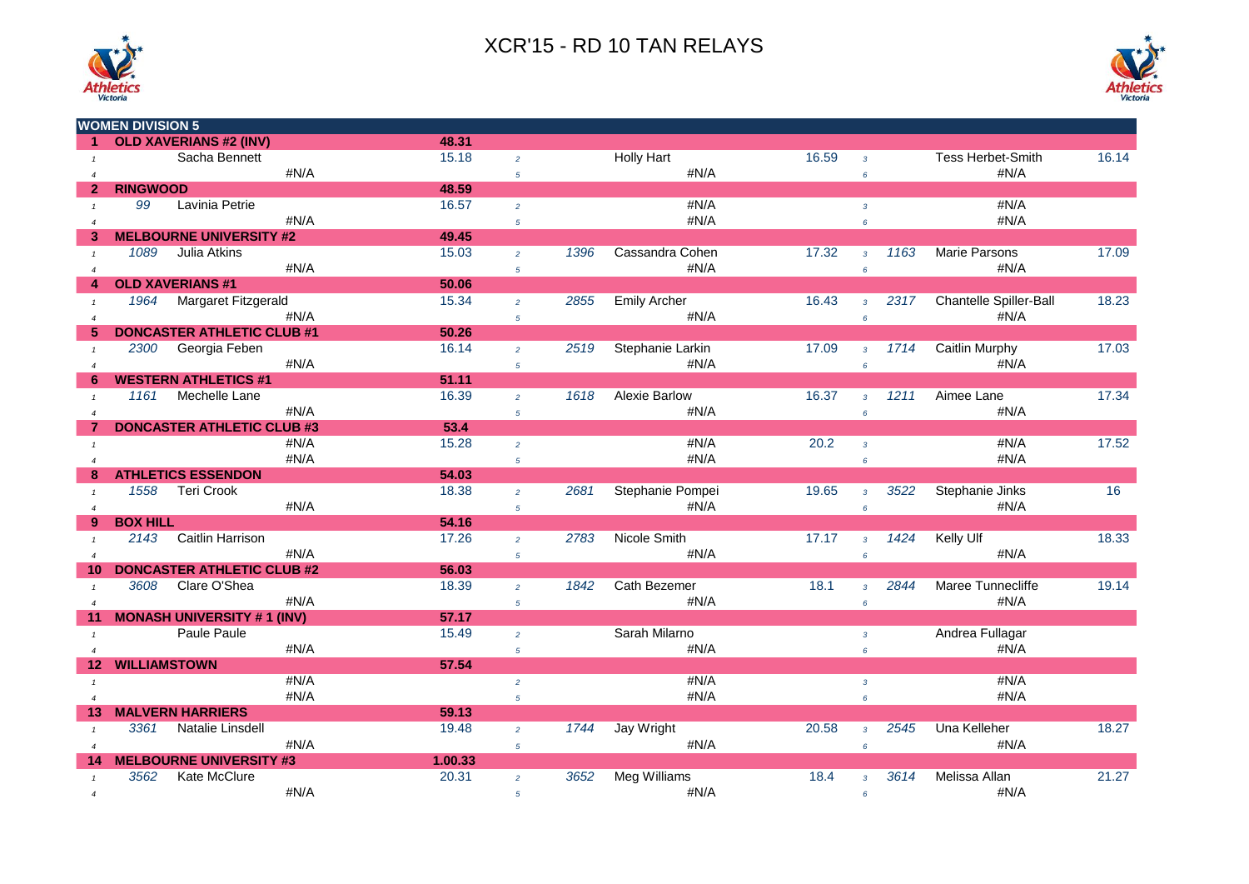



|                       | <b>WOMEN DIVISION 5</b> |                                   |      |                |                 |      |                      |       |                |      |                          |       |
|-----------------------|-------------------------|-----------------------------------|------|----------------|-----------------|------|----------------------|-------|----------------|------|--------------------------|-------|
|                       |                         | <b>OLD XAVERIANS #2 (INV)</b>     |      | 48.31          |                 |      |                      |       |                |      |                          |       |
| $\mathbf{1}$          |                         | Sacha Bennett                     |      | 15.18          | $\overline{2}$  |      | <b>Holly Hart</b>    | 16.59 | $\overline{3}$ |      | <b>Tess Herbet-Smith</b> | 16.14 |
| $\overline{A}$        |                         |                                   | #N/A |                | $\overline{5}$  |      | #N/A                 |       | 6              |      | #N/A                     |       |
| $\mathbf{2}$          | <b>RINGWOOD</b>         |                                   |      | 48.59          |                 |      |                      |       |                |      |                          |       |
|                       | 99                      | Lavinia Petrie                    |      | 16.57          | $\overline{2}$  |      | #N/A                 |       | $\overline{3}$ |      | #N/A                     |       |
| $\overline{4}$        |                         |                                   | #N/A |                | $5\overline{5}$ |      | #N/A                 |       | 6              |      | #N/A                     |       |
| з                     |                         | <b>MELBOURNE UNIVERSITY #2</b>    |      | 49.45          |                 |      |                      |       |                |      |                          |       |
|                       | 1089                    | Julia Atkins                      |      | 15.03          | $\overline{2}$  | 1396 | Cassandra Cohen      | 17.32 | $\overline{3}$ | 1163 | <b>Marie Parsons</b>     | 17.09 |
| $\overline{4}$        |                         |                                   | #N/A |                | $5\overline{5}$ |      | #N/A                 |       | 6              |      | #N/A                     |       |
|                       |                         | <b>OLD XAVERIANS #1</b>           |      | 50.06          |                 |      |                      |       |                |      |                          |       |
| $\mathbf{1}$          | 1964                    | Margaret Fitzgerald               |      | 15.34          | $\overline{2}$  | 2855 | <b>Emily Archer</b>  | 16.43 | $\overline{3}$ | 2317 | Chantelle Spiller-Ball   | 18.23 |
| $\overline{4}$        |                         |                                   | #N/A |                | $5\overline{5}$ |      | #N/A                 |       | 6              |      | #N/A                     |       |
|                       |                         | <b>DONCASTER ATHLETIC CLUB #1</b> |      | 50.26          |                 |      |                      |       |                |      |                          |       |
| $\overline{1}$        | 2300                    | Georgia Feben                     |      | 16.14          | $\overline{2}$  | 2519 | Stephanie Larkin     | 17.09 | $3^{\circ}$    | 1714 | Caitlin Murphy           | 17.03 |
| $\boldsymbol{\Delta}$ |                         |                                   | #N/A |                | $5\overline{5}$ |      | #N/A                 |       | 6              |      | #N/A                     |       |
| 6                     |                         | <b>WESTERN ATHLETICS #1</b>       |      | 51.11          |                 |      |                      |       |                |      |                          |       |
| $\mathbf{1}$          | 1161                    | Mechelle Lane                     |      | 16.39          | $\overline{2}$  | 1618 | <b>Alexie Barlow</b> | 16.37 | $\overline{3}$ | 1211 | Aimee Lane               | 17.34 |
| $\overline{4}$        |                         |                                   | #N/A |                | $\sqrt{5}$      |      | #N/A                 |       | 6              |      | #N/A                     |       |
|                       |                         | <b>DONCASTER ATHLETIC CLUB #3</b> |      | 53.4           |                 |      |                      |       |                |      |                          |       |
|                       |                         |                                   | #N/A | 15.28          | $\overline{2}$  |      | #N/A                 | 20.2  | $\overline{3}$ |      | #N/A                     | 17.52 |
|                       |                         |                                   | #N/A |                | 5 <sup>5</sup>  |      | #N/A                 |       | 6              |      | #N/A                     |       |
|                       |                         | <b>ATHLETICS ESSENDON</b>         |      | 54.03          |                 |      |                      |       |                |      |                          |       |
|                       | 1558                    | <b>Teri Crook</b>                 |      | 18.38          | $\overline{2}$  | 2681 | Stephanie Pompei     | 19.65 | $\overline{3}$ | 3522 | Stephanie Jinks          | 16    |
| $\overline{4}$        |                         |                                   | #N/A |                | $5\overline{5}$ |      | #N/A                 |       | 6              |      | #N/A                     |       |
| 9                     | <b>BOX HILL</b>         |                                   |      | 54.16          |                 |      |                      |       |                |      |                          |       |
| $\mathbf{1}$          | 2143                    | Caitlin Harrison                  |      | 17.26          | $\overline{2}$  | 2783 | Nicole Smith         | 17.17 | $\overline{3}$ | 1424 | Kelly Ulf                | 18.33 |
| $\overline{4}$        |                         |                                   | #N/A |                | 5 <sup>5</sup>  |      | #N/A                 |       | 6              |      | #N/A                     |       |
| 10                    |                         | <b>DONCASTER ATHLETIC CLUB #2</b> |      | 56.03          |                 |      |                      |       |                |      |                          |       |
| $\mathbf{1}$          | 3608                    | Clare O'Shea                      |      | 18.39          | $\overline{2}$  | 1842 | <b>Cath Bezemer</b>  | 18.1  | 3 <sup>1</sup> | 2844 | Maree Tunnecliffe        | 19.14 |
| $\boldsymbol{\Delta}$ |                         |                                   | #N/A |                | 5 <sup>5</sup>  |      | #N/A                 |       | 6              |      | #N/A                     |       |
|                       |                         | <b>MONASH UNIVERSITY #1 (INV)</b> |      | 57.17          |                 |      |                      |       |                |      |                          |       |
|                       |                         | <b>Paule Paule</b>                |      | 15.49          | $\overline{2}$  |      | Sarah Milarno        |       | 3 <sup>7</sup> |      | Andrea Fullagar          |       |
| $\overline{4}$        |                         |                                   | #N/A | 57.54          | $5\overline{5}$ |      | #N/A                 |       | 6              |      | #N/A                     |       |
| 12 <sub>2</sub>       | <b>WILLIAMSTOWN</b>     |                                   | #N/A |                |                 |      |                      |       |                |      |                          |       |
| $\mathbf{1}$          |                         |                                   |      |                | $\overline{2}$  |      | #N/A                 |       | $\mathbf{3}$   |      | #N/A                     |       |
| $\overline{4}$        |                         | <b>MALVERN HARRIERS</b>           | #N/A |                | 5 <sup>5</sup>  |      | #N/A                 |       | 6              |      | #N/A                     |       |
| 13                    | 3361                    | Natalie Linsdell                  |      | 59.13<br>19.48 |                 | 1744 | Jay Wright           | 20.58 |                | 2545 | Una Kelleher             | 18.27 |
|                       |                         |                                   | #N/A |                | $\overline{2}$  |      | #N/A                 |       | $\overline{3}$ |      | #N/A                     |       |
| $\overline{4}$        |                         | <b>MELBOURNE UNIVERSITY #3</b>    |      | 1.00.33        | $5\overline{5}$ |      |                      |       | 6              |      |                          |       |
| 14                    | 3562                    | Kate McClure                      |      | 20.31          |                 | 3652 |                      | 18.4  |                | 3614 | Melissa Allan            | 21.27 |
|                       |                         |                                   | #N/A |                | $\overline{2}$  |      | Meg Williams<br>#N/A |       | $\overline{3}$ |      | #N/A                     |       |
| $\overline{4}$        |                         |                                   |      |                | 5               |      |                      |       | 6              |      |                          |       |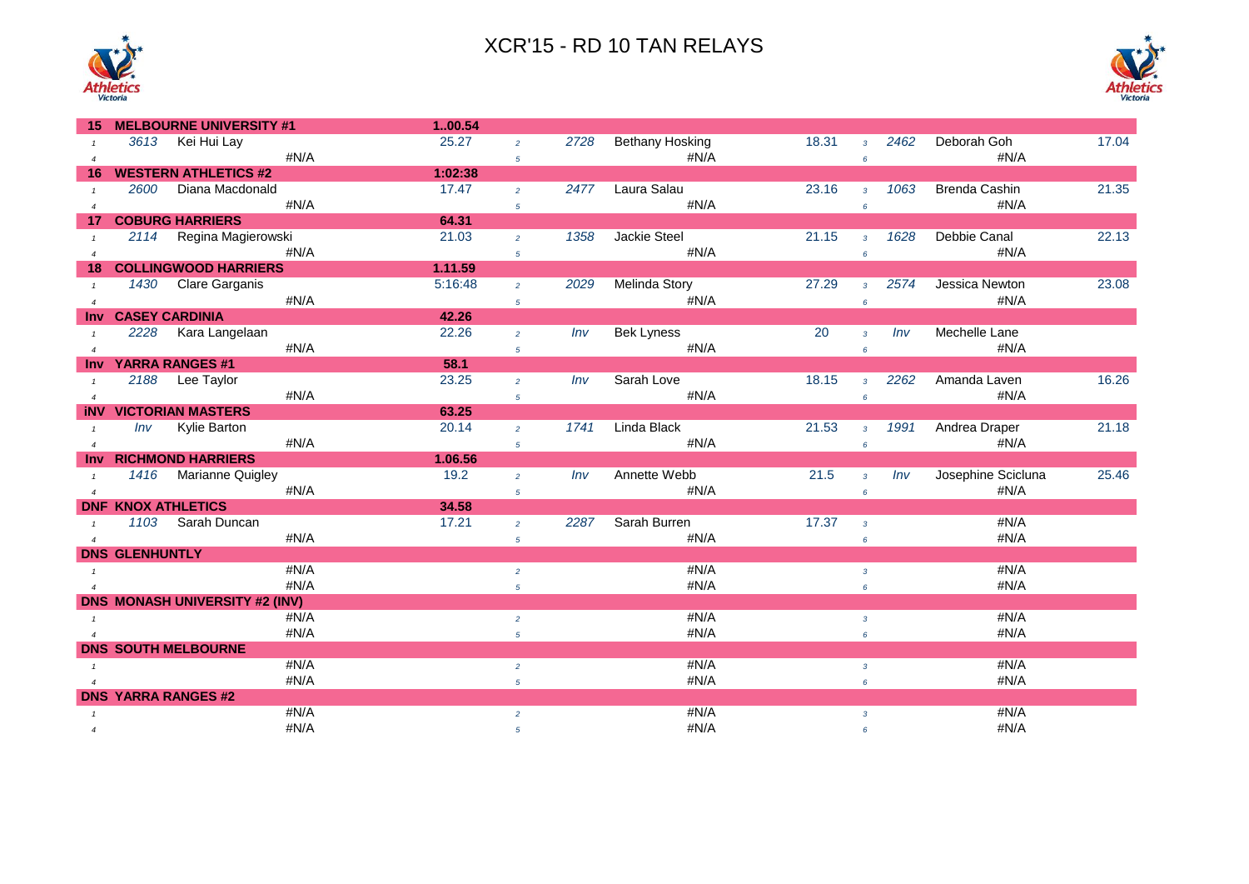



| 15                    |                       | <b>MELBOURNE UNIVERSITY #1</b>        |      | 100.54  |                |      |                        |       |                |      |                      |       |
|-----------------------|-----------------------|---------------------------------------|------|---------|----------------|------|------------------------|-------|----------------|------|----------------------|-------|
|                       |                       | 3613 Kei Hui Lay                      |      | 25.27   | $\overline{2}$ | 2728 | <b>Bethany Hosking</b> | 18.31 | $\mathbf{3}$   | 2462 | Deborah Goh          | 17.04 |
| $\boldsymbol{\Delta}$ |                       |                                       | #N/A |         | $\overline{5}$ |      | $\sharp N/A$           |       | 6              |      | #N/A                 |       |
| 16                    |                       | <b>WESTERN ATHLETICS #2</b>           |      | 1:02:38 |                |      |                        |       |                |      |                      |       |
|                       | 2600                  | Diana Macdonald                       |      | 17.47   | $\overline{2}$ | 2477 | Laura Salau            | 23.16 | $\overline{3}$ | 1063 | <b>Brenda Cashin</b> | 21.35 |
| $\overline{4}$        |                       |                                       | #N/A |         | $\overline{5}$ |      | #N/A                   |       | 6              |      | #N/A                 |       |
| 17                    |                       | <b>COBURG HARRIERS</b>                |      | 64.31   |                |      |                        |       |                |      |                      |       |
|                       |                       | 2114 Regina Magierowski               |      | 21.03   | $\overline{2}$ | 1358 | Jackie Steel           | 21.15 | $\overline{3}$ | 1628 | Debbie Canal         | 22.13 |
| $\overline{4}$        |                       |                                       | #N/A |         | $\overline{5}$ |      | #N/A                   |       | 6              |      | #N/A                 |       |
| 18                    |                       | <b>COLLINGWOOD HARRIERS</b>           |      | 1.11.59 |                |      |                        |       |                |      |                      |       |
| $\mathbf{1}$          | 1430                  | Clare Garganis                        |      | 5:16:48 | $\overline{2}$ | 2029 | Melinda Story          | 27.29 | $\overline{3}$ | 2574 | Jessica Newton       | 23.08 |
| $\overline{4}$        |                       |                                       | #N/A |         | $\sqrt{5}$     |      | #N/A                   |       | 6              |      | #N/A                 |       |
| <b>Inv</b>            |                       | <b>CASEY CARDINIA</b>                 |      | 42.26   |                |      |                        |       |                |      |                      |       |
| $\mathbf{1}$          | 2228                  | Kara Langelaan                        |      | 22.26   | $\overline{2}$ | Inv  | <b>Bek Lyness</b>      | 20    | $\overline{3}$ | Inv  | Mechelle Lane        |       |
| $\overline{4}$        |                       |                                       | #N/A |         | $\overline{5}$ |      | #N/A                   |       | 6              |      | #N/A                 |       |
| <b>Inv</b>            |                       | <b>YARRA RANGES #1</b>                |      | 58.1    |                |      |                        |       |                |      |                      |       |
|                       |                       | 2188 Lee Taylor                       |      | 23.25   | $\overline{2}$ | Inv  | Sarah Love             | 18.15 | $\overline{3}$ | 2262 | Amanda Laven         | 16.26 |
| $\overline{4}$        |                       |                                       | #N/A |         | $5^{\circ}$    |      | #N/A                   |       | 6              |      | #N/A                 |       |
| iNV                   |                       | <b>VICTORIAN MASTERS</b>              |      | 63.25   |                |      |                        |       |                |      |                      |       |
|                       | Inv                   | Kylie Barton                          |      | 20.14   | $\overline{2}$ | 1741 | Linda Black            | 21.53 | $\overline{3}$ | 1991 | Andrea Draper        | 21.18 |
| $\overline{A}$        |                       |                                       | #N/A |         | 5 <sup>5</sup> |      | #N/A                   |       | $\epsilon$     |      | #N/A                 |       |
| <b>Inv</b>            |                       | <b>RICHMOND HARRIERS</b>              |      | 1.06.56 |                |      |                        |       |                |      |                      |       |
| $\mathbf{1}$          |                       | 1416 Marianne Quigley                 |      | 19.2    | $\overline{2}$ | Inv  | Annette Webb           | 21.5  | $\overline{3}$ | Inv  | Josephine Scicluna   | 25.46 |
| $\overline{4}$        |                       |                                       | #N/A |         | $\sqrt{5}$     |      | #N/A                   |       | 6              |      | #N/A                 |       |
|                       |                       | <b>DNF KNOX ATHLETICS</b>             |      | 34.58   |                |      |                        |       |                |      |                      |       |
| $\mathbf{1}$          |                       | 1103 Sarah Duncan                     |      | 17.21   | $\overline{2}$ | 2287 | Sarah Burren           | 17.37 | $\overline{3}$ |      | #N/A                 |       |
| $\overline{4}$        |                       |                                       | #N/A |         | $\overline{5}$ |      | #N/A                   |       | 6              |      | #N/A                 |       |
|                       | <b>DNS GLENHUNTLY</b> |                                       |      |         |                |      |                        |       |                |      |                      |       |
| $\mathbf{1}$          |                       |                                       | #N/A |         | $\overline{2}$ |      | #N/A                   |       | $\mathbf{3}$   |      | #N/A                 |       |
| $\overline{4}$        |                       |                                       | #N/A |         | $\overline{5}$ |      | #N/A                   |       | 6              |      | #N/A                 |       |
|                       |                       | <b>DNS MONASH UNIVERSITY #2 (INV)</b> |      |         |                |      |                        |       |                |      |                      |       |
|                       |                       |                                       | #N/A |         | $\overline{2}$ |      | #N/A                   |       | $\overline{3}$ |      | #N/A                 |       |
| $\overline{A}$        |                       |                                       | #N/A |         | $\overline{5}$ |      | #N/A                   |       | 6              |      | #N/A                 |       |
|                       |                       | <b>DNS SOUTH MELBOURNE</b>            |      |         |                |      |                        |       |                |      |                      |       |
| $\mathbf{1}$          |                       |                                       | #N/A |         | $\overline{2}$ |      | #N/A                   |       | $\mathbf{3}$   |      | #N/A                 |       |
| $\overline{4}$        |                       |                                       | #N/A |         | $\overline{5}$ |      | #N/A                   |       | 6              |      | #N/A                 |       |
|                       |                       | <b>DNS YARRA RANGES #2</b>            |      |         |                |      |                        |       |                |      |                      |       |
| $\mathbf{1}$          |                       |                                       | #N/A |         | $\overline{2}$ |      | #N/A                   |       | $\overline{3}$ |      | #N/A                 |       |
| $\overline{4}$        |                       |                                       | #N/A |         | 5              |      | #N/A                   |       | 6              |      | #N/A                 |       |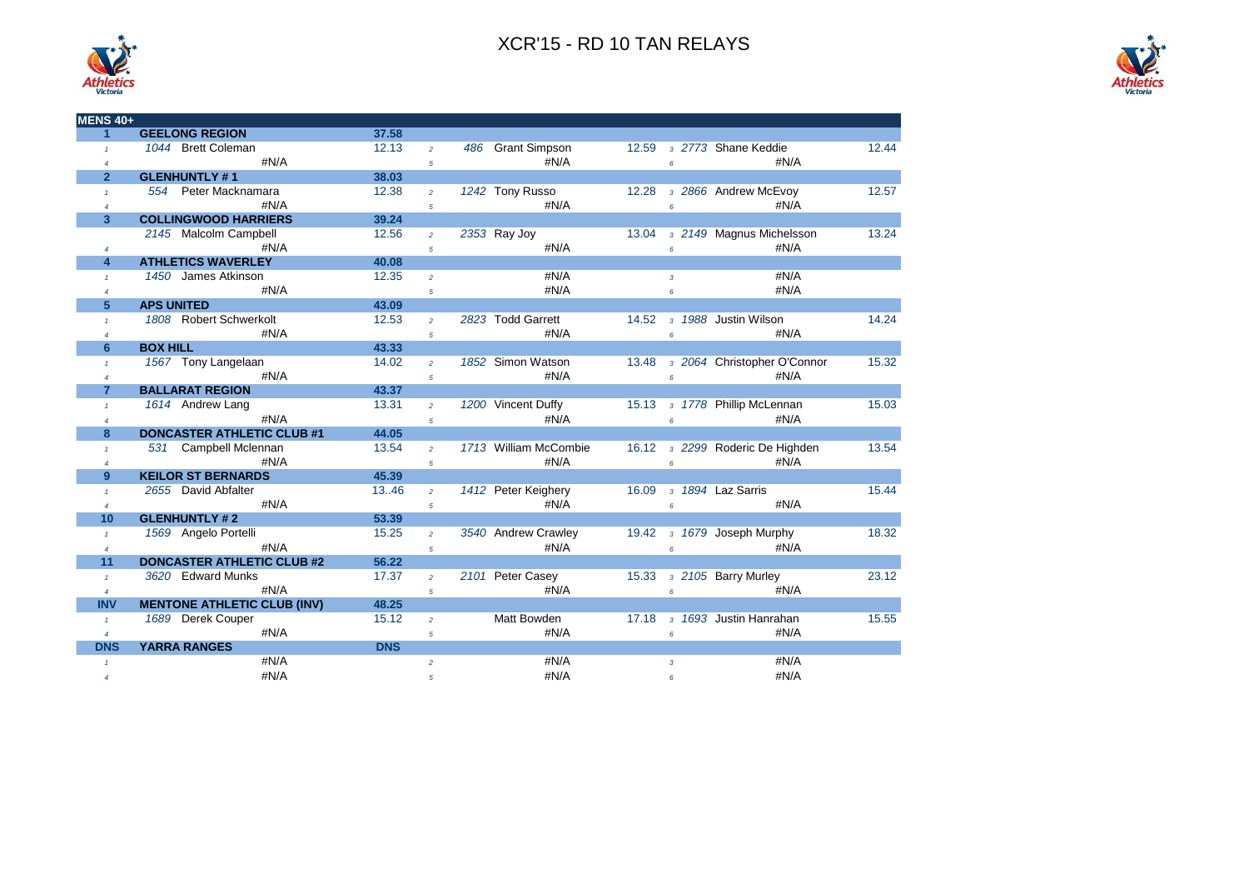

| <b>MENS 40+</b> |                                    |            |                |                             |       |                 |                                 |       |
|-----------------|------------------------------------|------------|----------------|-----------------------------|-------|-----------------|---------------------------------|-------|
| 1               | <b>GEELONG REGION</b>              | 37.58      |                |                             |       |                 |                                 |       |
| $\mathcal{L}$   | 1044 Brett Coleman                 | 12.13      | $\overline{a}$ | <b>Grant Simpson</b><br>486 | 12.59 |                 | 3 2773 Shane Keddie             | 12.44 |
| $\overline{4}$  | #N/A                               |            | 5              | #N/A                        |       | 6               | #N/A                            |       |
| $\overline{2}$  | <b>GLENHUNTLY #1</b>               | 38.03      |                |                             |       |                 |                                 |       |
| $\mathbf{f}$    | 554 Peter Macknamara               | 12.38      | $\overline{a}$ | 1242 Tony Russo             | 12.28 |                 | 3 2866 Andrew McEvoy            | 12.57 |
| $\overline{4}$  | #N/A                               |            | 5              | #N/A                        |       | $6\overline{6}$ | #N/A                            |       |
| 3               | <b>COLLINGWOOD HARRIERS</b>        | 39.24      |                |                             |       |                 |                                 |       |
|                 | 2145 Malcolm Campbell              | 12.56      | $\overline{a}$ | 2353 Ray Joy                | 13.04 |                 | 3 2149 Magnus Michelsson        | 13.24 |
| $\overline{4}$  | #N/A                               |            | 5              | #N/A                        |       | $6^{\circ}$     | #N/A                            |       |
| 4               | <b>ATHLETICS WAVERLEY</b>          | 40.08      |                |                             |       |                 |                                 |       |
| $\mathbf{1}$    | 1450 James Atkinson                | 12.35      | $\overline{a}$ | #N/A                        |       | $\overline{3}$  | #N/A                            |       |
| $\overline{4}$  | #N/A                               |            | 5              | #N/A                        |       | 6               | #N/A                            |       |
| 5               | <b>APS UNITED</b>                  | 43.09      |                |                             |       |                 |                                 |       |
| $\mathbf{f}$    | 1808 Robert Schwerkolt             | 12.53      | $\overline{a}$ | 2823 Todd Garrett           | 14.52 |                 | 3 1988 Justin Wilson            | 14.24 |
| $\overline{4}$  | #N/A                               |            | 5              | #N/A                        |       | $\epsilon$      | #N/A                            |       |
| $6\phantom{a}$  | <b>BOX HILL</b>                    | 43.33      |                |                             |       |                 |                                 |       |
| $\overline{1}$  | 1567 Tony Langelaan                | 14.02      | $\overline{a}$ | 1852 Simon Watson           | 13.48 |                 | 3 2064 Christopher O'Connor     | 15.32 |
| $\overline{4}$  | #N/A                               |            | 5              | #N/A                        |       | $6^{\circ}$     | #N/A                            |       |
| $\overline{7}$  | <b>BALLARAT REGION</b>             | 43.37      |                |                             |       |                 |                                 |       |
| $\mathbf{1}$    | 1614 Andrew Lang                   | 13.31      | $\overline{a}$ | 1200 Vincent Duffy          | 15.13 |                 | 3 1778 Phillip McLennan         | 15.03 |
| $\overline{4}$  | #N/A                               |            | 5              | #N/A                        |       | 6               | #N/A                            |       |
| 8               | <b>DONCASTER ATHLETIC CLUB #1</b>  | 44.05      |                |                             |       |                 |                                 |       |
| $\mathbf{f}$    | 531 Campbell Mclennan              | 13.54      | $\overline{a}$ | 1713 William McCombie       |       |                 | 16.12 3 2299 Roderic De Highden | 13.54 |
| $\overline{4}$  | #N/A                               |            | 5              | #N/A                        |       | 6               | #N/A                            |       |
| 9               | <b>KEILOR ST BERNARDS</b>          | 45.39      |                |                             |       |                 |                                 |       |
| $\mathbf{f}$    | 2655 David Abfalter                | 13.46      | $\overline{a}$ | 1412 Peter Keighery         | 16.09 |                 | 3 1894 Laz Sarris               | 15.44 |
| $\overline{4}$  | #N/A                               |            | 5              | #N/A                        |       | 6 <sup>1</sup>  | #N/A                            |       |
| 10              | <b>GLENHUNTLY #2</b>               | 53.39      |                |                             |       |                 |                                 |       |
| $\mathbf{f}$    | 1569 Angelo Portelli               | 15.25      | $\overline{a}$ | 3540 Andrew Crawley         | 19.42 |                 | 3 1679 Joseph Murphy            | 18.32 |
| $\overline{4}$  | #N/A                               |            | 5              | #N/A                        |       | $\epsilon$      | #N/A                            |       |
| 11              | <b>DONCASTER ATHLETIC CLUB #2</b>  | 56.22      |                |                             |       |                 |                                 |       |
| $\mathbf{1}$    | 3620 Edward Munks                  | 17.37      | $\overline{a}$ | 2101 Peter Casey            |       |                 | 15.33 3 2105 Barry Murley       | 23.12 |
| $\overline{4}$  | #N/A                               |            | 5              | #N/A                        |       | $6^{\circ}$     | #N/A                            |       |
| <b>INV</b>      | <b>MENTONE ATHLETIC CLUB (INV)</b> | 48.25      |                |                             |       |                 |                                 |       |
| $\mathbf{1}$    | 1689 Derek Couper                  | 15.12      | $\overline{a}$ | Matt Bowden                 | 17.18 |                 | 3 1693 Justin Hanrahan          | 15.55 |
| $\overline{4}$  | #N/A                               |            | 5              | #N/A                        |       | 6               | #N/A                            |       |
| <b>DNS</b>      | <b>YARRA RANGES</b>                | <b>DNS</b> |                |                             |       |                 |                                 |       |
| $\mathbf{1}$    | #N/A                               |            | $\overline{a}$ | #N/A                        |       | $\mathbf{3}$    | #N/A                            |       |
| $\overline{4}$  | #N/A                               |            | 5              | #N/A                        |       | 6               | #N/A                            |       |

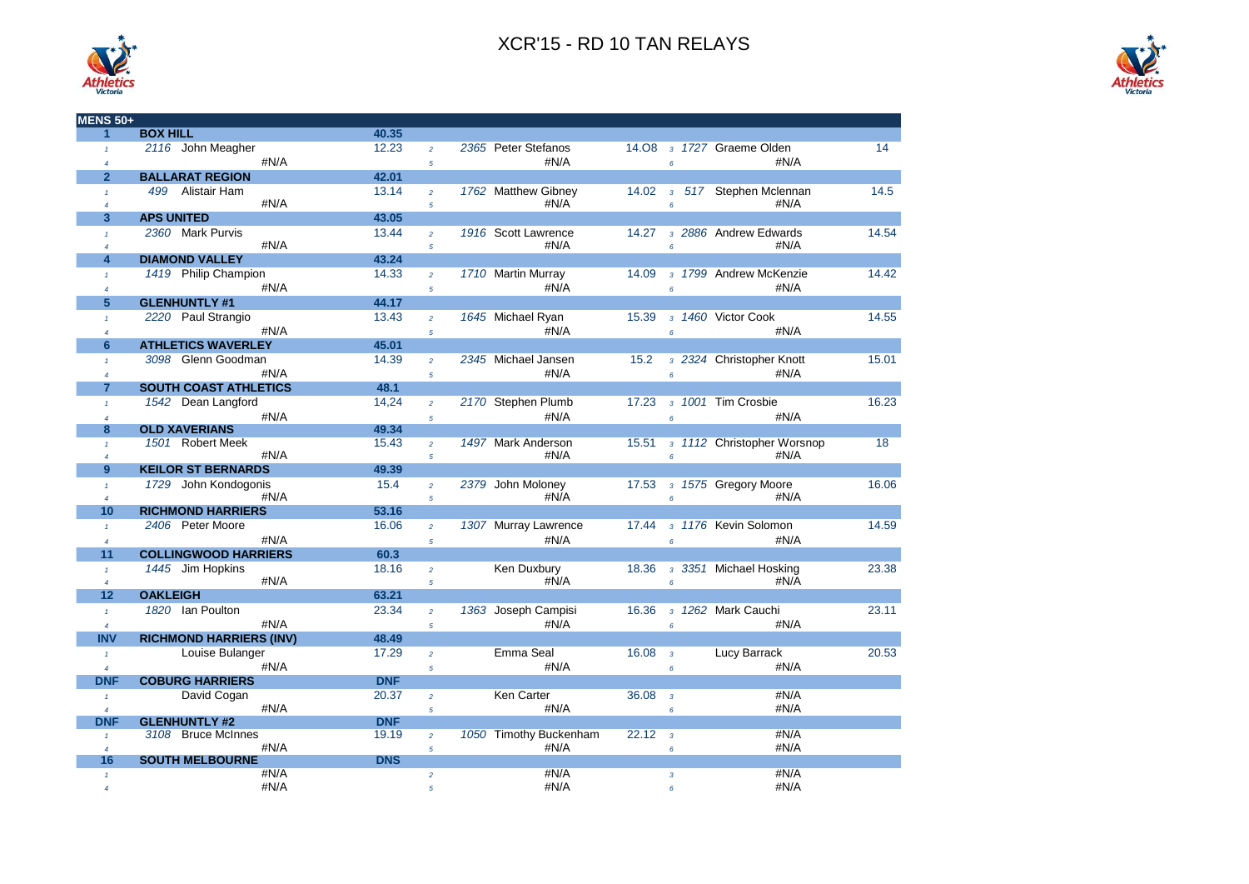



| <b>MENS 50+</b>                |                                |                |                                  |                             |                    |                                       |                                   |       |
|--------------------------------|--------------------------------|----------------|----------------------------------|-----------------------------|--------------------|---------------------------------------|-----------------------------------|-------|
| 1                              | <b>BOX HILL</b>                | 40.35          |                                  |                             |                    |                                       |                                   |       |
| $\mathbf{1}$<br>$\overline{4}$ | 2116 John Meagher<br>#N/A      | 12.23          | $\overline{a}$<br>$\overline{5}$ | 2365 Peter Stefanos<br>#N/A |                    | 6 <sup>1</sup>                        | 14.08 3 1727 Graeme Olden<br>#N/A | 14    |
| $\overline{2}$                 | <b>BALLARAT REGION</b>         | 42.01          |                                  |                             |                    |                                       |                                   |       |
| $\mathbf{f}$                   | 499 Alistair Ham               | 13.14          | $\overline{a}$                   | 1762 Matthew Gibney         | 14.02              |                                       | 3 517 Stephen Mclennan            | 14.5  |
| $\overline{4}$                 | #N/A                           |                | $\mathfrak{s}$                   | # $N/A$                     |                    | 6                                     | #N/A                              |       |
| 3                              | <b>APS UNITED</b>              | 43.05          |                                  |                             |                    |                                       |                                   |       |
| $\mathbf{1}$                   | 2360 Mark Purvis               | 13.44          | $\overline{2}$                   | 1916 Scott Lawrence         | 14.27              |                                       | 3 2886 Andrew Edwards             | 14.54 |
| $\overline{4}$                 | #N/A                           |                | $\overline{5}$                   | #N/A                        |                    | $\ddot{\delta}$                       | #N/A                              |       |
| $\overline{\mathbf{4}}$        | <b>DIAMOND VALLEY</b>          | 43.24          |                                  |                             |                    |                                       |                                   |       |
| $\mathbf{1}$                   | 1419 Philip Champion           | 14.33          | $\overline{a}$                   | 1710 Martin Murray          | 14.09              |                                       | 3 1799 Andrew McKenzie            | 14.42 |
| $\overline{\mathcal{A}}$       | #N/A                           |                | $\overline{5}$                   | #N/A                        |                    | $\epsilon$                            | #N/A                              |       |
| 5                              | <b>GLENHUNTLY #1</b>           | 44.17          |                                  |                             |                    |                                       |                                   |       |
| $\mathbf{f}$                   | 2220 Paul Strangio             | 13.43          | $\overline{2}$                   | 1645 Michael Ryan           | 15.39              |                                       | 3 1460 Victor Cook                | 14.55 |
| $\overline{A}$                 | #N/A                           |                | $\mathfrak{s}$                   | #N/A                        |                    | $\epsilon$                            | #N/A                              |       |
| 6                              | <b>ATHLETICS WAVERLEY</b>      | 45.01          |                                  |                             |                    |                                       |                                   |       |
| $\mathbf{f}$                   | 3098 Glenn Goodman             | 14.39          | $\overline{a}$                   | 2345 Michael Jansen         | 15.2               |                                       | 3 2324 Christopher Knott          | 15.01 |
| $\overline{4}$                 | #N/A                           |                | $\overline{5}$                   | #N/A                        |                    | 6 <sup>1</sup>                        | #N/A                              |       |
| $\overline{7}$                 | <b>SOUTH COAST ATHLETICS</b>   | 48.1           |                                  |                             |                    |                                       |                                   |       |
| $\mathbf{f}$                   | 1542 Dean Langford             | 14,24          | $\overline{a}$                   | 2170 Stephen Plumb          | 17.23              |                                       | 3 1001 Tim Crosbie                | 16.23 |
| $\overline{4}$                 | #N/A                           |                | $\sqrt{5}$                       | #N/A                        |                    | $\epsilon$                            | #N/A                              |       |
| 8                              | <b>OLD XAVERIANS</b>           | 49.34          |                                  |                             |                    |                                       |                                   |       |
| $\mathbf{f}$                   | 1501 Robert Meek               | 15.43          | $\overline{a}$                   | 1497 Mark Anderson          |                    |                                       | 15.51 3 1112 Christopher Worsnop  | 18    |
| $\overline{4}$                 | #N/A                           |                | $\overline{5}$                   | #N/A                        |                    | 6 <sup>1</sup>                        | #N/A                              |       |
| $9^{\circ}$                    | <b>KEILOR ST BERNARDS</b>      | 49.39          |                                  |                             |                    |                                       |                                   |       |
| $\mathbf{1}$                   | 1729 John Kondogonis           | 15.4           | $\overline{2}$                   | 2379 John Moloney           |                    |                                       | 17.53 3 1575 Gregory Moore        | 16.06 |
| $\overline{4}$                 | #N/A                           |                | $\mathfrak{s}$                   | #N/A                        |                    | 6 <sup>1</sup>                        | #N/A                              |       |
| 10                             | <b>RICHMOND HARRIERS</b>       | 53.16          |                                  |                             |                    |                                       |                                   |       |
| $\mathbf{f}$                   | 2406 Peter Moore               | 16.06          | $\overline{2}$                   | 1307 Murray Lawrence        | 17.44              |                                       | 3 1176 Kevin Solomon              | 14.59 |
| $\overline{4}$                 | #N/A                           |                | $\overline{5}$                   | #N/A                        |                    | $\overline{6}$                        | #N/A                              |       |
| 11                             | <b>COLLINGWOOD HARRIERS</b>    | 60.3           |                                  |                             |                    |                                       |                                   |       |
| $\mathbf{1}$                   | 1445 Jim Hopkins<br>#N/A       | 18.16          | $\overline{a}$                   | Ken Duxbury<br>#N/A         | 18.36              |                                       | 3 3351 Michael Hosking<br>#N/A    | 23.38 |
| $\overline{4}$<br>12           | <b>OAKLEIGH</b>                | 63.21          | $\overline{5}$                   |                             |                    | $6^{\circ}$                           |                                   |       |
|                                | 1820 Ian Poulton               | 23.34          |                                  |                             | 16.36              |                                       | 3 1262 Mark Cauchi                | 23.11 |
| $\mathbf{f}$                   | #N/A                           |                | $\overline{a}$                   | 1363 Joseph Campisi<br>#N/A |                    |                                       |                                   |       |
| $\overline{4}$                 |                                |                | $\overline{5}$                   |                             |                    | $\epsilon$                            | #N/A                              |       |
| <b>INV</b>                     | <b>RICHMOND HARRIERS (INV)</b> | 48.49<br>17.29 |                                  | Emma Seal                   | 16.08              |                                       |                                   | 20.53 |
| $\mathbf{f}$                   | Louise Bulanger                |                | $\overline{2}$                   |                             |                    | $\overline{3}$                        | Lucy Barrack                      |       |
| $\overline{4}$                 | #N/A                           |                | $\sqrt{5}$                       | #N/A                        |                    | 6                                     | #N/A                              |       |
| <b>DNF</b>                     | <b>COBURG HARRIERS</b>         | <b>DNF</b>     |                                  | <b>Ken Carter</b>           |                    |                                       |                                   |       |
| $\mathbf{1}$                   | David Cogan<br>#N/A            | 20.37          | $\overline{a}$                   | #N/A                        | 36.08              | $\overline{\mathbf{3}}$<br>$\epsilon$ | #N/A<br>#N/A                      |       |
| $\overline{4}$<br><b>DNF</b>   | <b>GLENHUNTLY #2</b>           | <b>DNF</b>     | 5                                |                             |                    |                                       |                                   |       |
| $\mathbf{1}$                   | 3108 Bruce McInnes             | 19.19          | $\overline{a}$                   | 1050 Timothy Buckenham      | 22.12 <sub>3</sub> |                                       | #N/A                              |       |
| $\overline{4}$                 | #N/A                           |                | $\overline{5}$                   | #N/A                        |                    | 6                                     | #N/A                              |       |
| 16                             | <b>SOUTH MELBOURNE</b>         | <b>DNS</b>     |                                  |                             |                    |                                       |                                   |       |
| $\mathbf{f}$                   | #N/A                           |                | $\overline{a}$                   | #N/A                        |                    | $\overline{3}$                        | #N/A                              |       |
| $\overline{A}$                 | #N/A                           |                | 5                                | #N/A                        |                    | 6                                     | #N/A                              |       |

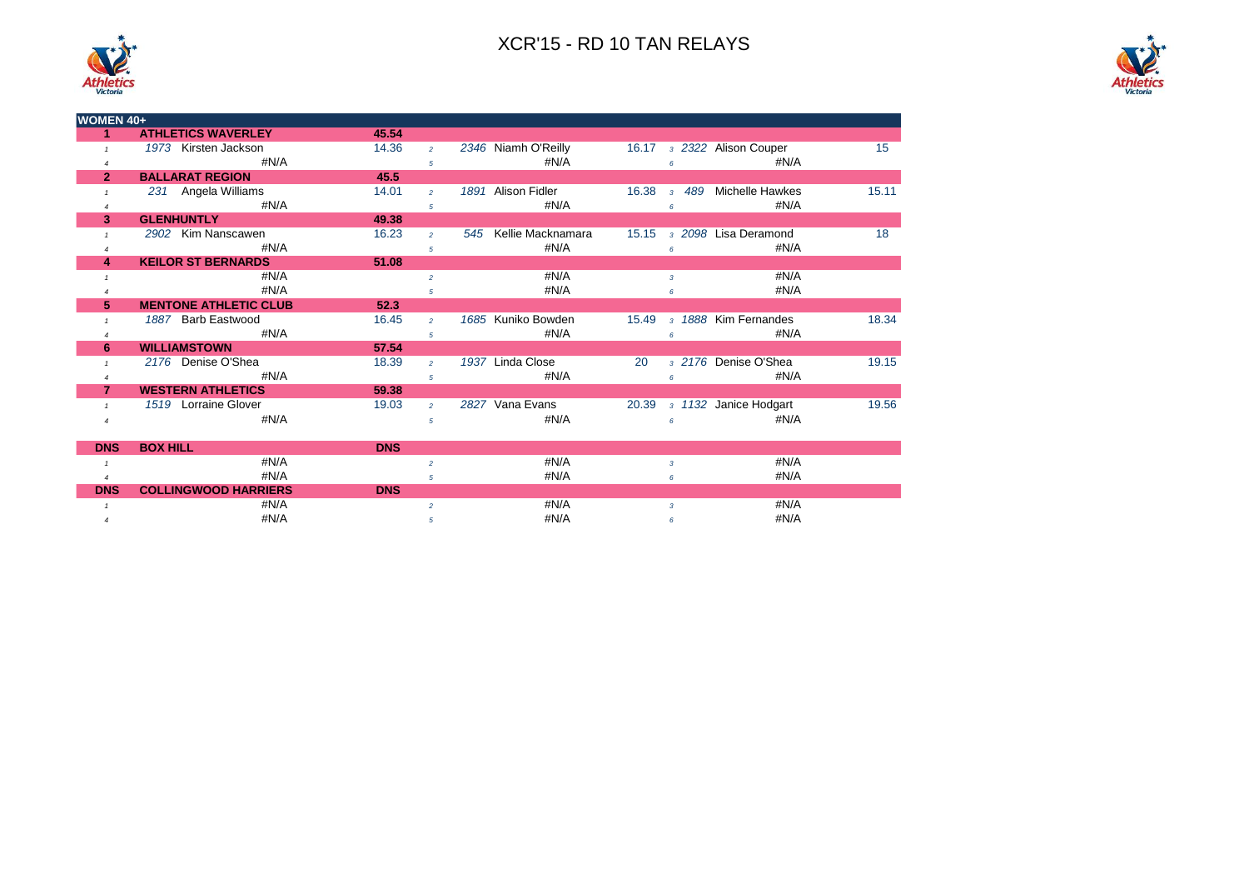



| <b>DNS</b> | <b>BOX HILL</b>             | <b>DNS</b> |      |      |
|------------|-----------------------------|------------|------|------|
|            | #N/A                        |            | #N/A | #N/A |
|            | #N/A                        |            | #N/A | #N/A |
| <b>DNS</b> | <b>COLLINGWOOD HARRIERS</b> | <b>DNS</b> |      |      |
|            | #N/A                        |            | #N/A | #N/A |
|            | #N/A                        |            | #N/A | #N/A |

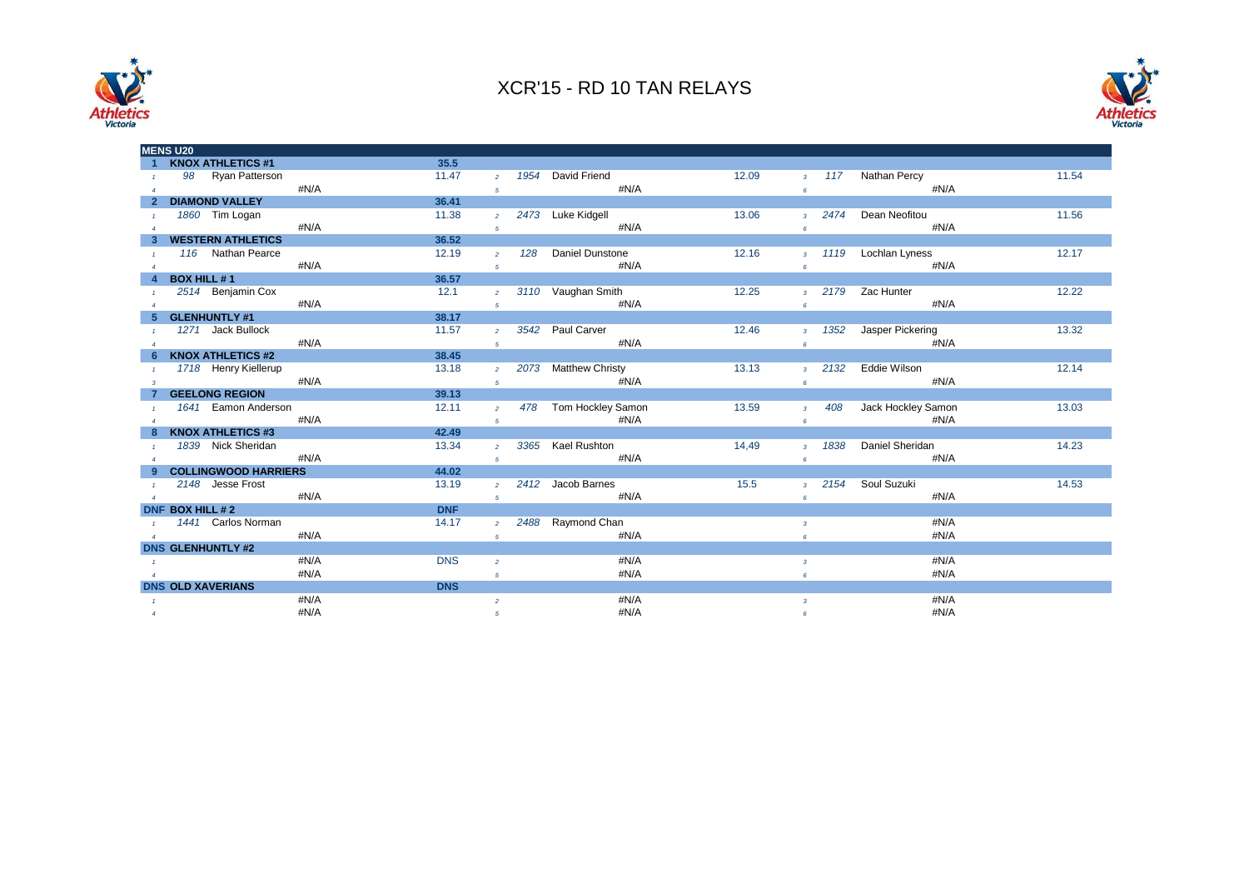



|                  | <b>MENS U20</b>             |      |            |                |                        |       |                         |      |                       |       |
|------------------|-----------------------------|------|------------|----------------|------------------------|-------|-------------------------|------|-----------------------|-------|
|                  | <b>KNOX ATHLETICS #1</b>    |      | 35.5       |                |                        |       |                         |      |                       |       |
|                  | 98 Ryan Patterson           |      | 11.47      | $\overline{2}$ | 1954 David Friend      | 12.09 |                         |      | 3 117 Nathan Percy    | 11.54 |
| $\overline{4}$   |                             | #N/A |            | 5 <sup>5</sup> | #N/A                   |       | 6                       |      | #N/A                  |       |
|                  | <b>DIAMOND VALLEY</b>       |      | 36.41      |                |                        |       |                         |      |                       |       |
| $\overline{1}$   | 1860 Tim Logan              |      | 11.38      | $\overline{2}$ | 2473 Luke Kidgell      | 13.06 | 3 <sup>1</sup>          |      | 2474 Dean Neofitou    | 11.56 |
| $\overline{4}$   |                             | #N/A |            | 5 <sup>5</sup> | #N/A                   |       | 6                       |      | #N/A                  |       |
|                  | <b>WESTERN ATHLETICS</b>    |      | 36.52      |                |                        |       |                         |      |                       |       |
| $\mathbf{1}$     | 116 Nathan Pearce           |      | 12.19      | $\overline{2}$ | 128 Daniel Dunstone    | 12.16 |                         |      | 3 1119 Lochlan Lyness | 12.17 |
| $\overline{4}$   |                             | #N/A |            | 5 <sup>1</sup> | #N/A                   |       | 6                       |      | #N/A                  |       |
|                  | <b>BOX HILL #1</b>          |      | 36.57      |                |                        |       |                         |      |                       |       |
|                  | 2514 Benjamin Cox           |      | 12.1       |                | 2 3110 Vaughan Smith   | 12.25 |                         |      | 3 2179 Zac Hunter     | 12.22 |
| $\boldsymbol{A}$ |                             | #N/A |            | 5 <sup>5</sup> | #N/A                   |       | 6 <sup>1</sup>          |      | #N/A                  |       |
|                  | GLENHUNTLY #1               |      | 38.17      |                |                        |       |                         |      |                       |       |
|                  | 1271 Jack Bullock           |      | 11.57      |                | 2 3542 Paul Carver     | 12.46 | 3 <sup>1</sup>          |      | 1352 Jasper Pickering | 13.32 |
|                  |                             | #N/A |            | 5 <sup>1</sup> | #N/A                   |       | 6                       |      | #N/A                  |       |
|                  | <b>KNOX ATHLETICS #2</b>    |      | 38.45      |                |                        |       |                         |      |                       |       |
| $\overline{1}$   | 1718 Henry Kiellerup        |      | 13.18      |                | 2 2073 Matthew Christy | 13.13 | 3 <sup>1</sup>          |      | 2132 Eddie Wilson     | 12.14 |
| $\mathbf{3}$     |                             | #N/A |            | 5 <sup>5</sup> | #N/A                   |       | 6 <sup>1</sup>          |      | #N/A                  |       |
|                  | <b>GEELONG REGION</b>       |      | 39.13      |                |                        |       |                         |      |                       |       |
|                  | 1641 Eamon Anderson         |      | 12.11      | $2^{\circ}$    | 478 Tom Hockley Samon  | 13.59 | $3^{\circ}$             | 408  | Jack Hockley Samon    | 13.03 |
|                  |                             | #N/A |            | 5 <sup>5</sup> | #N/A                   |       | 6                       |      | #N/A                  |       |
|                  | <b>KNOX ATHLETICS #3</b>    |      | 42.49      |                |                        |       |                         |      |                       |       |
|                  | 1839 Nick Sheridan          |      | 13.34      | $2^{\circ}$    | 3365 Kael Rushton      | 14,49 | 3 <sup>1</sup>          | 1838 | Daniel Sheridan       | 14.23 |
| $\overline{1}$   |                             | #N/A |            |                | #N/A                   |       |                         |      | #N/A                  |       |
| $\overline{A}$   | <b>COLLINGWOOD HARRIERS</b> |      | 44.02      | 5 <sup>1</sup> |                        |       | 6                       |      |                       |       |
|                  |                             |      | 13.19      |                | 2412 Jacob Barnes      | 15.5  |                         | 2154 | Soul Suzuki           | 14.53 |
| $\overline{1}$   | 2148 Jesse Frost            |      |            | $\overline{2}$ |                        |       | $3-1$                   |      |                       |       |
| $\overline{4}$   |                             | #N/A |            | 5 <sup>5</sup> | #N/A                   |       | 6                       |      | #N/A                  |       |
|                  | DNF BOX HILL # 2            |      | <b>DNF</b> |                |                        |       |                         |      |                       |       |
|                  | 1441 Carlos Norman          |      | 14.17      | $\overline{2}$ | 2488 Raymond Chan      |       | $\overline{3}$          |      | #N/A                  |       |
| $\overline{4}$   |                             | #N/A |            | 5 <sub>5</sub> | #N/A                   |       | 6                       |      | #N/A                  |       |
|                  | <b>DNS GLENHUNTLY #2</b>    |      |            |                |                        |       |                         |      |                       |       |
| $\mathbf{1}$     |                             | #N/A | <b>DNS</b> | $\overline{2}$ | #N/A                   |       | $\overline{3}$          |      | #N/A                  |       |
|                  |                             | #N/A |            | 5              | #N/A                   |       | 6                       |      | #N/A                  |       |
|                  | <b>DNS OLD XAVERIANS</b>    |      | <b>DNS</b> |                |                        |       |                         |      |                       |       |
| $\mathbf{1}$     |                             | #N/A |            | $\overline{2}$ | #N/A                   |       | $\overline{\mathbf{3}}$ |      | #N/A                  |       |
| $\overline{4}$   |                             | #N/A |            | 5              | #N/A                   |       | 6                       |      | #N/A                  |       |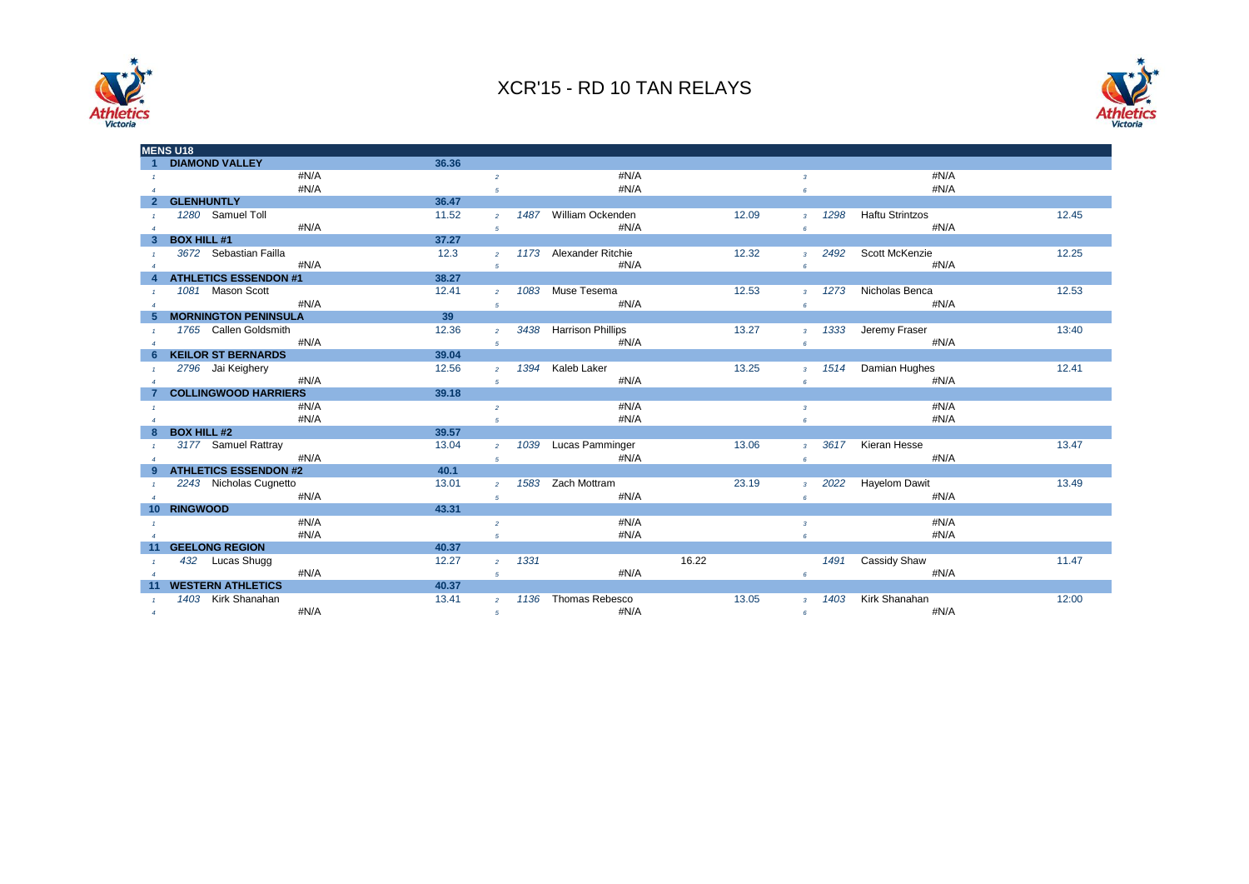



|                 | <b>MENS U18</b>              |       |                 |      |                          |       |                         |      |                        |       |
|-----------------|------------------------------|-------|-----------------|------|--------------------------|-------|-------------------------|------|------------------------|-------|
|                 | <b>DIAMOND VALLEY</b>        | 36.36 |                 |      |                          |       |                         |      |                        |       |
|                 | #N/A                         |       | $\overline{2}$  |      | #N/A                     |       | $\overline{3}$          |      | #N/A                   |       |
|                 | #N/A                         |       | 5               |      | #N/A                     |       | 6                       |      | #N/A                   |       |
|                 | <b>GLENHUNTLY</b>            | 36.47 |                 |      |                          |       |                         |      |                        |       |
|                 | 1280 Samuel Toll             | 11.52 | $\overline{2}$  |      | 1487 William Ockenden    | 12.09 | $\overline{3}$          | 1298 | <b>Haftu Strintzos</b> | 12.45 |
|                 | #N/A                         |       | $5\overline{5}$ |      | #N/A                     |       | 6                       |      | #N/A                   |       |
|                 | <b>BOX HILL #1</b>           | 37.27 |                 |      |                          |       |                         |      |                        |       |
|                 | 3672 Sebastian Failla        | 12.3  | $\overline{2}$  |      | 1173 Alexander Ritchie   | 12.32 | $\mathbf{3}$            | 2492 | Scott McKenzie         | 12.25 |
|                 | #N/A                         |       | 5               |      | #N/A                     |       | 6                       |      | #N/A                   |       |
|                 | <b>ATHLETICS ESSENDON #1</b> | 38.27 |                 |      |                          |       |                         |      |                        |       |
|                 | 1081 Mason Scott             | 12.41 | $\overline{2}$  | 1083 | Muse Tesema              | 12.53 | $\overline{3}$          | 1273 | Nicholas Benca         | 12.53 |
|                 | #N/A                         |       | 5               |      | #N/A                     |       | 6                       |      | #N/A                   |       |
|                 | <b>MORNINGTON PENINSULA</b>  | 39    |                 |      |                          |       |                         |      |                        |       |
|                 | 1765 Callen Goldsmith        | 12.36 | $\mathcal{P}$   | 3438 | <b>Harrison Phillips</b> | 13.27 | $\overline{3}$          | 1333 | Jeremy Fraser          | 13:40 |
|                 | #N/A                         |       | $\sqrt{5}$      |      | #N/A                     |       | $\epsilon$              |      | #N/A                   |       |
|                 | <b>KEILOR ST BERNARDS</b>    | 39.04 |                 |      |                          |       |                         |      |                        |       |
|                 | 2796 Jai Keighery            | 12.56 | $\overline{2}$  | 1394 | Kaleb Laker              | 13.25 | $\overline{3}$          | 1514 | Damian Hughes          | 12.41 |
|                 | #N/A                         |       | 5               |      | #N/A                     |       | 6                       |      | #N/A                   |       |
|                 | <b>COLLINGWOOD HARRIERS</b>  | 39.18 |                 |      |                          |       |                         |      |                        |       |
|                 | #N/A                         |       | $\overline{2}$  |      | #N/A                     |       | $\overline{\mathbf{3}}$ |      | #N/A                   |       |
|                 | #N/A                         |       | $\overline{5}$  |      | #N/A                     |       | $\epsilon$              |      | #N/A                   |       |
|                 | <b>BOX HILL #2</b>           | 39.57 |                 |      |                          |       |                         |      |                        |       |
|                 | 3177 Samuel Rattray          | 13.04 | $\overline{2}$  | 1039 | Lucas Pamminger          | 13.06 | $\mathbf{3}$            | 3617 | Kieran Hesse           | 13.47 |
|                 | #N/A                         |       | 5               |      | #N/A                     |       | $6\overline{6}$         |      | #N/A                   |       |
|                 | <b>ATHLETICS ESSENDON #2</b> | 40.1  |                 |      |                          |       |                         |      |                        |       |
|                 | 2243 Nicholas Cugnetto       | 13.01 | $\overline{2}$  | 1583 | Zach Mottram             | 23.19 | $\overline{3}$          | 2022 | <b>Hayelom Dawit</b>   | 13.49 |
| $\overline{A}$  | #N/A                         |       | 5               |      | #N/A                     |       | 6                       |      | #N/A                   |       |
| 10 <sup>1</sup> | <b>RINGWOOD</b>              | 43.31 |                 |      |                          |       |                         |      |                        |       |
|                 | #N/A                         |       | $\overline{2}$  |      | #N/A                     |       | $\mathbf{3}$            |      | #N/A                   |       |
|                 | #N/A                         |       | $\overline{5}$  |      | #N/A                     |       | 6                       |      | #N/A                   |       |
|                 | <b>GEELONG REGION</b>        | 40.37 |                 |      |                          |       |                         |      |                        |       |
|                 | 432 Lucas Shugg              | 12.27 | $\overline{2}$  | 1331 |                          | 16.22 |                         | 1491 | Cassidy Shaw           | 11.47 |
| $\overline{A}$  | #N/A                         |       | 5               |      | #N/A                     |       | 6                       |      | #N/A                   |       |
|                 | <b>WESTERN ATHLETICS</b>     | 40.37 |                 |      |                          |       |                         |      |                        |       |
|                 | 1403 Kirk Shanahan           | 13.41 | $\overline{2}$  |      | 1136 Thomas Rebesco      | 13.05 | $\overline{3}$          | 1403 | Kirk Shanahan          | 12:00 |
| $\overline{4}$  | #N/A                         |       | 5               |      | #N/A                     |       | 6                       |      | #N/A                   |       |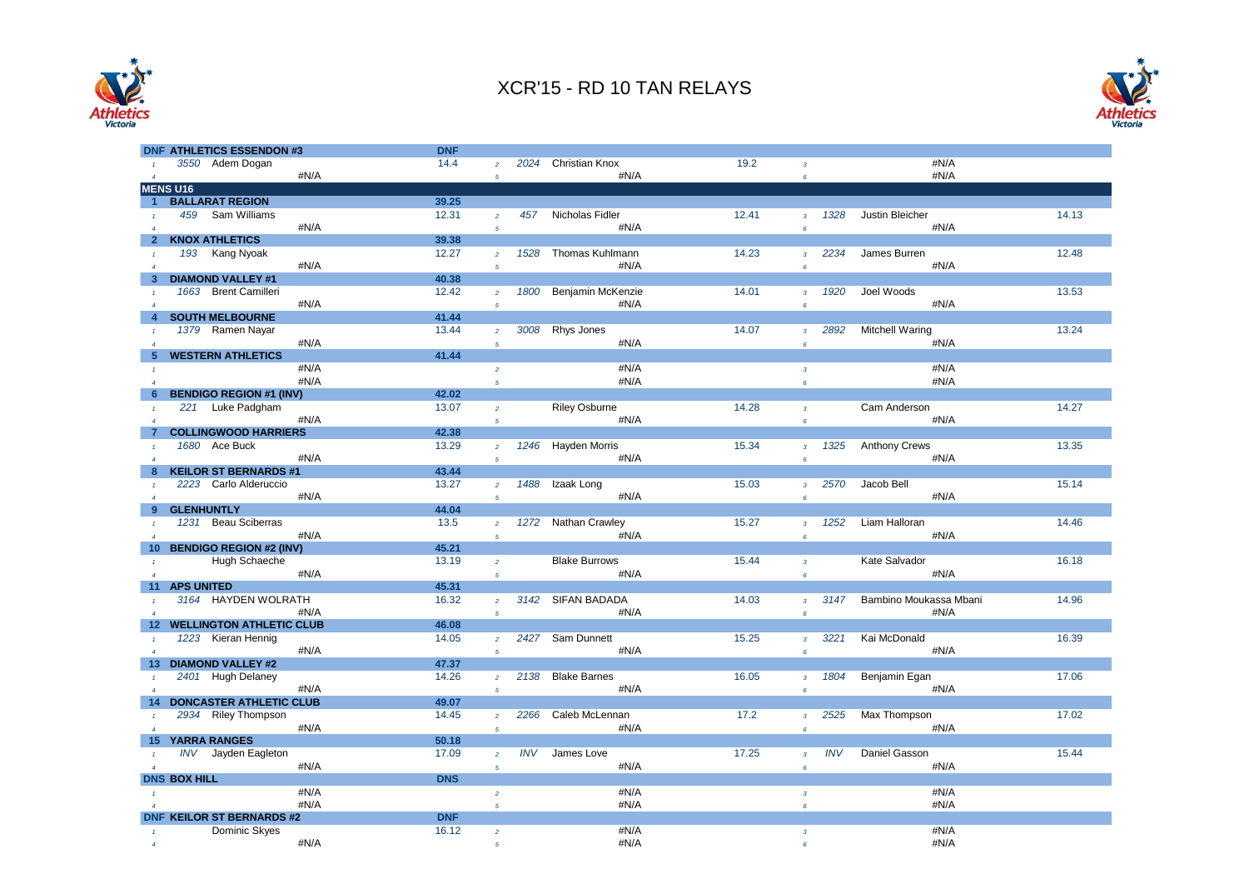



| <b>DNF ATHLETICS ESSENDON #3</b>                            | <b>DNF</b> |                                  |            |                      |       |                                       |            |                        |       |
|-------------------------------------------------------------|------------|----------------------------------|------------|----------------------|-------|---------------------------------------|------------|------------------------|-------|
| 3550 Adem Dogan                                             | 14.4       |                                  |            | 2024 Christian Knox  | 19.2  | $\overline{3}$                        |            | #N/A                   |       |
| #N/A<br>$\overline{4}$                                      |            | 5                                |            | #N/A                 |       | $\boldsymbol{6}$                      |            | #N/A                   |       |
| <b>MENS U16</b>                                             |            |                                  |            |                      |       |                                       |            |                        |       |
| <b>BALLARAT REGION</b><br>$\overline{1}$                    | 39.25      |                                  |            |                      |       |                                       |            |                        |       |
| Sam Williams<br>459                                         | 12.31      | $\overline{2}$                   | 457        | Nicholas Fidler      | 12.41 | $\overline{3}$                        | 1328       | Justin Bleicher        | 14.13 |
| #N/A<br>$\overline{4}$                                      |            | $\overline{5}$                   |            | #N/A                 |       | $\epsilon$                            |            | #N/A                   |       |
| <b>KNOX ATHLETICS</b><br>$\overline{2}$                     | 39.38      |                                  |            |                      |       |                                       |            |                        |       |
| 193 Kang Nyoak                                              | 12.27      | $\overline{2}$                   | 1528       | Thomas Kuhlmann      | 14.23 | $\overline{\mathbf{3}}$               | 2234       | James Burren           | 12.48 |
| #N/A<br>$\overline{4}$                                      |            | 5                                |            | #N/A                 |       | $6^{\circ}$                           |            | #N/A                   |       |
| <b>DIAMOND VALLEY #1</b><br>3                               | 40.38      |                                  |            |                      |       |                                       |            |                        |       |
| 1663 Brent Camilleri                                        | 12.42      | $\overline{2}$                   | 1800       | Benjamin McKenzie    | 14.01 | $\overline{3}$                        | 1920       | Joel Woods             | 13.53 |
| #N/A<br>$\overline{4}$                                      |            | 5                                |            | #N/A                 |       | $\boldsymbol{6}$                      |            | #N/A                   |       |
| <b>SOUTH MELBOURNE</b>                                      | 41.44      |                                  |            |                      |       |                                       |            |                        |       |
| 1379 Ramen Nayar                                            | 13.44      | $\overline{a}$                   | 3008       | Rhys Jones           | 14.07 | $\overline{3}$                        | 2892       | Mitchell Waring        | 13.24 |
| #N/A<br>$\overline{4}$                                      |            | $\overline{5}$                   |            | #N/A                 |       | $6^{\circ}$                           |            | #N/A                   |       |
| <b>WESTERN ATHLETICS</b><br>5                               | 41.44      |                                  |            |                      |       |                                       |            |                        |       |
| #N/A                                                        |            | $\overline{2}$                   |            | #N/A                 |       | $\overline{3}$                        |            | #N/A                   |       |
| #N/A<br>$\overline{A}$                                      |            | 5                                |            | #N/A                 |       | $6^{\circ}$                           |            | #N/A                   |       |
| <b>BENDIGO REGION #1 (INV)</b><br>6                         | 42.02      |                                  |            |                      |       |                                       |            |                        |       |
| 221 Luke Padgham<br>$\overline{1}$                          | 13.07      | $\overline{2}$                   |            | <b>Riley Osburne</b> | 14.28 | $\overline{3}$                        |            | Cam Anderson           | 14.27 |
| #N/A<br>$\overline{A}$                                      |            | 5                                |            | #N/A                 |       | $\pmb{6}$                             |            | #N/A                   |       |
| <b>COLLINGWOOD HARRIERS</b>                                 | 42.38      |                                  |            |                      |       |                                       |            |                        |       |
| 1680 Ace Buck<br>$\overline{1}$                             | 13.29      | $\overline{2}$                   | 1246       | Hayden Morris        | 15.34 | $\overline{3}$                        | 1325       | <b>Anthony Crews</b>   | 13.35 |
| #N/A<br>$\overline{A}$                                      |            | 5                                |            | #N/A                 |       | $\pmb{6}$                             |            | #N/A                   |       |
| <b>KEILOR ST BERNARDS #1</b><br>8                           | 43.44      |                                  |            |                      |       |                                       |            |                        |       |
| 2223 Carlo Alderuccio                                       | 13.27      | $\overline{2}$                   | 1488       | Izaak Long           | 15.03 | $\overline{3}$                        | 2570       | Jacob Bell             | 15.14 |
| #N/A<br>$\overline{4}$                                      |            | $\overline{5}$                   |            | #N/A                 |       | $\boldsymbol{6}$                      |            | #N/A                   |       |
| <b>GLENHUNTLY</b><br>9                                      | 44.04      |                                  |            |                      |       |                                       |            |                        |       |
| 1231 Beau Sciberras                                         | 13.5       | $\overline{2}$                   | 1272       | Nathan Crawley       | 15.27 | $\overline{3}$                        | 1252       | Liam Halloran          | 14.46 |
| #N/A<br>$\overline{A}$                                      |            | $\overline{5}$                   |            | #N/A                 |       | $\boldsymbol{6}$                      |            | #N/A                   |       |
| <b>BENDIGO REGION #2 (INV)</b><br>10                        | 45.21      |                                  |            |                      |       |                                       |            |                        |       |
| Hugh Schaeche                                               | 13.19      | $\overline{2}$                   |            | <b>Blake Burrows</b> | 15.44 | $\overline{3}$                        |            | Kate Salvador          | 16.18 |
| #N/A<br>$\overline{A}$                                      |            | $\overline{5}$                   |            | #N/A                 |       | $\epsilon$                            |            | #N/A                   |       |
| <b>APS UNITED</b><br>11                                     | 45.31      |                                  |            |                      |       |                                       |            |                        |       |
| 3164 HAYDEN WOLRATH                                         | 16.32      | $\overline{2}$                   | 3142       | <b>SIFAN BADADA</b>  | 14.03 | $\overline{3}$                        | 3147       | Bambino Moukassa Mbani | 14.96 |
| #N/A                                                        |            | 5                                |            | #N/A                 |       | $\boldsymbol{6}$                      |            | #N/A                   |       |
| <b>WELLINGTON ATHLETIC CLUB</b><br>12                       | 46.08      |                                  |            |                      |       |                                       |            |                        |       |
| 1223 Kieran Hennig                                          | 14.05      | $\overline{2}$                   |            | 2427 Sam Dunnett     | 15.25 | $\overline{3}$                        | 3221       | Kai McDonald           | 16.39 |
| #N/A<br><b>DIAMOND VALLEY #2</b>                            | 47.37      | $\overline{5}$                   |            | #N/A                 |       | $\boldsymbol{6}$                      |            | #N/A                   |       |
| 13                                                          | 14.26      |                                  | 2138       | <b>Blake Barnes</b>  |       |                                       |            |                        |       |
| 2401 Hugh Delaney<br>$\mathbf{1}$<br>#N/A<br>$\overline{4}$ |            | $\overline{2}$<br>$\overline{5}$ |            | #N/A                 | 16.05 | $\overline{\mathbf{3}}$<br>$\epsilon$ | 1804       | Benjamin Egan<br>#N/A  | 17.06 |
| <b>DONCASTER ATHLETIC CLUB</b><br>14                        | 49.07      |                                  |            |                      |       |                                       |            |                        |       |
| 2934 Riley Thompson                                         | 14.45      |                                  | 2266       | Caleb McLennan       | 17.2  |                                       | 2525       | Max Thompson           | 17.02 |
| $\overline{1}$<br>#N/A<br>$\overline{A}$                    |            | $\overline{2}$                   |            | #N/A                 |       | $\overline{3}$                        |            | #N/A                   |       |
| <b>YARRA RANGES</b><br>15                                   | 50.18      | $\overline{5}$                   |            |                      |       | $\boldsymbol{6}$                      |            |                        |       |
| Jayden Eagleton<br>INV                                      | 17.09      | $\overline{2}$                   | <b>INV</b> | James Love           | 17.25 | $\overline{3}$                        | <b>INV</b> | Daniel Gasson          | 15.44 |
| #N/A                                                        |            | $\overline{5}$                   |            | #N/A                 |       | $\boldsymbol{6}$                      |            | #N/A                   |       |
| <b>DNS BOX HILL</b>                                         | <b>DNS</b> |                                  |            |                      |       |                                       |            |                        |       |
| #N/A                                                        |            | $\overline{a}$                   |            | #N/A                 |       | $\overline{3}$                        |            | #N/A                   |       |
| #N/A<br>$\overline{A}$                                      |            | 5                                |            | #N/A                 |       | $6^{\circ}$                           |            | #N/A                   |       |
| <b>DNF KEILOR ST BERNARDS #2</b>                            | <b>DNF</b> |                                  |            |                      |       |                                       |            |                        |       |
| Dominic Skyes                                               | 16.12      | $\overline{2}$                   |            | #N/A                 |       | $\overline{\mathbf{3}}$               |            | #N/A                   |       |
| #N/A<br>$\overline{A}$                                      |            | $\overline{5}$                   |            | #N/A                 |       | $6^{\circ}$                           |            | #N/A                   |       |
|                                                             |            |                                  |            |                      |       |                                       |            |                        |       |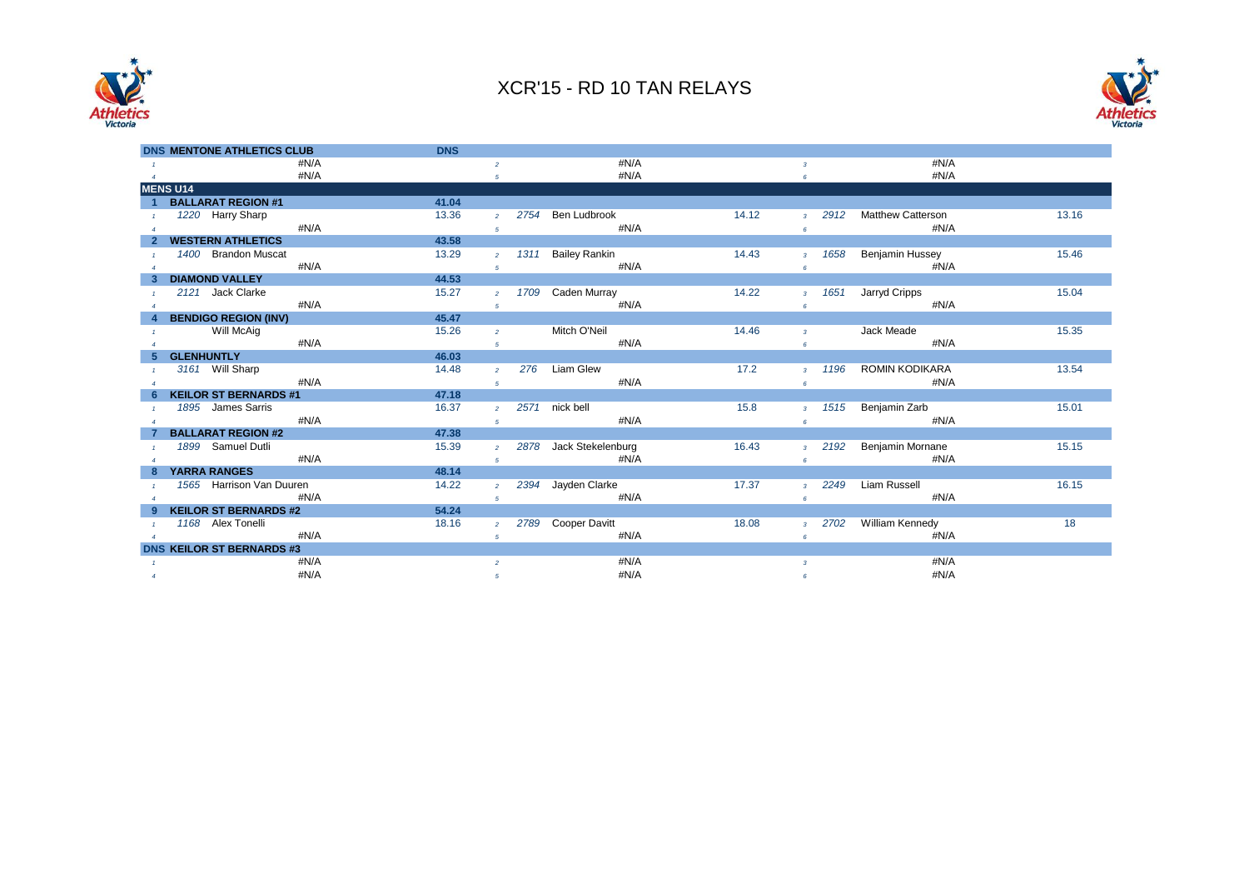



| <b>DNS MENTONE ATHLETICS CLUB</b> | <b>DNS</b> |                        |                        |       |                        |                          |       |
|-----------------------------------|------------|------------------------|------------------------|-------|------------------------|--------------------------|-------|
| #N/A                              |            | $\overline{2}$         | #N/A                   |       | $\overline{3}$         | #N/A                     |       |
| #N/A<br>$\overline{4}$            |            | 5                      | #N/A                   |       | 6                      | #N/A                     |       |
| <b>MENS U14</b>                   |            |                        |                        |       |                        |                          |       |
| <b>BALLARAT REGION #1</b>         | 41.04      |                        |                        |       |                        |                          |       |
| 1220 Harry Sharp                  | 13.36      | 2754<br>$\overline{2}$ | Ben Ludbrook           | 14.12 | 2912<br>$3-1$          | <b>Matthew Catterson</b> | 13.16 |
| #N/A                              |            | 5                      | #N/A                   |       | 6                      | #N/A                     |       |
| <b>WESTERN ATHLETICS</b>          | 43.58      |                        |                        |       |                        |                          |       |
| 1400 Brandon Muscat               | 13.29      | 1311<br>$\overline{2}$ | <b>Bailey Rankin</b>   | 14.43 | 1658<br>3 <sup>7</sup> | Benjamin Hussey          | 15.46 |
| #N/A                              |            | 5                      | #N/A                   |       | 6                      | #N/A                     |       |
| <b>DIAMOND VALLEY</b>             | 44.53      |                        |                        |       |                        |                          |       |
| 2121 Jack Clarke                  | 15.27      | $\overline{2}$         | 1709 Caden Murray      | 14.22 | 1651<br>$3-1$          | Jarryd Cripps            | 15.04 |
| #N/A                              |            | 5                      | #N/A                   |       | $\pmb{6}$              | #N/A                     |       |
| <b>BENDIGO REGION (INV)</b>       | 45.47      |                        |                        |       |                        |                          |       |
| Will McAig                        | 15.26      | $\overline{2}$         | Mitch O'Neil           | 14.46 | $\overline{3}$         | Jack Meade               | 15.35 |
| #N/A                              |            | 5                      | #N/A                   |       | 6                      | #N/A                     |       |
| <b>GLENHUNTLY</b>                 | 46.03      |                        |                        |       |                        |                          |       |
| 3161 Will Sharp                   | 14.48      | 276<br>$\overline{2}$  | Liam Glew              | 17.2  | 1196<br>$\overline{3}$ | ROMIN KODIKARA           | 13.54 |
| #N/A                              |            | 5                      | #N/A                   |       | 6                      | #N/A                     |       |
| <b>KEILOR ST BERNARDS #1</b>      | 47.18      |                        |                        |       |                        |                          |       |
| 1895 James Sarris                 | 16.37      | $\overline{2}$         | 2571 nick bell         | 15.8  | 1515<br>3 <sup>1</sup> | Benjamin Zarb            | 15.01 |
| #N/A                              |            | 5                      | #N/A                   |       | 6                      | #N/A                     |       |
| <b>BALLARAT REGION #2</b>         | 47.38      |                        |                        |       |                        |                          |       |
| 1899 Samuel Dutli                 | 15.39      | $\overline{2}$         | 2878 Jack Stekelenburg | 16.43 | 2192<br>$3-1$          | Benjamin Mornane         | 15.15 |
| #N/A                              |            | 5                      | #N/A                   |       | 6                      | #N/A                     |       |
| <b>YARRA RANGES</b>               | 48.14      |                        |                        |       |                        |                          |       |
| 1565 Harrison Van Duuren          | 14.22      | $\overline{2}$         | 2394 Jayden Clarke     | 17.37 | 2249<br>$3-1$          | Liam Russell             | 16.15 |
| #N/A                              |            | 5                      | #N/A                   |       | 6                      | #N/A                     |       |
| <b>KEILOR ST BERNARDS #2</b>      | 54.24      |                        |                        |       |                        |                          |       |
| 1168 Alex Tonelli                 | 18.16      | $\overline{2}$         | 2789 Cooper Davitt     | 18.08 | 2702<br>3 <sup>1</sup> | William Kennedy          | 18    |
| #N/A                              |            | 5                      | #N/A                   |       | 6                      | #N/A                     |       |
| <b>DNS KEILOR ST BERNARDS #3</b>  |            |                        |                        |       |                        |                          |       |
| #N/A                              |            | $\overline{2}$         | #N/A                   |       | $\overline{3}$         | #N/A                     |       |
| #N/A<br>$\boldsymbol{A}$          |            | 5                      | #N/A                   |       | 6                      | #N/A                     |       |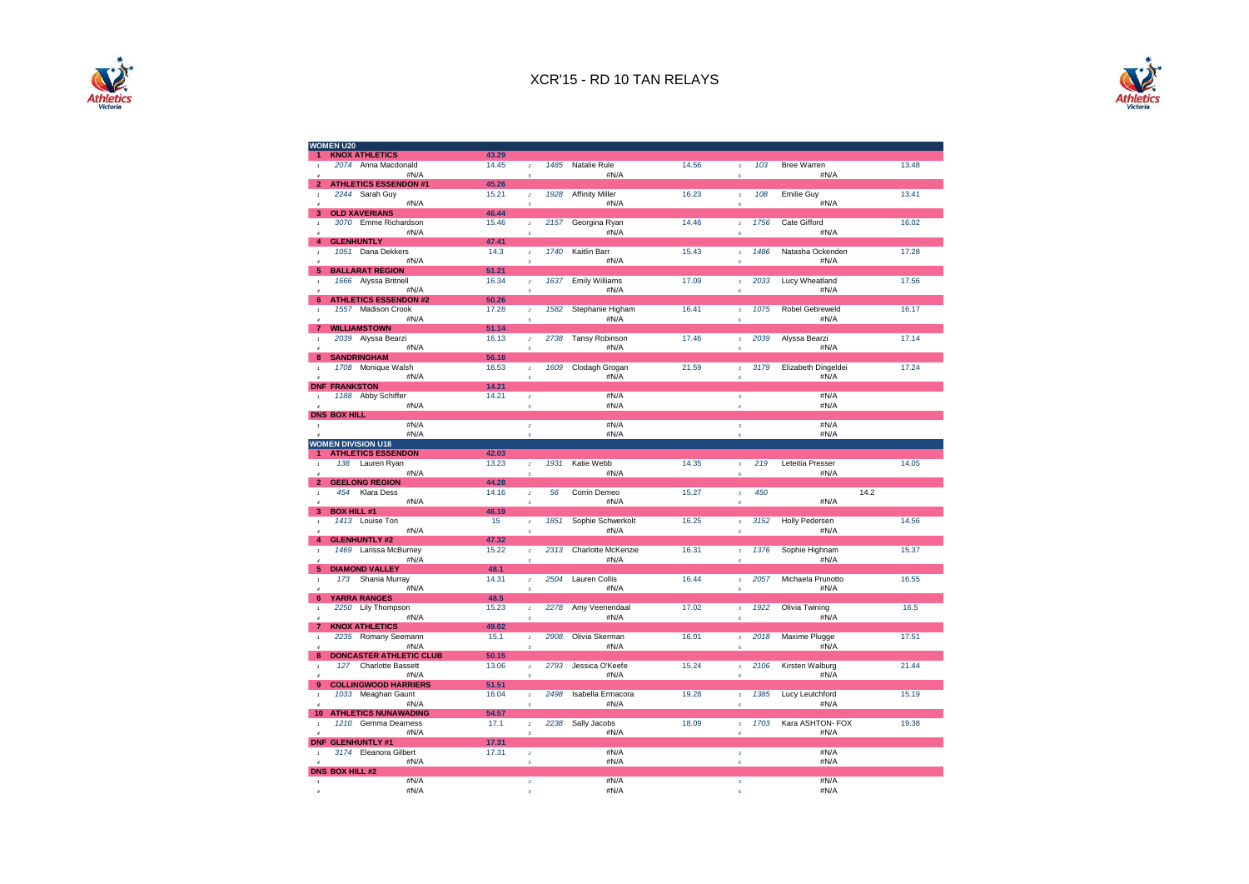



| <b>WOMEN U20</b>                                              |       |                                                                                                                                                                                                                                                                                                                                                                                                                                 |                               |       |                                       |                          |       |
|---------------------------------------------------------------|-------|---------------------------------------------------------------------------------------------------------------------------------------------------------------------------------------------------------------------------------------------------------------------------------------------------------------------------------------------------------------------------------------------------------------------------------|-------------------------------|-------|---------------------------------------|--------------------------|-------|
| <b>KNOX ATHLETICS</b>                                         | 43.29 |                                                                                                                                                                                                                                                                                                                                                                                                                                 |                               |       |                                       |                          |       |
| 2074 Anna Macdonald                                           | 14.45 | 1485<br>$\bar{z}$                                                                                                                                                                                                                                                                                                                                                                                                               | Natalie Rule                  | 14.56 | 103<br>$\mathbf 3$                    | Bree Warren              | 13.48 |
| #N/A                                                          |       | $\overline{5}$                                                                                                                                                                                                                                                                                                                                                                                                                  | #N/A                          |       | 6                                     | #N/A                     |       |
| <b>ATHLETICS ESSENDON #1</b><br>$\overline{2}$                | 45.26 |                                                                                                                                                                                                                                                                                                                                                                                                                                 |                               |       |                                       |                          |       |
| 2244 Sarah Guy<br>$\mathbf{I}$                                | 15.21 | 1928<br>$\bar{z}$                                                                                                                                                                                                                                                                                                                                                                                                               | <b>Affinity Miller</b>        | 16.23 | 108<br>$\mathbf 3$                    | <b>Emilie Guy</b>        | 13.41 |
| #N/A<br>$\overline{a}$                                        |       | 5                                                                                                                                                                                                                                                                                                                                                                                                                               | #N/A                          |       | 6                                     | #N/A                     |       |
| 3<br><b>OLD XAVERIANS</b>                                     | 46.44 |                                                                                                                                                                                                                                                                                                                                                                                                                                 |                               |       |                                       |                          |       |
| 3070 Emme Richardson                                          | 15.46 | 2157<br>$\bar{z}$                                                                                                                                                                                                                                                                                                                                                                                                               | Georgina Ryan                 | 14.46 | 1756<br>$\mathbf 3$                   | Cate Gifford             | 16.02 |
| #N/A                                                          |       | 5                                                                                                                                                                                                                                                                                                                                                                                                                               | #N/A                          |       | $\boldsymbol{\epsilon}$               | #N/A                     |       |
| <b>GLENHUNTLY</b><br>4                                        | 47.41 |                                                                                                                                                                                                                                                                                                                                                                                                                                 |                               |       |                                       |                          |       |
| 1051 Dana Dekkers<br>$\mathbf{I}$                             | 14.3  | 1740<br>$\bar{z}$                                                                                                                                                                                                                                                                                                                                                                                                               | Kaitlin Barr                  | 15.43 | 1486<br>$\mathbf 3$                   | Natasha Ockenden         | 17.28 |
| #N/A                                                          |       | $\overline{5}$                                                                                                                                                                                                                                                                                                                                                                                                                  | #N/A                          |       | 6                                     | #N/A                     |       |
| <b>BALLARAT REGION</b><br>5                                   | 51.21 |                                                                                                                                                                                                                                                                                                                                                                                                                                 |                               |       |                                       |                          |       |
| 1666 Alyssa Britnell                                          | 16.34 | 1637<br>$\bar{z}$                                                                                                                                                                                                                                                                                                                                                                                                               | <b>Emily Williams</b><br>#N/A | 17.09 | 2033<br>$\mathbf{3}$                  | Lucy Wheatland<br>#N/A   | 17.56 |
| #N/A<br>$6\phantom{1}$<br><b>ATHLETICS ESSENDON #2</b>        | 50.26 | 5                                                                                                                                                                                                                                                                                                                                                                                                                               |                               |       | $\boldsymbol{\epsilon}$               |                          |       |
| 1557 Madison Crook                                            | 17.28 | 1582<br>$\overline{2}$                                                                                                                                                                                                                                                                                                                                                                                                          | Stephanie Higham              | 16.41 | 1075<br>$\overline{3}$                | <b>Robel Gebreweld</b>   | 16.17 |
| $\pmb{\tau}$<br>#N/A<br>$\overline{4}$                        |       | $\overline{5}$                                                                                                                                                                                                                                                                                                                                                                                                                  | #N/A                          |       | $\boldsymbol{\epsilon}$               | #N/A                     |       |
| <b>WILLIAMSTOWN</b><br>$\overline{7}$                         | 51.14 |                                                                                                                                                                                                                                                                                                                                                                                                                                 |                               |       |                                       |                          |       |
| 2039 Alyssa Bearzi<br>$\mathbf{I}$                            | 16.13 | 2738<br>$\mathbf{2}% =\mathbf{2}+\mathbf{2}+\mathbf{3}+\mathbf{5}+\mathbf{5}+\mathbf{5}+\mathbf{6}+\mathbf{6}+\mathbf{5}+\mathbf{5}+\mathbf{6}+\mathbf{6}+\mathbf{5}+\mathbf{6}+\mathbf{6}+\mathbf{5}+\mathbf{5}+\mathbf{6}+\mathbf{6}+\mathbf{6}+\mathbf{5}+\mathbf{6}+\mathbf{6}+\mathbf{6}+\mathbf{6}+\mathbf{6}+\mathbf{6}+\mathbf{6}+\mathbf{6}+\mathbf{6}+\mathbf{6}+\mathbf{6}+\mathbf{6}+\mathbf{6}+\mathbf{6}+\mathbf$ | Tansy Robinson                | 17.46 | 2039<br>$\mathbf 3$                   | Alyssa Bearzi            | 17.14 |
| #N/A<br>$\overline{4}$                                        |       | $\sqrt{s}$                                                                                                                                                                                                                                                                                                                                                                                                                      | #N/A                          |       | $\boldsymbol{\epsilon}$               | #N/A                     |       |
| <b>SANDRINGHAM</b><br>8                                       | 56.18 |                                                                                                                                                                                                                                                                                                                                                                                                                                 |                               |       |                                       |                          |       |
| Monique Walsh<br>1708<br>$\mathbf{r}$                         | 16.53 | 1609<br>$\bar{z}$                                                                                                                                                                                                                                                                                                                                                                                                               | Clodagh Grogan                | 21.59 | 3179<br>$\overline{3}$                | Elizabeth Dingeldei      | 17.24 |
| #N/A<br>$\overline{a}$                                        |       | 5                                                                                                                                                                                                                                                                                                                                                                                                                               | #N/A                          |       | ß.                                    | #N/A                     |       |
| <b>DNF</b><br><b>FRANKSTON</b>                                | 14.21 |                                                                                                                                                                                                                                                                                                                                                                                                                                 |                               |       |                                       |                          |       |
| 1188 Abby Schiffer<br>$\mathbf{1}$                            | 14.21 | $\bar{2}$                                                                                                                                                                                                                                                                                                                                                                                                                       | #N/A                          |       | $\mathbf 3$                           | #N/A                     |       |
| #N/A<br>$\boldsymbol{d}$                                      |       | $\sqrt{5}$                                                                                                                                                                                                                                                                                                                                                                                                                      | #N/A                          |       | $\epsilon$                            | #N/A                     |       |
| <b>DNS BOX HILL</b>                                           |       |                                                                                                                                                                                                                                                                                                                                                                                                                                 |                               |       |                                       |                          |       |
| #N/A<br>$\mathbf{1}$                                          |       | $\overline{a}$                                                                                                                                                                                                                                                                                                                                                                                                                  | #N/A                          |       | $\overline{3}$                        | #N/A                     |       |
| #N/A                                                          |       | $\overline{a}$                                                                                                                                                                                                                                                                                                                                                                                                                  | #N/A                          |       | $\overline{6}$                        | #N/A                     |       |
| <b>WOMEN DIVISION U18</b>                                     |       |                                                                                                                                                                                                                                                                                                                                                                                                                                 |                               |       |                                       |                          |       |
| <b>ATHLETICS ESSENDON</b>                                     | 42.03 |                                                                                                                                                                                                                                                                                                                                                                                                                                 |                               |       |                                       |                          |       |
| 138 Lauren Ryan<br>$\mathbf{1}$<br>#N/A<br>$\overline{A}$     | 13.23 | 1931<br>$\overline{a}$                                                                                                                                                                                                                                                                                                                                                                                                          | Katie Webb<br>#N/A            | 14.35 | 219<br>$\overline{3}$                 | Leteitia Presser<br>#N/A | 14.05 |
| <b>GEELONG REGION</b><br>2                                    | 44.28 | $\overline{5}$                                                                                                                                                                                                                                                                                                                                                                                                                  |                               |       | 6                                     |                          |       |
| Klara Dess<br>454<br>$\,$ 1                                   | 14.16 | 56<br>$\bar{z}$                                                                                                                                                                                                                                                                                                                                                                                                                 | Corrin Demeo                  | 15.27 | 450<br>$\bf{3}$                       |                          | 14.2  |
| #N/A                                                          |       | 5                                                                                                                                                                                                                                                                                                                                                                                                                               | #N/A                          |       | $\epsilon$                            | #N/A                     |       |
| 3<br><b>BOX HILL #1</b>                                       | 46.19 |                                                                                                                                                                                                                                                                                                                                                                                                                                 |                               |       |                                       |                          |       |
| 1413 Louise Ton<br>$\overline{1}$                             | 15    | 1851<br>$\overline{2}$                                                                                                                                                                                                                                                                                                                                                                                                          | Sophie Schwerkolt             | 16.25 | 3152<br>$\overline{3}$                | <b>Holly Pedersen</b>    | 14.56 |
| #N/A<br>$\overline{4}$                                        |       | 5                                                                                                                                                                                                                                                                                                                                                                                                                               | #N/A                          |       | $\boldsymbol{\epsilon}$               | #N/A                     |       |
| <b>GLENHUNTLY #2</b><br>4                                     | 47.32 |                                                                                                                                                                                                                                                                                                                                                                                                                                 |                               |       |                                       |                          |       |
| 1469 Larissa McBurney                                         | 15.22 | 2313<br>$\bar{z}$                                                                                                                                                                                                                                                                                                                                                                                                               | Charlotte McKenzie            | 16.31 | 1376<br>$\boldsymbol{3}$              | Sophie Highnam           | 15.37 |
| #N/A                                                          |       | 5                                                                                                                                                                                                                                                                                                                                                                                                                               | #N/A                          |       | $\boldsymbol{\epsilon}$               | #N/A                     |       |
| <b>DIAMOND VALLEY</b><br>5                                    | 48.1  |                                                                                                                                                                                                                                                                                                                                                                                                                                 |                               |       |                                       |                          |       |
| 173<br>Shania Murray<br>$\mathbf{1}$                          | 14.31 | 2504<br>$\overline{a}$                                                                                                                                                                                                                                                                                                                                                                                                          | Lauren Collis                 | 16.44 | 2057<br>$\overline{3}$                | Michaela Prunotto        | 16.55 |
| #N/A<br>$\overline{4}$                                        |       | 5                                                                                                                                                                                                                                                                                                                                                                                                                               | #N/A                          |       | $\epsilon$                            | #N/A                     |       |
| <b>YARRA RANGES</b><br>6                                      | 48.5  |                                                                                                                                                                                                                                                                                                                                                                                                                                 |                               |       |                                       |                          |       |
| 2250 Lily Thompson                                            | 15.23 | 2278<br>$\bar{2}$                                                                                                                                                                                                                                                                                                                                                                                                               | Amy Veenendaal                | 17.02 | 1922<br>$\mathbf 3$                   | Olivia Twining           | 16.5  |
| #N/A<br>$\overline{4}$                                        |       | 5                                                                                                                                                                                                                                                                                                                                                                                                                               | #N/A                          |       | $\boldsymbol{\epsilon}$               | #N/A                     |       |
| 7<br><b>KNOX ATHLETICS</b>                                    | 49.02 | 2908                                                                                                                                                                                                                                                                                                                                                                                                                            |                               |       |                                       |                          |       |
| 2235 Romany Seemann<br>$\pmb{\tau}$<br>#N/A<br>$\overline{a}$ | 15.1  | $\overline{2}$<br>$\overline{5}$                                                                                                                                                                                                                                                                                                                                                                                                | Olivia Skerman<br>#N/A        | 16.01 | 2018<br>$\overline{\mathbf{3}}$<br>ß. | Maxime Plugge<br>#N/A    | 17.51 |
| <b>DONCASTER ATHLETIC CLUB</b><br>8                           | 50.15 |                                                                                                                                                                                                                                                                                                                                                                                                                                 |                               |       |                                       |                          |       |
| 127<br><b>Charlotte Bassett</b><br>$\mathbf{I}$               | 13.06 | 2793<br>$\overline{2}$                                                                                                                                                                                                                                                                                                                                                                                                          | Jessica O'Keefe               | 15.24 | 2106<br>$\mathbf 3$                   | Kirsten Walburg          | 21.44 |
| #N/A<br>$\overline{a}$                                        |       | $\sqrt{5}$                                                                                                                                                                                                                                                                                                                                                                                                                      | #N/A                          |       | $\epsilon$                            | #N/A                     |       |
| <b>COLLINGWOOD HARRIERS</b><br>9                              | 51.51 |                                                                                                                                                                                                                                                                                                                                                                                                                                 |                               |       |                                       |                          |       |
| 1033<br>Meaghan Gaunt<br>$\mathbf{1}$                         | 16.04 | 2498<br>$\bar{z}$                                                                                                                                                                                                                                                                                                                                                                                                               | Isabella Ermacora             | 19.28 | 1385<br>$\overline{3}$                | Lucy Leutchford          | 15.19 |
| #N/A<br>$\boldsymbol{d}$                                      |       | $\overline{5}$                                                                                                                                                                                                                                                                                                                                                                                                                  | #N/A                          |       | ß.                                    | #N/A                     |       |
| <b>ATHLETICS NUNAWADING</b><br>10                             | 54.57 |                                                                                                                                                                                                                                                                                                                                                                                                                                 |                               |       |                                       |                          |       |
| 1210<br>Gemma Dearness<br>$\overline{1}$                      | 17.1  | 2238<br>$\bar{2}$                                                                                                                                                                                                                                                                                                                                                                                                               | Sally Jacobs                  | 18.09 | 1703<br>$\overline{a}$                | Kara ASHTON- FOX         | 19.38 |
| #N/A<br>$\overline{A}$                                        |       | $\overline{a}$                                                                                                                                                                                                                                                                                                                                                                                                                  | #N/A                          |       | $\boldsymbol{\kappa}$                 | #N/A                     |       |
| <b>DNF</b><br><b>GLENHUNTLY #1</b>                            | 17.31 |                                                                                                                                                                                                                                                                                                                                                                                                                                 |                               |       |                                       |                          |       |
|                                                               |       |                                                                                                                                                                                                                                                                                                                                                                                                                                 |                               |       | $\overline{3}$                        | #N/A                     |       |
| Eleanora Gilbert<br>3174<br>$\mathbf{1}$                      | 17.31 | $\bar{z}$                                                                                                                                                                                                                                                                                                                                                                                                                       | #N/A                          |       |                                       |                          |       |
| #N/A<br>$\overline{A}$                                        |       | $\overline{a}$                                                                                                                                                                                                                                                                                                                                                                                                                  | #N/A                          |       | ß.                                    | #N/A                     |       |
|                                                               |       |                                                                                                                                                                                                                                                                                                                                                                                                                                 |                               |       |                                       |                          |       |
| <b>DNS BOX HILL #2</b><br>#N/A<br>$\mathcal I$<br>#N/A        |       | $\overline{2}$                                                                                                                                                                                                                                                                                                                                                                                                                  | #N/A<br>#N/A                  |       | $\overline{3}$                        | #N/A<br>#N/A             |       |